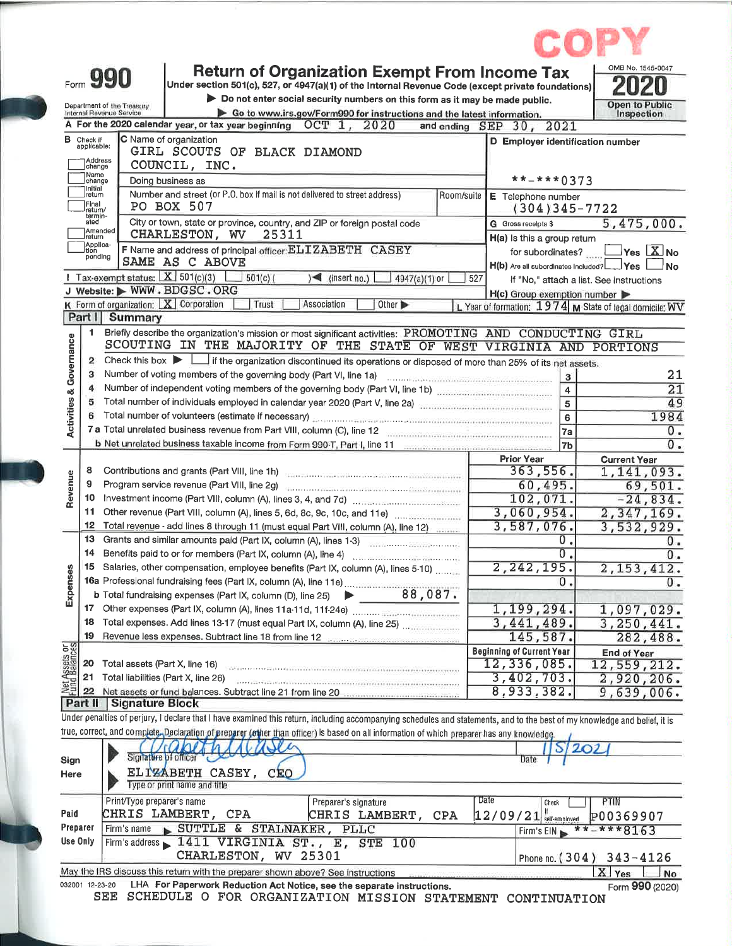|                                    | Form 990                                               | <b>Return of Organization Exempt From Income Tax</b><br>Under section 501(c), 527, or 4947(a)(1) of the Internal Revenue Code (except private foundations)                                                                     |                                                         | OMB No. 1545-0047                        |
|------------------------------------|--------------------------------------------------------|--------------------------------------------------------------------------------------------------------------------------------------------------------------------------------------------------------------------------------|---------------------------------------------------------|------------------------------------------|
|                                    |                                                        | Do not enter social security numbers on this form as it may be made public.                                                                                                                                                    |                                                         |                                          |
|                                    | Department of the Treasury<br>Internal Revenue Service | Go to www.irs.gov/Form990 for instructions and the latest information.                                                                                                                                                         |                                                         | Open to Public<br>Inspection             |
|                                    |                                                        | A For the 2020 calendar year, or tax year beginning OCT 1, 2020                                                                                                                                                                | and ending SEP 30, 2021                                 |                                          |
|                                    | <b>B</b> Check if                                      | C Name of organization                                                                                                                                                                                                         | D Employer identification number                        |                                          |
|                                    | applicable:                                            | GIRL SCOUTS OF BLACK DIAMOND                                                                                                                                                                                                   |                                                         |                                          |
|                                    | )Address<br>]change                                    | COUNCIL, INC.                                                                                                                                                                                                                  |                                                         |                                          |
|                                    | ]Name<br>]change                                       | Doing business as                                                                                                                                                                                                              | $** - * * * 0373$                                       |                                          |
|                                    | Initial<br>return                                      | Number and street (or P.O. box if mail is not delivered to street address)<br>Room/suite                                                                                                                                       | E Telephone number                                      |                                          |
|                                    | Final<br>return/<br>termin-                            | PO BOX 507                                                                                                                                                                                                                     | $(304)345 - 7722$                                       |                                          |
|                                    | ated                                                   | City or town, state or province, country, and ZIP or foreign postal code                                                                                                                                                       | G Gross receipts \$                                     | 5,475,000.                               |
|                                    | Amended<br>Ireturn<br>Applica-                         | CHARLESTON, WV<br>25311                                                                                                                                                                                                        | H(a) Is this a group return                             |                                          |
|                                    | ition<br>pending                                       | F Name and address of principal officer: ELIZABETH CASEY                                                                                                                                                                       | for subordinates?                                       | Yes $X_{N0}$                             |
|                                    |                                                        | SAME AS C ABOVE                                                                                                                                                                                                                | Yes                                                     | <b>No</b>                                |
|                                    |                                                        | 1 Tax-exempt status: $X$ 501(c)(3)<br>501(c)<br>$\sqrt{ }$ (insert no.)<br>4947(a)(1) or                                                                                                                                       | 527                                                     | If "No," attach a list. See instructions |
|                                    |                                                        | J Website: WWW.BDGSC.ORG                                                                                                                                                                                                       | H(c) Group exemption number                             |                                          |
|                                    |                                                        | K Form of organization: $X$ Corporation<br>Trust<br>Association<br>Other <sup>1</sup>                                                                                                                                          | L Year of formation: 1974 M State of legal domicile: WV |                                          |
|                                    | Part I                                                 | Summary                                                                                                                                                                                                                        |                                                         |                                          |
|                                    | 1.                                                     | Briefly describe the organization's mission or most significant activities: PROMOTING AND CONDUCTING GIRL                                                                                                                      |                                                         |                                          |
|                                    |                                                        | SCOUTING IN THE MAJORITY OF THE STATE OF WEST VIRGINIA AND PORTIONS                                                                                                                                                            |                                                         |                                          |
|                                    | $\mathbf{z}$                                           | Check this box in the organization discontinued its operations or disposed of more than 25% of its net assets.                                                                                                                 |                                                         |                                          |
| <b>Activities &amp; Governance</b> | з                                                      | Number of voting members of the governing body (Part VI, line 1a)                                                                                                                                                              | 3                                                       | 21                                       |
|                                    |                                                        | Number of independent voting members of the governing body (Part VI, line 1b) manufactured contains and the N                                                                                                                  | $\overline{4}$                                          | $\overline{21}$                          |
|                                    |                                                        | Total number of individuals employed in calendar year 2020 (Part V, line 2a) manufactured in the control of the                                                                                                                | $\overline{\mathbf{5}}$                                 | 49                                       |
|                                    |                                                        | Total number of volunteers (estimate if necessary) and contain the contained contained and contained and contained and contained and contained and contained and contained and contained and contained and contained and conta | 6                                                       | 1984                                     |
|                                    |                                                        | 7 a Total unrelated business revenue from Part VIII, column (C), line 12                                                                                                                                                       | <b>7a</b>                                               | 0.<br>$0 -$                              |
|                                    |                                                        |                                                                                                                                                                                                                                | 7 <sub>b</sub>                                          |                                          |
|                                    | 8                                                      |                                                                                                                                                                                                                                | <b>Prior Year</b><br>363,556.                           | <b>Current Year</b><br>1,141,093.        |
| Revenue                            | 9                                                      | Program service revenue (Part VIII, line 2g)                                                                                                                                                                                   | 60,495.                                                 | 69,501.                                  |
|                                    | 10                                                     | The communication of the communication of the communication of the communication of                                                                                                                                            | 102,071.                                                | $-24,834.$                               |
|                                    | 11                                                     |                                                                                                                                                                                                                                | 3,060,954.                                              | 2,347,169.                               |
|                                    | 12                                                     | Total revenue - add lines 8 through 11 (must equal Part VIII, column (A), line 12)                                                                                                                                             | 3,587,076.                                              | 3,532,929.                               |
|                                    | 13                                                     | Grants and similar amounts paid (Part IX, column (A), lines 1-3)                                                                                                                                                               | 0.                                                      | 0.                                       |
|                                    | 14                                                     | Benefits paid to or for members (Part IX, column (A), line 4)                                                                                                                                                                  | $\overline{0}$ .                                        | $\overline{0}$ .                         |
|                                    |                                                        | 15 Salaries, other compensation, employee benefits (Part IX, column (A), lines 5-10)                                                                                                                                           | 2, 242, 195.                                            | 2, 153, 412.                             |
|                                    |                                                        |                                                                                                                                                                                                                                | 0.                                                      | $\overline{0}$ .                         |
| Expenses                           |                                                        | 88,087.<br><b>b</b> Total fundraising expenses (Part IX, column (D), line 25)                                                                                                                                                  |                                                         |                                          |
|                                    | 17                                                     |                                                                                                                                                                                                                                | 1,199,294.                                              | 1,097,029.                               |
|                                    | 18                                                     | Total expenses. Add lines 13-17 (must equal Part IX, column (A), line 25)                                                                                                                                                      | 3,441,489.                                              | 3,250,441.                               |
|                                    | 19                                                     | Revenue less expenses. Subtract line 18 from line 12 manus contracts and contained                                                                                                                                             | 145,587.                                                | 282,488.                                 |
|                                    |                                                        |                                                                                                                                                                                                                                | <b>Beginning of Current Year</b>                        | <b>End of Year</b>                       |
|                                    | 20                                                     | Total assets (Part X, line 16)                                                                                                                                                                                                 | 12,336,085.                                             | 12,559,212.                              |
| Net Assets or<br>Fund Balances     | 21                                                     | Total liabilities (Part X, line 26)                                                                                                                                                                                            | 3,402,703.                                              | 2,920,206.                               |
|                                    | 22                                                     |                                                                                                                                                                                                                                | 8,933,382.                                              | 9,639,006.                               |
|                                    |                                                        | Part II Signature Block                                                                                                                                                                                                        |                                                         |                                          |
|                                    |                                                        | Under penalties of perjury, I declare that I have examined this return, including accompanying schedules and statements, and to the best of my knowledge and belief, it is                                                     |                                                         |                                          |
|                                    |                                                        | true, correct, and complete. Declaration of preparer (other than officer) is based on all information of which preparer has any knowledge.                                                                                     |                                                         |                                          |
|                                    |                                                        |                                                                                                                                                                                                                                |                                                         | 2O2                                      |
| Sign                               |                                                        | Signature of officer C                                                                                                                                                                                                         | Date                                                    |                                          |
| Here                               |                                                        | ELIZÁBETH CASEY,<br>CEO                                                                                                                                                                                                        |                                                         |                                          |
|                                    |                                                        | Type or print name and title                                                                                                                                                                                                   |                                                         |                                          |
|                                    |                                                        | Print/Type preparer's name<br>Preparer's signature                                                                                                                                                                             | Date<br>Check                                           | PTIN                                     |
|                                    |                                                        | CHRIS LAMBERT, CPA<br>CHRIS LAMBERT,<br><b>CPA</b>                                                                                                                                                                             | $12/09/21$ self-employed                                | P00369907                                |
|                                    |                                                        | SUTTLE & STALNAKER, PLLC<br>Firm's name                                                                                                                                                                                        | Firm's EIN                                              | ***8163                                  |
|                                    |                                                        |                                                                                                                                                                                                                                |                                                         |                                          |
|                                    |                                                        | Firm's address 1411 VIRGINIA ST., E, STE 100                                                                                                                                                                                   |                                                         |                                          |
| Paid<br>Preparer<br>Use Only       |                                                        | CHARLESTON, WV 25301<br>May the IRS discuss this return with the preparer shown above? See instructions                                                                                                                        | Phone no. $(304)$                                       | $343 - 4126$<br>X Yes                    |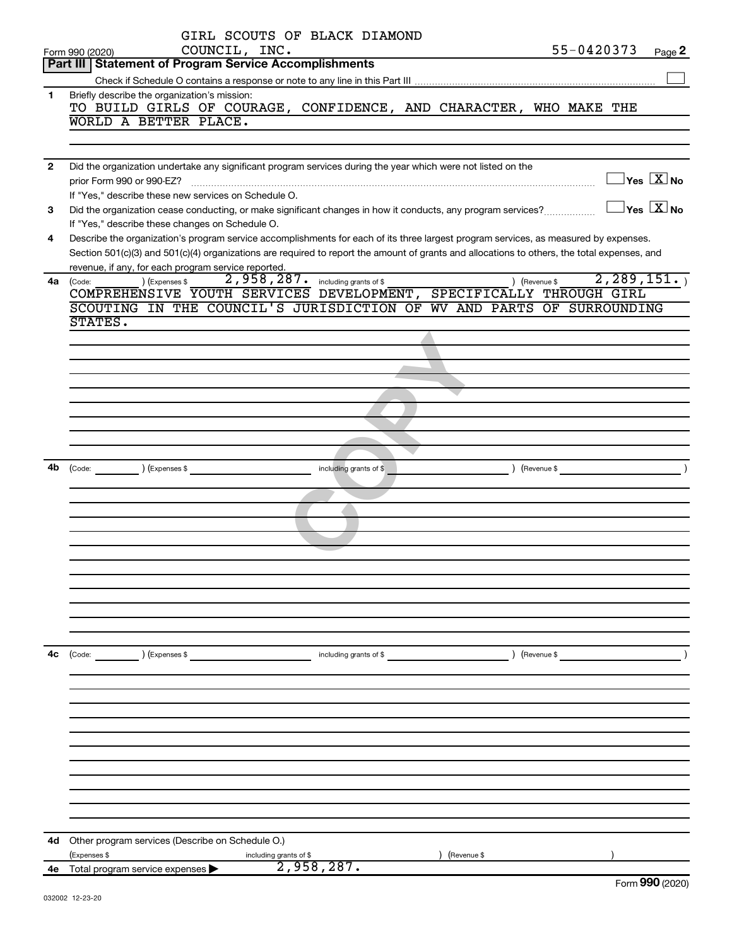|              | GIRL SCOUTS OF BLACK DIAMOND                                                                                                                                    |
|--------------|-----------------------------------------------------------------------------------------------------------------------------------------------------------------|
|              | 55-0420373<br>COUNCIL, INC.<br>Page 2<br>Form 990 (2020)                                                                                                        |
|              | <b>Part III   Statement of Program Service Accomplishments</b>                                                                                                  |
| 1.           | Briefly describe the organization's mission:                                                                                                                    |
|              | TO BUILD GIRLS OF COURAGE, CONFIDENCE, AND CHARACTER, WHO MAKE THE                                                                                              |
|              | WORLD A BETTER PLACE.                                                                                                                                           |
|              |                                                                                                                                                                 |
|              |                                                                                                                                                                 |
| $\mathbf{2}$ | Did the organization undertake any significant program services during the year which were not listed on the                                                    |
|              | $\overline{\ }$ Yes $\overline{\rm X}$ No<br>prior Form 990 or 990-EZ?                                                                                          |
|              | If "Yes," describe these new services on Schedule O.<br>$\overline{\ }$ Yes $\overline{\rm X}$ No                                                               |
| 3            | Did the organization cease conducting, or make significant changes in how it conducts, any program services?<br>If "Yes," describe these changes on Schedule O. |
| 4            | Describe the organization's program service accomplishments for each of its three largest program services, as measured by expenses.                            |
|              | Section 501(c)(3) and 501(c)(4) organizations are required to report the amount of grants and allocations to others, the total expenses, and                    |
|              | revenue, if any, for each program service reported.                                                                                                             |
| 4a           | 2, 289, 151.<br>2,958,287. including grants of \$<br>) (Expenses \$<br>) (Revenue \$<br>(Code:                                                                  |
|              | COMPREHENSIVE YOUTH SERVICES DEVELOPMENT, SPECIFICALLY THROUGH GIRL                                                                                             |
|              | SCOUTING IN THE COUNCIL'S JURISDICTION OF WV AND PARTS OF SURROUNDING                                                                                           |
|              | STATES.                                                                                                                                                         |
|              |                                                                                                                                                                 |
|              |                                                                                                                                                                 |
|              |                                                                                                                                                                 |
|              |                                                                                                                                                                 |
|              |                                                                                                                                                                 |
|              |                                                                                                                                                                 |
|              |                                                                                                                                                                 |
| 4b           | $\left($ Revenue \$<br>$\begin{pmatrix} \text{Code:} & \text{________} \end{pmatrix}$ (Expenses \$<br>including grants of \$                                    |
|              |                                                                                                                                                                 |
|              |                                                                                                                                                                 |
|              |                                                                                                                                                                 |
|              |                                                                                                                                                                 |
|              |                                                                                                                                                                 |
|              |                                                                                                                                                                 |
|              |                                                                                                                                                                 |
|              |                                                                                                                                                                 |
|              |                                                                                                                                                                 |
|              |                                                                                                                                                                 |
|              |                                                                                                                                                                 |
| 4c           | (Code: ) (Expenses \$<br>) (Revenue \$<br>including grants of \$                                                                                                |
|              |                                                                                                                                                                 |
|              |                                                                                                                                                                 |
|              |                                                                                                                                                                 |
|              |                                                                                                                                                                 |
|              |                                                                                                                                                                 |
|              |                                                                                                                                                                 |
|              |                                                                                                                                                                 |
|              |                                                                                                                                                                 |
|              |                                                                                                                                                                 |
|              |                                                                                                                                                                 |
| 4d           | Other program services (Describe on Schedule O.)                                                                                                                |
|              | (Expenses \$<br>(Revenue \$<br>including grants of \$                                                                                                           |
| 4e           | 2,958,287.<br>Total program service expenses                                                                                                                    |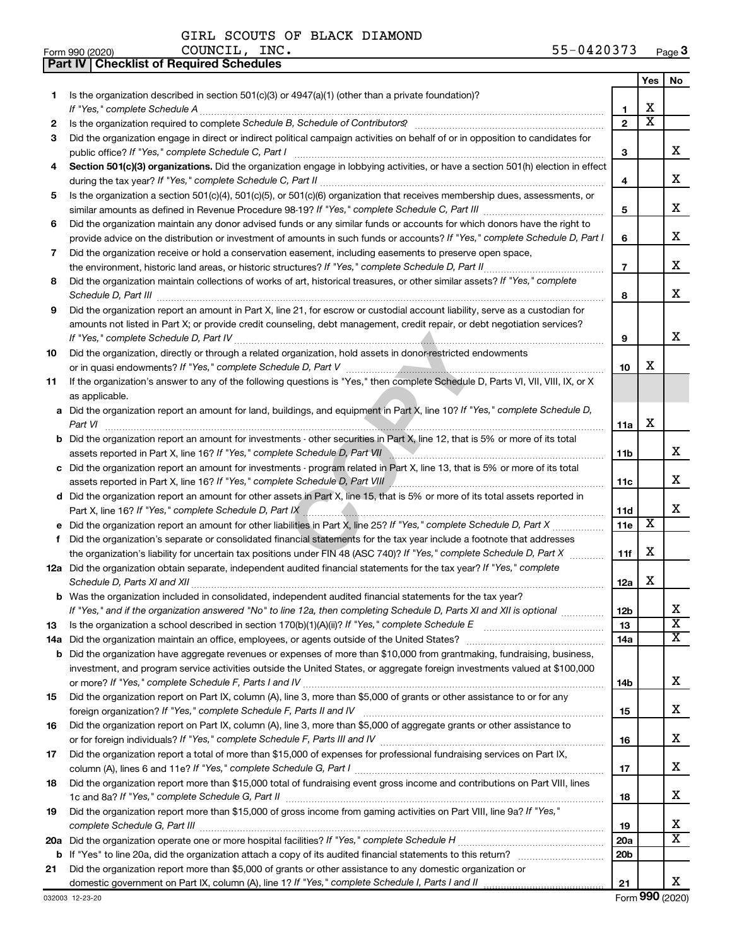GIRL SCOUTS OF BLACK DIAMOND COUNCIL, INC.

**Part IV Checklist of Required Schedules**

|    |                                                                                                                                       |                 | Yes                     | No                      |
|----|---------------------------------------------------------------------------------------------------------------------------------------|-----------------|-------------------------|-------------------------|
| 1. | Is the organization described in section 501(c)(3) or 4947(a)(1) (other than a private foundation)?                                   |                 |                         |                         |
|    |                                                                                                                                       | 1               | X                       |                         |
| 2  |                                                                                                                                       | $\overline{2}$  | $\overline{\textbf{x}}$ |                         |
| 3  | Did the organization engage in direct or indirect political campaign activities on behalf of or in opposition to candidates for       |                 |                         |                         |
|    |                                                                                                                                       | 3               |                         | х                       |
| 4  | Section 501(c)(3) organizations. Did the organization engage in lobbying activities, or have a section 501(h) election in effect      |                 |                         | х                       |
|    |                                                                                                                                       | 4               |                         |                         |
| 5  | Is the organization a section 501(c)(4), 501(c)(5), or 501(c)(6) organization that receives membership dues, assessments, or          |                 |                         | х                       |
|    | Did the organization maintain any donor advised funds or any similar funds or accounts for which donors have the right to             | 5               |                         |                         |
| 6  | provide advice on the distribution or investment of amounts in such funds or accounts? If "Yes," complete Schedule D, Part I          | 6               |                         | х                       |
| 7  | Did the organization receive or hold a conservation easement, including easements to preserve open space,                             |                 |                         |                         |
|    |                                                                                                                                       | $\overline{7}$  |                         | х                       |
| 8  | Did the organization maintain collections of works of art, historical treasures, or other similar assets? If "Yes," complete          |                 |                         |                         |
|    |                                                                                                                                       | 8               |                         | х                       |
| 9  | Did the organization report an amount in Part X, line 21, for escrow or custodial account liability, serve as a custodian for         |                 |                         |                         |
|    | amounts not listed in Part X; or provide credit counseling, debt management, credit repair, or debt negotiation services?             |                 |                         |                         |
|    |                                                                                                                                       | 9               |                         | х                       |
| 10 | Did the organization, directly or through a related organization, hold assets in donor-restricted endowments                          |                 |                         |                         |
|    |                                                                                                                                       | 10              | х                       |                         |
| 11 | If the organization's answer to any of the following questions is "Yes," then complete Schedule D, Parts VI, VII, VIII, IX, or X      |                 |                         |                         |
|    | as applicable.                                                                                                                        |                 |                         |                         |
|    | a Did the organization report an amount for land, buildings, and equipment in Part X, line 10? If "Yes," complete Schedule D,         |                 |                         |                         |
|    | Part VI                                                                                                                               | 11a             | х                       |                         |
|    | <b>b</b> Did the organization report an amount for investments - other securities in Part X, line 12, that is 5% or more of its total |                 |                         |                         |
|    |                                                                                                                                       | 11 <sub>b</sub> |                         | х                       |
|    | c Did the organization report an amount for investments - program related in Part X, line 13, that is 5% or more of its total         |                 |                         |                         |
|    | assets reported in Part X, line 16? If "Yes," complete Schedule D, Part VIII / [[[[[[[[[[[[[[[[[[[[[[[[[[[[[[                         | 11c             |                         | x                       |
|    | d Did the organization report an amount for other assets in Part X, line 15, that is 5% or more of its total assets reported in       |                 |                         | x                       |
|    |                                                                                                                                       | 11d<br>11e      | X                       |                         |
|    | Did the organization's separate or consolidated financial statements for the tax year include a footnote that addresses               |                 |                         |                         |
| f  | the organization's liability for uncertain tax positions under FIN 48 (ASC 740)? If "Yes," complete Schedule D, Part X                | 11f             | х                       |                         |
|    | 12a Did the organization obtain separate, independent audited financial statements for the tax year? If "Yes," complete               |                 |                         |                         |
|    | Schedule D, Parts XI and XII                                                                                                          | 12a             | х                       |                         |
|    | <b>b</b> Was the organization included in consolidated, independent audited financial statements for the tax year?                    |                 |                         |                         |
|    | If "Yes," and if the organization answered "No" to line 12a, then completing Schedule D, Parts XI and XII is optional                 | 12 <sub>b</sub> |                         |                         |
| 13 |                                                                                                                                       | 13              |                         | $\overline{\textbf{x}}$ |
|    |                                                                                                                                       | 14a             |                         | x                       |
|    | <b>b</b> Did the organization have aggregate revenues or expenses of more than \$10,000 from grantmaking, fundraising, business,      |                 |                         |                         |
|    | investment, and program service activities outside the United States, or aggregate foreign investments valued at \$100,000            |                 |                         |                         |
|    |                                                                                                                                       | 14b             |                         | х                       |
| 15 | Did the organization report on Part IX, column (A), line 3, more than \$5,000 of grants or other assistance to or for any             |                 |                         |                         |
|    |                                                                                                                                       | 15              |                         | x                       |
| 16 | Did the organization report on Part IX, column (A), line 3, more than \$5,000 of aggregate grants or other assistance to              |                 |                         |                         |
|    |                                                                                                                                       | 16              |                         | x                       |
| 17 | Did the organization report a total of more than \$15,000 of expenses for professional fundraising services on Part IX,               |                 |                         |                         |
|    |                                                                                                                                       | 17              |                         | x                       |
| 18 | Did the organization report more than \$15,000 total of fundraising event gross income and contributions on Part VIII, lines          |                 |                         | х                       |
|    | Did the organization report more than \$15,000 of gross income from gaming activities on Part VIII, line 9a? If "Yes,"                | 18              |                         |                         |
| 19 |                                                                                                                                       | 19              |                         | х                       |
|    |                                                                                                                                       | 20a             |                         | X                       |
|    |                                                                                                                                       | 20 <sub>b</sub> |                         |                         |
| 21 | Did the organization report more than \$5,000 of grants or other assistance to any domestic organization or                           |                 |                         |                         |
|    |                                                                                                                                       | 21              |                         | х                       |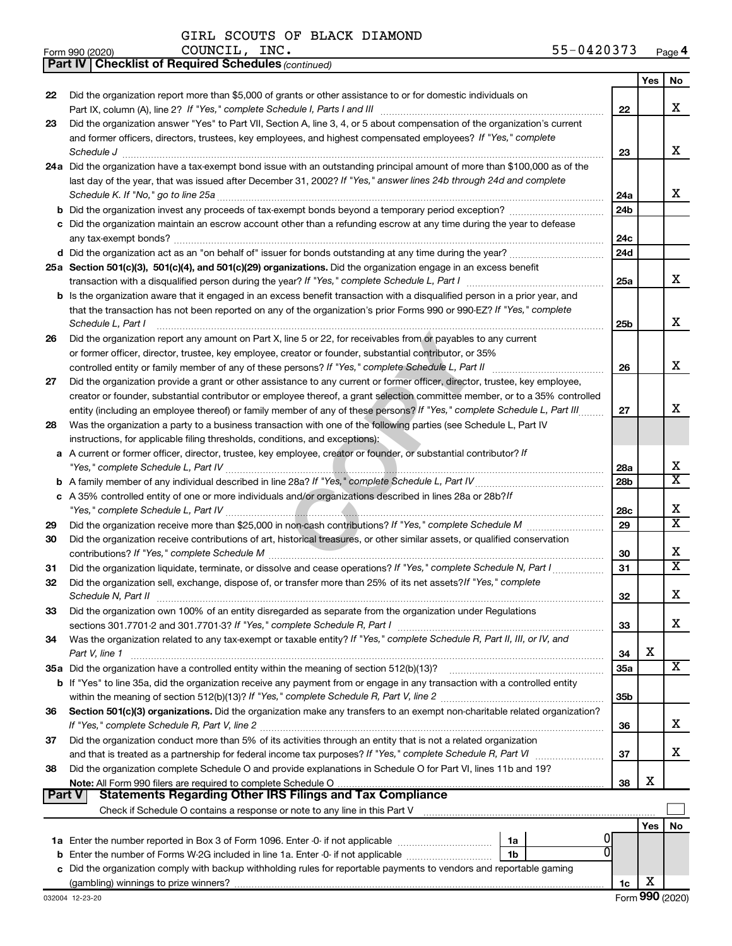*(continued)* **Part IV Checklist of Required Schedules**

GIRL SCOUTS OF BLACK DIAMOND

| Form 990 (2020) | COUNCIL<br>INC. | $\mathbf{Q} \mathbf{Q} \mathbf{Q} \mathbf{Q} \mathbf{Q} \mathbf{Q} \mathbf{Q} \mathbf{Q} \mathbf{Q} \mathbf{Q} \mathbf{Q} \mathbf{Q} \mathbf{Q} \mathbf{Q} \mathbf{Q} \mathbf{Q} \mathbf{Q} \mathbf{Q} \mathbf{Q} \mathbf{Q} \mathbf{Q} \mathbf{Q} \mathbf{Q} \mathbf{Q} \mathbf{Q} \mathbf{Q} \mathbf{Q} \mathbf{Q} \mathbf{Q} \mathbf{Q} \mathbf{Q} \mathbf{Q} \mathbf{Q} \mathbf{Q} \mathbf{Q} \mathbf{Q} \mathbf{$<br>203<br>04 | Page <sup>2</sup> |
|-----------------|-----------------|-------------------------------------------------------------------------------------------------------------------------------------------------------------------------------------------------------------------------------------------------------------------------------------------------------------------------------------------------------------------------------------------------------------------------------------|-------------------|
|-----------------|-----------------|-------------------------------------------------------------------------------------------------------------------------------------------------------------------------------------------------------------------------------------------------------------------------------------------------------------------------------------------------------------------------------------------------------------------------------------|-------------------|

|               |                                                                                                                                                                                                    |                 | Yes | No.                     |
|---------------|----------------------------------------------------------------------------------------------------------------------------------------------------------------------------------------------------|-----------------|-----|-------------------------|
| 22            | Did the organization report more than \$5,000 of grants or other assistance to or for domestic individuals on                                                                                      |                 |     |                         |
|               |                                                                                                                                                                                                    | 22              |     | х                       |
| 23            | Did the organization answer "Yes" to Part VII, Section A, line 3, 4, or 5 about compensation of the organization's current                                                                         |                 |     |                         |
|               | and former officers, directors, trustees, key employees, and highest compensated employees? If "Yes," complete                                                                                     |                 |     |                         |
|               | Schedule J                                                                                                                                                                                         | 23              |     | х                       |
|               | 24a Did the organization have a tax-exempt bond issue with an outstanding principal amount of more than \$100,000 as of the                                                                        |                 |     |                         |
|               | last day of the year, that was issued after December 31, 2002? If "Yes," answer lines 24b through 24d and complete                                                                                 |                 |     |                         |
|               |                                                                                                                                                                                                    | 24a             |     | х                       |
|               |                                                                                                                                                                                                    | 24 <sub>b</sub> |     |                         |
|               | c Did the organization maintain an escrow account other than a refunding escrow at any time during the year to defease                                                                             |                 |     |                         |
|               |                                                                                                                                                                                                    | 24c             |     |                         |
|               |                                                                                                                                                                                                    | 24d             |     |                         |
|               | 25a Section 501(c)(3), 501(c)(4), and 501(c)(29) organizations. Did the organization engage in an excess benefit                                                                                   |                 |     |                         |
|               |                                                                                                                                                                                                    | 25a             |     | х                       |
|               | b Is the organization aware that it engaged in an excess benefit transaction with a disqualified person in a prior year, and                                                                       |                 |     |                         |
|               | that the transaction has not been reported on any of the organization's prior Forms 990 or 990-EZ? If "Yes," complete                                                                              |                 |     |                         |
|               | Schedule L, Part I                                                                                                                                                                                 | 25b             |     | X                       |
| 26            | Did the organization report any amount on Part X, line 5 or 22, for receivables from or payables to any current                                                                                    |                 |     |                         |
|               | or former officer, director, trustee, key employee, creator or founder, substantial contributor, or 35%                                                                                            |                 |     | х                       |
|               |                                                                                                                                                                                                    | 26              |     |                         |
| 27            | Did the organization provide a grant or other assistance to any current or former officer, director, trustee, key employee,                                                                        |                 |     |                         |
|               | creator or founder, substantial contributor or employee thereof, a grant selection committee member, or to a 35% controlled                                                                        |                 |     | х                       |
|               | entity (including an employee thereof) or family member of any of these persons? If "Yes," complete Schedule L, Part III                                                                           | 27              |     |                         |
| 28            | Was the organization a party to a business transaction with one of the following parties (see Schedule L, Part IV                                                                                  |                 |     |                         |
|               | instructions, for applicable filing thresholds, conditions, and exceptions):<br>a A current or former officer, director, trustee, key employee, creator or founder, or substantial contributor? If |                 |     |                         |
|               |                                                                                                                                                                                                    | 28a             |     | х                       |
|               |                                                                                                                                                                                                    | 28 <sub>b</sub> |     | $\overline{\textbf{X}}$ |
|               | c A 35% controlled entity of one or more individuals and/or organizations described in lines 28a or 28b?/f                                                                                         |                 |     |                         |
|               |                                                                                                                                                                                                    | 28c             |     | х                       |
| 29            |                                                                                                                                                                                                    | 29              |     | $\overline{\textbf{X}}$ |
| 30            | Did the organization receive contributions of art, historical treasures, or other similar assets, or qualified conservation                                                                        |                 |     |                         |
|               |                                                                                                                                                                                                    | 30              |     | х                       |
| 31            | Did the organization liquidate, terminate, or dissolve and cease operations? If "Yes," complete Schedule N, Part I                                                                                 | 31              |     | х                       |
| 32            | Did the organization sell, exchange, dispose of, or transfer more than 25% of its net assets? If "Yes," complete                                                                                   |                 |     |                         |
|               | Schedule N, Part II                                                                                                                                                                                | 32              |     | Х                       |
| 33            | Did the organization own 100% of an entity disregarded as separate from the organization under Regulations                                                                                         |                 |     |                         |
|               |                                                                                                                                                                                                    | 33              |     | x                       |
| 34            | Was the organization related to any tax-exempt or taxable entity? If "Yes," complete Schedule R, Part II, III, or IV, and                                                                          |                 |     |                         |
|               | Part V, line 1                                                                                                                                                                                     | 34              | х   |                         |
|               |                                                                                                                                                                                                    | <b>35a</b>      |     | x                       |
|               | <b>b</b> If "Yes" to line 35a, did the organization receive any payment from or engage in any transaction with a controlled entity                                                                 |                 |     |                         |
|               |                                                                                                                                                                                                    | 35b             |     |                         |
| 36            | Section 501(c)(3) organizations. Did the organization make any transfers to an exempt non-charitable related organization?                                                                         |                 |     |                         |
|               |                                                                                                                                                                                                    | 36              |     | х                       |
| 37            | Did the organization conduct more than 5% of its activities through an entity that is not a related organization                                                                                   |                 |     |                         |
|               |                                                                                                                                                                                                    | 37              |     | х                       |
| 38            | Did the organization complete Schedule O and provide explanations in Schedule O for Part VI, lines 11b and 19?                                                                                     |                 | х   |                         |
| <b>Part V</b> | <b>Statements Regarding Other IRS Filings and Tax Compliance</b>                                                                                                                                   | 38              |     |                         |
|               | Check if Schedule O contains a response or note to any line in this Part V [11] [12] content in the schedule O contains a response or note to any line in this Part V                              |                 |     |                         |
|               |                                                                                                                                                                                                    |                 | Yes | No                      |
|               | 1a                                                                                                                                                                                                 |                 |     |                         |
|               | 1b                                                                                                                                                                                                 |                 |     |                         |
|               | c Did the organization comply with backup withholding rules for reportable payments to vendors and reportable gaming                                                                               |                 |     |                         |
|               |                                                                                                                                                                                                    | 1c              | X   |                         |
|               | 032004 12-23-20                                                                                                                                                                                    |                 |     | Form 990 (2020)         |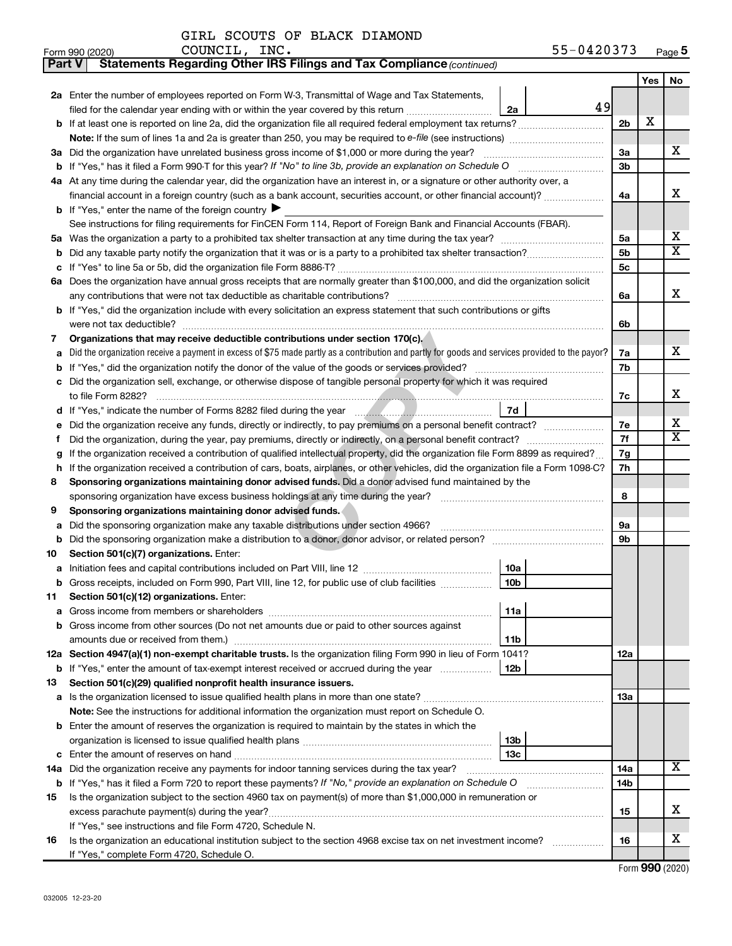|  |  |  |  | GIRL SCOUTS OF BLACK DIAMOND |
|--|--|--|--|------------------------------|
|--|--|--|--|------------------------------|

| Part V  | Statements Regarding Other IRS Filings and Tax Compliance (continued)                                                                                                                                     |     |     |    |  |  |  |
|---------|-----------------------------------------------------------------------------------------------------------------------------------------------------------------------------------------------------------|-----|-----|----|--|--|--|
|         |                                                                                                                                                                                                           |     | Yes | No |  |  |  |
|         | 2a Enter the number of employees reported on Form W-3, Transmittal of Wage and Tax Statements,                                                                                                            |     |     |    |  |  |  |
|         | 49<br>filed for the calendar year ending with or within the year covered by this return<br>2a                                                                                                             |     |     |    |  |  |  |
|         | <b>b</b> If at least one is reported on line 2a, did the organization file all required federal employment tax returns?                                                                                   | 2b  | X   |    |  |  |  |
|         | Note: If the sum of lines 1a and 2a is greater than 250, you may be required to e-file (see instructions) <i></i>                                                                                         |     |     |    |  |  |  |
|         | 3a Did the organization have unrelated business gross income of \$1,000 or more during the year?                                                                                                          | За  |     | х  |  |  |  |
| b       |                                                                                                                                                                                                           | Зb  |     |    |  |  |  |
|         | 4a At any time during the calendar year, did the organization have an interest in, or a signature or other authority over, a                                                                              |     |     |    |  |  |  |
|         | financial account in a foreign country (such as a bank account, securities account, or other financial account)?                                                                                          | 4a  |     | x  |  |  |  |
|         | <b>b</b> If "Yes," enter the name of the foreign country ▶                                                                                                                                                |     |     |    |  |  |  |
|         | See instructions for filing requirements for FinCEN Form 114, Report of Foreign Bank and Financial Accounts (FBAR).                                                                                       |     |     |    |  |  |  |
| 5a      |                                                                                                                                                                                                           |     |     |    |  |  |  |
| b       |                                                                                                                                                                                                           | 5b  |     | X  |  |  |  |
| с       |                                                                                                                                                                                                           | 5c  |     |    |  |  |  |
|         | 6a Does the organization have annual gross receipts that are normally greater than \$100,000, and did the organization solicit                                                                            |     |     |    |  |  |  |
|         |                                                                                                                                                                                                           | 6a  |     | x  |  |  |  |
|         | <b>b</b> If "Yes," did the organization include with every solicitation an express statement that such contributions or gifts                                                                             |     |     |    |  |  |  |
|         |                                                                                                                                                                                                           | 6b  |     |    |  |  |  |
| 7       | Organizations that may receive deductible contributions under section 170(c).                                                                                                                             |     |     |    |  |  |  |
| а       | Did the organization receive a payment in excess of \$75 made partly as a contribution and partly for goods and services provided to the payor?                                                           | 7a  |     | x  |  |  |  |
| b       |                                                                                                                                                                                                           | 7b  |     |    |  |  |  |
| с       | Did the organization sell, exchange, or otherwise dispose of tangible personal property for which it was required                                                                                         |     |     |    |  |  |  |
|         |                                                                                                                                                                                                           | 7c  |     | х  |  |  |  |
|         | 7d                                                                                                                                                                                                        |     |     | х  |  |  |  |
| е       | Did the organization receive any funds, directly or indirectly, to pay premiums on a personal benefit contract?                                                                                           |     |     |    |  |  |  |
| f.      |                                                                                                                                                                                                           |     |     |    |  |  |  |
| g       | If the organization received a contribution of qualified intellectual property, did the organization file Form 8899 as required?                                                                          |     |     |    |  |  |  |
| h       | If the organization received a contribution of cars, boats, airplanes, or other vehicles, did the organization file a Form 1098-C?                                                                        |     |     |    |  |  |  |
| 8       | Sponsoring organizations maintaining donor advised funds. Did a donor advised fund maintained by the                                                                                                      |     |     |    |  |  |  |
|         |                                                                                                                                                                                                           |     |     |    |  |  |  |
| 9       | Sponsoring organizations maintaining donor advised funds.                                                                                                                                                 |     |     |    |  |  |  |
| а       | Did the sponsoring organization make any taxable distributions under section 4966?                                                                                                                        | 9а  |     |    |  |  |  |
| b       | Did the sponsoring organization make a distribution to a donor, donor advisor, or related person? [111] Did the sponsoring organization make a distribution to a donor, donor advisor, or related person? | 9b  |     |    |  |  |  |
| 10      | Section 501(c)(7) organizations. Enter:                                                                                                                                                                   |     |     |    |  |  |  |
| а       | 10a<br>10 <sub>b</sub><br>b Gross receipts, included on Form 990, Part VIII, line 12, for public use of club facilities                                                                                   |     |     |    |  |  |  |
|         | Section 501(c)(12) organizations. Enter:                                                                                                                                                                  |     |     |    |  |  |  |
| 11<br>а | 11a                                                                                                                                                                                                       |     |     |    |  |  |  |
|         | b Gross income from other sources (Do not net amounts due or paid to other sources against                                                                                                                |     |     |    |  |  |  |
|         | 11b                                                                                                                                                                                                       |     |     |    |  |  |  |
|         | 12a Section 4947(a)(1) non-exempt charitable trusts. Is the organization filing Form 990 in lieu of Form 1041?                                                                                            | 12a |     |    |  |  |  |
|         | <b>b</b> If "Yes," enter the amount of tax-exempt interest received or accrued during the year<br>12b                                                                                                     |     |     |    |  |  |  |
| 13      | Section 501(c)(29) qualified nonprofit health insurance issuers.                                                                                                                                          |     |     |    |  |  |  |
| а       | Is the organization licensed to issue qualified health plans in more than one state?                                                                                                                      | 13a |     |    |  |  |  |
|         | Note: See the instructions for additional information the organization must report on Schedule O.                                                                                                         |     |     |    |  |  |  |
|         | <b>b</b> Enter the amount of reserves the organization is required to maintain by the states in which the                                                                                                 |     |     |    |  |  |  |
|         | 13b                                                                                                                                                                                                       |     |     |    |  |  |  |
| с       | 13 <sub>c</sub>                                                                                                                                                                                           |     |     |    |  |  |  |
| 14a     | Did the organization receive any payments for indoor tanning services during the tax year?                                                                                                                | 14a |     | x  |  |  |  |
| b       | If "Yes," has it filed a Form 720 to report these payments? If "No," provide an explanation on Schedule O                                                                                                 | 14b |     |    |  |  |  |
| 15      | Is the organization subject to the section 4960 tax on payment(s) of more than \$1,000,000 in remuneration or                                                                                             |     |     |    |  |  |  |
|         |                                                                                                                                                                                                           | 15  |     | x  |  |  |  |
|         | If "Yes," see instructions and file Form 4720, Schedule N.                                                                                                                                                |     |     |    |  |  |  |
| 16      | Is the organization an educational institution subject to the section 4968 excise tax on net investment income?                                                                                           | 16  |     | х  |  |  |  |
|         | If "Yes," complete Form 4720, Schedule O.                                                                                                                                                                 |     |     |    |  |  |  |

Form (2020) **990**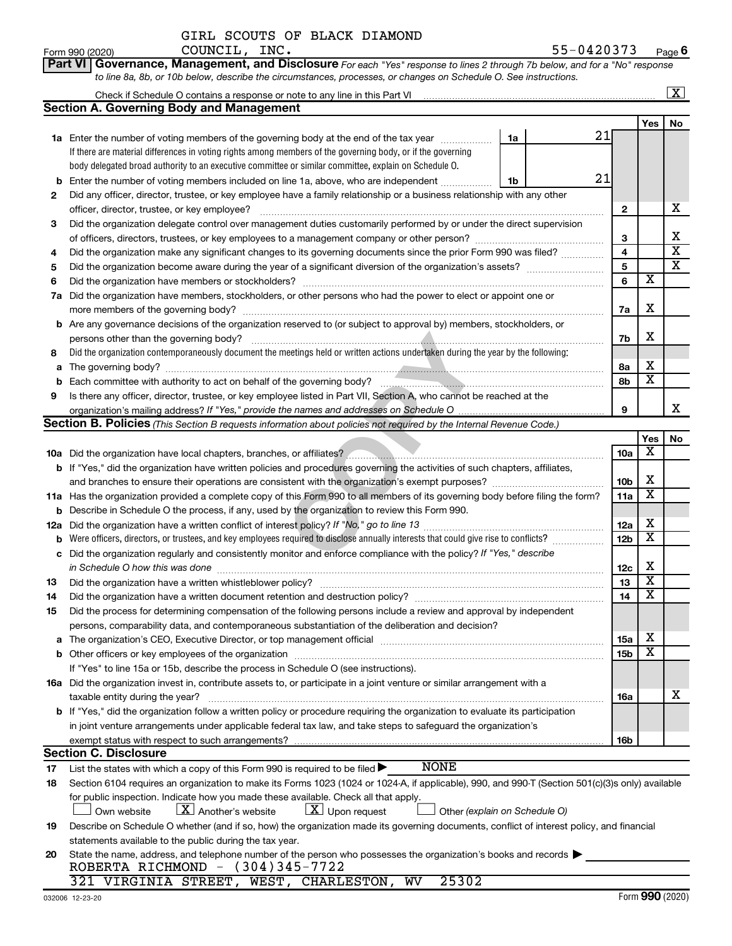| GIRL SCOUTS OF BLACK DIAMOND |  |  |  |  |  |
|------------------------------|--|--|--|--|--|
|------------------------------|--|--|--|--|--|

|     | Part VI Governance, Management, and Disclosure For each "Yes" response to lines 2 through 7b below, and for a "No" response                                                  |                 |                         |                         |  |  |  |
|-----|------------------------------------------------------------------------------------------------------------------------------------------------------------------------------|-----------------|-------------------------|-------------------------|--|--|--|
|     | to line 8a, 8b, or 10b below, describe the circumstances, processes, or changes on Schedule O. See instructions.                                                             |                 |                         |                         |  |  |  |
|     |                                                                                                                                                                              |                 |                         | $\overline{\mathbf{X}}$ |  |  |  |
|     | <b>Section A. Governing Body and Management</b>                                                                                                                              |                 |                         |                         |  |  |  |
|     |                                                                                                                                                                              |                 | Yes                     | No                      |  |  |  |
|     | 21<br>1a Enter the number of voting members of the governing body at the end of the tax year<br>1a                                                                           |                 |                         |                         |  |  |  |
|     | If there are material differences in voting rights among members of the governing body, or if the governing                                                                  |                 |                         |                         |  |  |  |
|     | body delegated broad authority to an executive committee or similar committee, explain on Schedule O.                                                                        |                 |                         |                         |  |  |  |
| b   | 21<br>Enter the number of voting members included on line 1a, above, who are independent<br>1b                                                                               |                 |                         |                         |  |  |  |
| 2   | Did any officer, director, trustee, or key employee have a family relationship or a business relationship with any other                                                     |                 |                         |                         |  |  |  |
|     | officer, director, trustee, or key employee?                                                                                                                                 | $\mathbf{2}$    |                         | х                       |  |  |  |
| 3   | Did the organization delegate control over management duties customarily performed by or under the direct supervision                                                        |                 |                         |                         |  |  |  |
|     |                                                                                                                                                                              | 3               |                         | х                       |  |  |  |
| 4   | Did the organization make any significant changes to its governing documents since the prior Form 990 was filed?                                                             | 4               |                         | $\overline{\textbf{x}}$ |  |  |  |
| 5   |                                                                                                                                                                              | 5               |                         | $\overline{\textbf{x}}$ |  |  |  |
| 6   |                                                                                                                                                                              | 6               | х                       |                         |  |  |  |
| 7a  | Did the organization have members, stockholders, or other persons who had the power to elect or appoint one or                                                               |                 |                         |                         |  |  |  |
|     |                                                                                                                                                                              | 7a              | X                       |                         |  |  |  |
|     | <b>b</b> Are any governance decisions of the organization reserved to (or subject to approval by) members, stockholders, or                                                  |                 |                         |                         |  |  |  |
|     | persons other than the governing body?                                                                                                                                       | 7b              | х                       |                         |  |  |  |
| 8   | Did the organization contemporaneously document the meetings held or written actions undertaken during the year by the following:                                            |                 |                         |                         |  |  |  |
| а   |                                                                                                                                                                              | 8а              | х                       |                         |  |  |  |
| b   |                                                                                                                                                                              | 8b              | $\overline{\mathbf{x}}$ |                         |  |  |  |
| 9   | Is there any officer, director, trustee, or key employee listed in Part VII, Section A, who cannot be reached at the                                                         |                 |                         |                         |  |  |  |
|     |                                                                                                                                                                              | 9               |                         | x                       |  |  |  |
|     | <b>Section B. Policies</b> (This Section B requests information about policies not required by the Internal Revenue Code.)                                                   |                 |                         |                         |  |  |  |
|     |                                                                                                                                                                              |                 | Yes                     | No                      |  |  |  |
|     |                                                                                                                                                                              | 10a             | х                       |                         |  |  |  |
|     | <b>b</b> If "Yes," did the organization have written policies and procedures governing the activities of such chapters, affiliates,                                          |                 | х                       |                         |  |  |  |
|     |                                                                                                                                                                              |                 |                         |                         |  |  |  |
|     | 11a Has the organization provided a complete copy of this Form 990 to all members of its governing body before filing the form?                                              | 11a             | X                       |                         |  |  |  |
| b   | Describe in Schedule O the process, if any, used by the organization to review this Form 990.                                                                                |                 |                         |                         |  |  |  |
| 12a |                                                                                                                                                                              | 12a             | х                       |                         |  |  |  |
| b   | Were officers, directors, or trustees, and key employees required to disclose annually interests that could give rise to conflicts?                                          | 12 <sub>b</sub> | $\overline{\textbf{x}}$ |                         |  |  |  |
| с   | Did the organization regularly and consistently monitor and enforce compliance with the policy? If "Yes," describe                                                           |                 |                         |                         |  |  |  |
|     |                                                                                                                                                                              | 12c             | х                       |                         |  |  |  |
| 13  |                                                                                                                                                                              | 13              | $\overline{\mathbf{X}}$ |                         |  |  |  |
| 14  | Did the organization have a written document retention and destruction policy? [111] [12] manument contains an                                                               | 14              | $\overline{\mathtt{x}}$ |                         |  |  |  |
| 15  | Did the process for determining compensation of the following persons include a review and approval by independent                                                           |                 |                         |                         |  |  |  |
|     | persons, comparability data, and contemporaneous substantiation of the deliberation and decision?                                                                            |                 |                         |                         |  |  |  |
| а   |                                                                                                                                                                              | 15a             | х                       |                         |  |  |  |
|     |                                                                                                                                                                              | 15b             | x                       |                         |  |  |  |
|     | If "Yes" to line 15a or 15b, describe the process in Schedule O (see instructions).                                                                                          |                 |                         |                         |  |  |  |
|     | 16a Did the organization invest in, contribute assets to, or participate in a joint venture or similar arrangement with a                                                    |                 |                         |                         |  |  |  |
|     | taxable entity during the year?                                                                                                                                              | 16a             |                         | x                       |  |  |  |
|     | b If "Yes," did the organization follow a written policy or procedure requiring the organization to evaluate its participation                                               |                 |                         |                         |  |  |  |
|     | in joint venture arrangements under applicable federal tax law, and take steps to safeguard the organization's                                                               |                 |                         |                         |  |  |  |
|     | exempt status with respect to such arrangements?                                                                                                                             | 16b             |                         |                         |  |  |  |
|     | <b>Section C. Disclosure</b><br><b>NONE</b>                                                                                                                                  |                 |                         |                         |  |  |  |
| 17  | List the states with which a copy of this Form 990 is required to be filed $\blacktriangleright$                                                                             |                 |                         |                         |  |  |  |
| 18  | Section 6104 requires an organization to make its Forms 1023 (1024 or 1024-A, if applicable), 990, and 990-T (Section 501(c)(3)s only) available                             |                 |                         |                         |  |  |  |
|     | for public inspection. Indicate how you made these available. Check all that apply.<br>$\lfloor X \rfloor$ Another's website<br>$\lfloor \underline{X} \rfloor$ Upon request |                 |                         |                         |  |  |  |
|     | Own website<br>Other (explain on Schedule O)                                                                                                                                 |                 |                         |                         |  |  |  |
| 19  | Describe on Schedule O whether (and if so, how) the organization made its governing documents, conflict of interest policy, and financial                                    |                 |                         |                         |  |  |  |
|     | statements available to the public during the tax year.<br>State the name, address, and telephone number of the person who possesses the organization's books and records    |                 |                         |                         |  |  |  |
| 20  | ROBERTA RICHMOND - (304)345-7722                                                                                                                                             |                 |                         |                         |  |  |  |
|     | 321 VIRGINIA STREET, WEST, CHARLESTON, WV<br>25302                                                                                                                           |                 |                         |                         |  |  |  |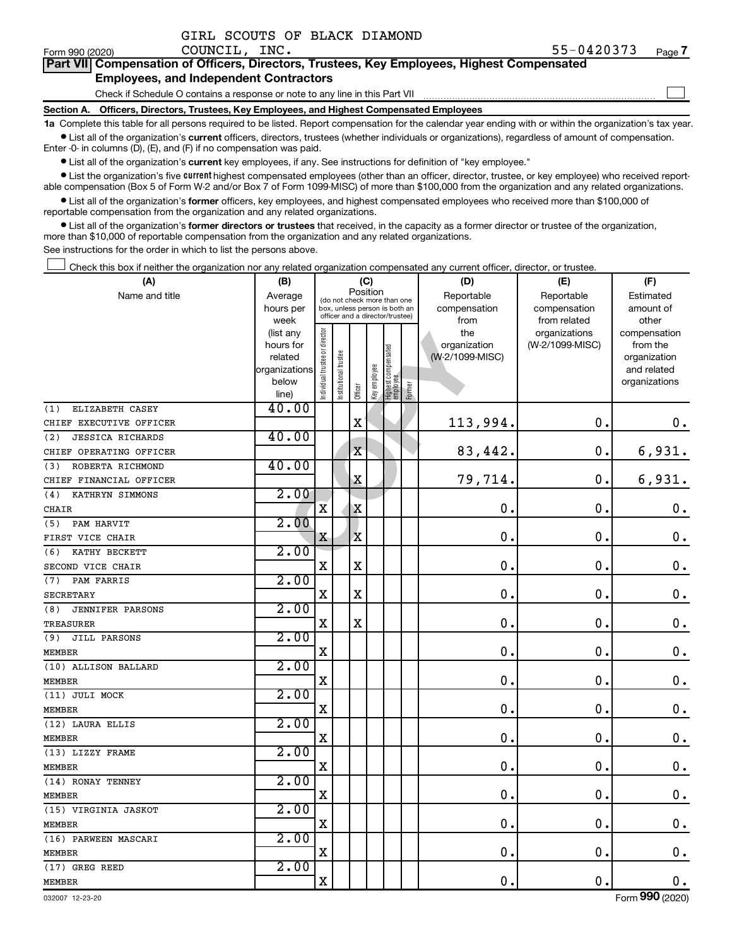| GIRL SCOUTS OF BLACK DIAMOND |  |  |  |  |  |
|------------------------------|--|--|--|--|--|
|------------------------------|--|--|--|--|--|

 $\Box$ 

| Form 990 (2020) | COUNCIL, INC.                                                                              | 51-0420373 | Page |
|-----------------|--------------------------------------------------------------------------------------------|------------|------|
|                 | Part VII Compensation of Officers, Directors, Trustees, Key Employees, Highest Compensated |            |      |

### **Employees, and Independent Contractors**

Check if Schedule O contains a response or note to any line in this Part VII

**Section A. Officers, Directors, Trustees, Key Employees, and Highest Compensated Employees**

**1a**  Complete this table for all persons required to be listed. Report compensation for the calendar year ending with or within the organization's tax year.  $\bullet$  List all of the organization's current officers, directors, trustees (whether individuals or organizations), regardless of amount of compensation.

Enter -0- in columns (D), (E), and (F) if no compensation was paid.

**•** List all of the organization's current key employees, if any. See instructions for definition of "key employee."

• List the organization's five *current* highest compensated employees (other than an officer, director, trustee, or key employee) who received reportable compensation (Box 5 of Form W-2 and/or Box 7 of Form 1099-MISC) of more than \$100,000 from the organization and any related organizations.

 $\bullet$  List all of the organization's former officers, key employees, and highest compensated employees who received more than \$100,000 of reportable compensation from the organization and any related organizations.

**•** List all of the organization's former directors or trustees that received, in the capacity as a former director or trustee of the organization, more than \$10,000 of reportable compensation from the organization and any related organizations.

See instructions for the order in which to list the persons above.

Check this box if neither the organization nor any related organization compensated any current officer, director, or trustee.  $\Box$ 

| (A)                            | (B)                  |                                         |                                                                  | (C)         |              |                                  |        | (D)                             | (E)             | (F)                      |
|--------------------------------|----------------------|-----------------------------------------|------------------------------------------------------------------|-------------|--------------|----------------------------------|--------|---------------------------------|-----------------|--------------------------|
| Name and title                 | Average              | Position<br>(do not check more than one |                                                                  |             |              |                                  |        | Reportable                      | Reportable      | Estimated                |
|                                | hours per            |                                         | box, unless person is both an<br>officer and a director/trustee) |             |              |                                  |        | compensation                    | compensation    | amount of                |
|                                | week                 |                                         |                                                                  |             |              |                                  |        | from                            | from related    | other                    |
|                                | (list any            |                                         |                                                                  |             |              |                                  |        | the                             | organizations   | compensation<br>from the |
|                                | hours for<br>related |                                         |                                                                  |             |              |                                  |        | organization<br>(W-2/1099-MISC) | (W-2/1099-MISC) | organization             |
|                                | organizations        |                                         | trustee                                                          |             |              |                                  |        |                                 |                 | and related              |
|                                | below                |                                         |                                                                  |             |              |                                  |        |                                 |                 | organizations            |
|                                | line)                | Individual trustee or director          | Institutional t                                                  | Officer     | Key employee | Highest compensated<br> employee | Former |                                 |                 |                          |
| ELIZABETH CASEY<br>(1)         | 40.00                |                                         |                                                                  |             |              |                                  |        |                                 |                 |                          |
| CHIEF EXECUTIVE OFFICER        |                      |                                         |                                                                  | X           |              |                                  |        | 113,994.                        | 0.              | 0.                       |
| <b>JESSICA RICHARDS</b><br>(2) | 40.00                |                                         |                                                                  |             |              |                                  |        |                                 |                 |                          |
| CHIEF OPERATING OFFICER        |                      |                                         |                                                                  | $\mathbf X$ |              |                                  |        | 83,442.                         | $\mathbf 0$ .   | 6,931.                   |
| (3)<br>ROBERTA RICHMOND        | 40.00                |                                         |                                                                  |             |              |                                  |        |                                 |                 |                          |
| CHIEF FINANCIAL OFFICER        |                      |                                         |                                                                  | $\mathbf X$ |              |                                  |        | 79,714.                         | $\mathbf 0$ .   | 6,931.                   |
| KATHRYN SIMMONS<br>(4)         | 2.00                 |                                         |                                                                  |             |              |                                  |        |                                 |                 |                          |
| CHAIR                          |                      | X                                       |                                                                  | X           |              |                                  |        | $\mathbf 0$ .                   | О.              | $\boldsymbol{0}$ .       |
| (5) PAM HARVIT                 | 2.00                 |                                         |                                                                  |             |              |                                  |        |                                 |                 |                          |
| FIRST VICE CHAIR               |                      | X                                       |                                                                  | X           |              |                                  |        | $\mathbf 0$ .                   | $\mathbf 0$ .   | $\mathbf 0$ .            |
| KATHY BECKETT<br>(6)           | 2.00                 |                                         |                                                                  |             |              |                                  |        |                                 |                 |                          |
| SECOND VICE CHAIR              |                      | $\mathbf X$                             |                                                                  | X           |              |                                  |        | $\mathbf 0$ .                   | $\mathbf 0$ .   | $\mathbf 0$ .            |
| (7)<br>PAM FARRIS              | 2.00                 |                                         |                                                                  |             |              |                                  |        |                                 |                 |                          |
| <b>SECRETARY</b>               |                      | $\mathbf X$                             |                                                                  | X           |              |                                  |        | $\mathbf 0$ .                   | $\mathbf 0$ .   | $\mathbf 0$ .            |
| (8)<br><b>JENNIFER PARSONS</b> | 2.00                 |                                         |                                                                  |             |              |                                  |        |                                 |                 |                          |
| TREASURER                      |                      | $\mathbf X$                             |                                                                  | X           |              |                                  |        | $\mathbf 0$ .                   | $\mathbf 0$ .   | $\mathbf 0$ .            |
| (9)<br>JILL PARSONS            | 2.00                 |                                         |                                                                  |             |              |                                  |        |                                 |                 |                          |
| <b>MEMBER</b>                  |                      | X                                       |                                                                  |             |              |                                  |        | $\mathbf 0$ .                   | $\mathbf 0$ .   | $\boldsymbol{0}$ .       |
| (10) ALLISON BALLARD           | 2.00                 |                                         |                                                                  |             |              |                                  |        |                                 |                 |                          |
| <b>MEMBER</b>                  |                      | X                                       |                                                                  |             |              |                                  |        | $\mathbf 0$                     | $\mathbf 0$ .   | $\boldsymbol{0}$ .       |
| (11) JULI MOCK                 | 2.00                 |                                         |                                                                  |             |              |                                  |        |                                 |                 |                          |
| <b>MEMBER</b>                  |                      | $\mathbf X$                             |                                                                  |             |              |                                  |        | $\mathbf 0$ .                   | $\mathbf 0$ .   | $\mathbf 0$ .            |
| (12) LAURA ELLIS               | 2.00                 |                                         |                                                                  |             |              |                                  |        |                                 |                 |                          |
| <b>MEMBER</b>                  |                      | $\mathbf X$                             |                                                                  |             |              |                                  |        | $\mathbf 0$ .                   | $\mathbf 0$ .   | $\mathbf 0$ .            |
| (13) LIZZY FRAME               | 2.00                 |                                         |                                                                  |             |              |                                  |        |                                 |                 |                          |
| <b>MEMBER</b>                  |                      | $\mathbf X$                             |                                                                  |             |              |                                  |        | 0.                              | $\mathbf 0$ .   | $\mathbf 0$ .            |
| (14) RONAY TENNEY              | 2.00                 |                                         |                                                                  |             |              |                                  |        |                                 |                 |                          |
| <b>MEMBER</b>                  |                      | $\mathbf X$                             |                                                                  |             |              |                                  |        | $\mathbf 0$ .                   | $\mathbf 0$ .   | $\mathbf 0$ .            |
| (15) VIRGINIA JASKOT           | 2.00                 |                                         |                                                                  |             |              |                                  |        |                                 |                 |                          |
| <b>MEMBER</b>                  |                      | $\mathbf x$                             |                                                                  |             |              |                                  |        | 0.                              | $\mathbf 0$ .   | $\boldsymbol{0}$ .       |
| (16) PARWEEN MASCARI           | 2.00                 |                                         |                                                                  |             |              |                                  |        |                                 |                 |                          |
| <b>MEMBER</b>                  |                      | $\mathbf x$                             |                                                                  |             |              |                                  |        | 0.                              | $\mathbf 0$ .   | $\mathbf 0$ .            |
| (17) GREG REED                 | 2.00                 |                                         |                                                                  |             |              |                                  |        |                                 |                 |                          |
| <b>MEMBER</b>                  |                      | $\mathbf X$                             |                                                                  |             |              |                                  |        | 0.                              | $\mathbf 0$ .   | $\mathbf 0$ .            |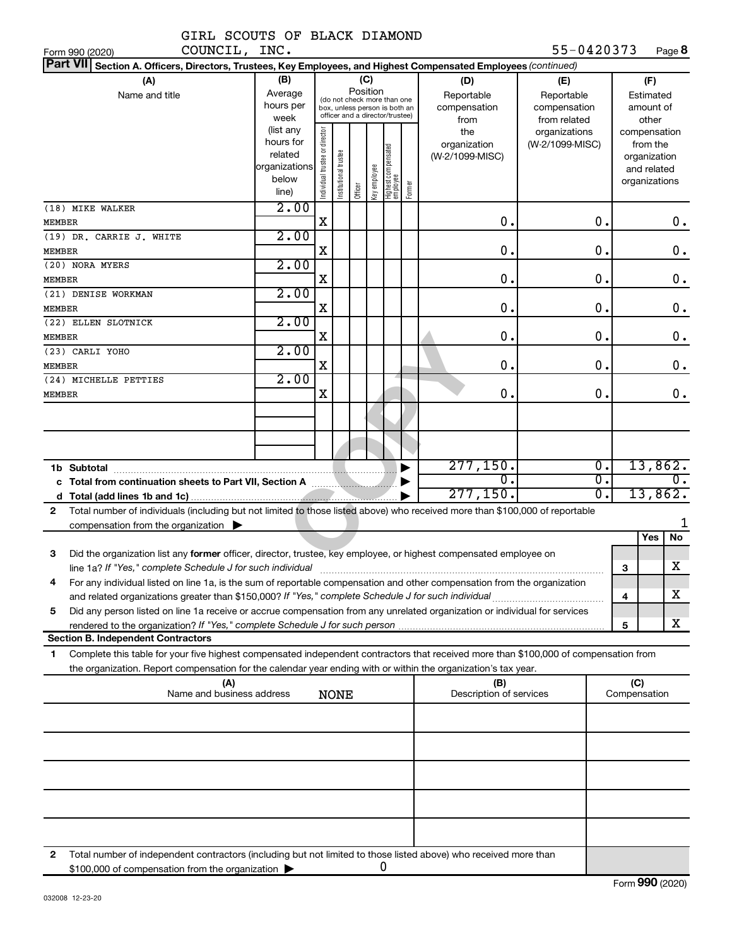|  |  | GIRL SCOUTS OF BLACK DIAMOND |
|--|--|------------------------------|
|  |  |                              |

| 55-0420373 | Page 8 |
|------------|--------|
|------------|--------|

| COUNCIL, INC.<br>Form 990 (2020)                                                                                                             |               |                                                              |                       |                                 |              |                                 |              |                         | 55-0420373      |                  |              | Page 8           |
|----------------------------------------------------------------------------------------------------------------------------------------------|---------------|--------------------------------------------------------------|-----------------------|---------------------------------|--------------|---------------------------------|--------------|-------------------------|-----------------|------------------|--------------|------------------|
| <b>Part VII</b><br>Section A. Officers, Directors, Trustees, Key Employees, and Highest Compensated Employees (continued)                    |               |                                                              |                       |                                 |              |                                 |              |                         |                 |                  |              |                  |
| (A)                                                                                                                                          | (B)           |                                                              |                       |                                 | (C)          |                                 |              | (D)                     | (E)             |                  |              | (F)              |
| Name and title                                                                                                                               | Average       | Position                                                     |                       |                                 |              |                                 |              | Reportable              | Reportable      |                  | Estimated    |                  |
|                                                                                                                                              | hours per     | (do not check more than one<br>box, unless person is both an |                       |                                 |              | compensation                    | compensation |                         |                 | amount of        |              |                  |
|                                                                                                                                              | week          |                                                              |                       | officer and a director/trustee) |              |                                 |              | from                    | from related    |                  |              | other            |
|                                                                                                                                              | (list any     |                                                              |                       |                                 |              |                                 |              | the                     | organizations   |                  |              | compensation     |
|                                                                                                                                              | hours for     |                                                              |                       |                                 |              |                                 |              | organization            | (W-2/1099-MISC) |                  |              | from the         |
|                                                                                                                                              | related       |                                                              |                       |                                 |              |                                 |              | (W-2/1099-MISC)         |                 |                  |              | organization     |
|                                                                                                                                              | organizations |                                                              |                       |                                 |              |                                 |              |                         |                 |                  |              | and related      |
|                                                                                                                                              | below         | Individual trustee or director                               | Institutional trustee |                                 | Key employee | Highest compensated<br>employee | Former       |                         |                 |                  |              | organizations    |
|                                                                                                                                              | line)         |                                                              |                       | Officer                         |              |                                 |              |                         |                 |                  |              |                  |
| (18) MIKE WALKER                                                                                                                             | 2.00          |                                                              |                       |                                 |              |                                 |              |                         |                 |                  |              |                  |
| <b>MEMBER</b>                                                                                                                                |               | X                                                            |                       |                                 |              |                                 |              | $\mathbf 0$ .           |                 | 0.               |              | 0.               |
| (19) DR. CARRIE J. WHITE                                                                                                                     | 2.00          |                                                              |                       |                                 |              |                                 |              |                         |                 |                  |              |                  |
| <b>MEMBER</b>                                                                                                                                |               | X                                                            |                       |                                 |              |                                 |              | 0.                      |                 | 0.               |              | $\mathbf 0$ .    |
| (20) NORA MYERS                                                                                                                              | 2.00          |                                                              |                       |                                 |              |                                 |              |                         |                 |                  |              |                  |
| <b>MEMBER</b>                                                                                                                                |               | X                                                            |                       |                                 |              |                                 |              | 0.                      |                 | 0.               |              | $\mathbf 0$ .    |
| (21) DENISE WORKMAN                                                                                                                          | 2.00          |                                                              |                       |                                 |              |                                 |              |                         |                 |                  |              |                  |
| <b>MEMBER</b>                                                                                                                                |               | X                                                            |                       |                                 |              |                                 |              | $\mathbf 0$ .           |                 | 0.               |              | $\mathbf 0$ .    |
| (22) ELLEN SLOTNICK                                                                                                                          | 2.00          |                                                              |                       |                                 |              |                                 |              |                         |                 |                  |              |                  |
| <b>MEMBER</b>                                                                                                                                |               | X                                                            |                       |                                 |              |                                 |              | 0.                      |                 | 0.               |              | $\mathbf 0$ .    |
| (23) CARLI YOHO                                                                                                                              | 2.00          |                                                              |                       |                                 |              |                                 |              |                         |                 |                  |              |                  |
|                                                                                                                                              |               | X                                                            |                       |                                 |              |                                 |              | 0.                      |                 | 0.               |              |                  |
| <b>MEMBER</b>                                                                                                                                | 2.00          |                                                              |                       |                                 |              |                                 |              |                         |                 |                  |              | 0.               |
| (24) MICHELLE PETTIES                                                                                                                        |               |                                                              |                       |                                 |              |                                 |              |                         |                 |                  |              |                  |
| <b>MEMBER</b>                                                                                                                                |               | X                                                            |                       |                                 |              |                                 |              | О.                      |                 | 0.               |              | 0.               |
|                                                                                                                                              |               |                                                              |                       |                                 |              |                                 |              |                         |                 |                  |              |                  |
|                                                                                                                                              |               |                                                              |                       |                                 |              |                                 |              |                         |                 |                  |              |                  |
|                                                                                                                                              |               |                                                              |                       |                                 |              |                                 |              |                         |                 |                  |              |                  |
|                                                                                                                                              |               |                                                              |                       |                                 |              |                                 |              |                         |                 |                  |              |                  |
| 1b Subtotal                                                                                                                                  |               |                                                              |                       |                                 |              |                                 |              | 277, 150.               |                 | $\overline{0}$ . |              | 13,862.          |
|                                                                                                                                              |               |                                                              |                       |                                 |              |                                 |              | σ.                      |                 | $\overline{0}$ . |              | $\overline{0}$ . |
|                                                                                                                                              |               |                                                              |                       |                                 |              |                                 |              | 277, 150.               |                 | $\overline{0}$ . |              | 13,862.          |
| Total number of individuals (including but not limited to those listed above) who received more than \$100,000 of reportable<br>$\mathbf{2}$ |               |                                                              |                       |                                 |              |                                 |              |                         |                 |                  |              |                  |
| compensation from the organization $\blacktriangleright$                                                                                     |               |                                                              |                       |                                 |              |                                 |              |                         |                 |                  |              |                  |
|                                                                                                                                              |               |                                                              |                       |                                 |              |                                 |              |                         |                 |                  |              | No<br>Yes        |
| 3<br>Did the organization list any former officer, director, trustee, key employee, or highest compensated employee on                       |               |                                                              |                       |                                 |              |                                 |              |                         |                 |                  |              |                  |
| line 1a? If "Yes," complete Schedule J for such individual manufacture content to the set of the set of the su                               |               |                                                              |                       |                                 |              |                                 |              |                         |                 |                  | 3            | X                |
| For any individual listed on line 1a, is the sum of reportable compensation and other compensation from the organization                     |               |                                                              |                       |                                 |              |                                 |              |                         |                 |                  |              |                  |
| and related organizations greater than \$150,000? If "Yes," complete Schedule J for such individual                                          |               |                                                              |                       |                                 |              |                                 |              |                         |                 |                  |              | х                |
|                                                                                                                                              |               |                                                              |                       |                                 |              |                                 |              |                         |                 |                  | 4            |                  |
| Did any person listed on line 1a receive or accrue compensation from any unrelated organization or individual for services<br>5              |               |                                                              |                       |                                 |              |                                 |              |                         |                 |                  |              | X                |
|                                                                                                                                              |               |                                                              |                       |                                 |              |                                 |              |                         |                 |                  | 5            |                  |
| <b>Section B. Independent Contractors</b>                                                                                                    |               |                                                              |                       |                                 |              |                                 |              |                         |                 |                  |              |                  |
| Complete this table for your five highest compensated independent contractors that received more than \$100,000 of compensation from<br>1.   |               |                                                              |                       |                                 |              |                                 |              |                         |                 |                  |              |                  |
| the organization. Report compensation for the calendar year ending with or within the organization's tax year.                               |               |                                                              |                       |                                 |              |                                 |              |                         |                 |                  |              |                  |
| (A)                                                                                                                                          |               |                                                              |                       |                                 |              |                                 |              | (B)                     |                 |                  | (C)          |                  |
| Name and business address                                                                                                                    |               |                                                              | <b>NONE</b>           |                                 |              |                                 |              | Description of services |                 |                  | Compensation |                  |
|                                                                                                                                              |               |                                                              |                       |                                 |              |                                 |              |                         |                 |                  |              |                  |
|                                                                                                                                              |               |                                                              |                       |                                 |              |                                 |              |                         |                 |                  |              |                  |
|                                                                                                                                              |               |                                                              |                       |                                 |              |                                 |              |                         |                 |                  |              |                  |
|                                                                                                                                              |               |                                                              |                       |                                 |              |                                 |              |                         |                 |                  |              |                  |
|                                                                                                                                              |               |                                                              |                       |                                 |              |                                 |              |                         |                 |                  |              |                  |
|                                                                                                                                              |               |                                                              |                       |                                 |              |                                 |              |                         |                 |                  |              |                  |
|                                                                                                                                              |               |                                                              |                       |                                 |              |                                 |              |                         |                 |                  |              |                  |
|                                                                                                                                              |               |                                                              |                       |                                 |              |                                 |              |                         |                 |                  |              |                  |
|                                                                                                                                              |               |                                                              |                       |                                 |              |                                 |              |                         |                 |                  |              |                  |
|                                                                                                                                              |               |                                                              |                       |                                 |              |                                 |              |                         |                 |                  |              |                  |
| Total number of independent contractors (including but not limited to those listed above) who received more than<br>2                        |               |                                                              |                       |                                 |              |                                 |              |                         |                 |                  |              |                  |
| \$100,000 of compensation from the organization                                                                                              |               |                                                              |                       |                                 |              | 0                               |              |                         |                 |                  |              |                  |
|                                                                                                                                              |               |                                                              |                       |                                 |              |                                 |              |                         |                 |                  |              |                  |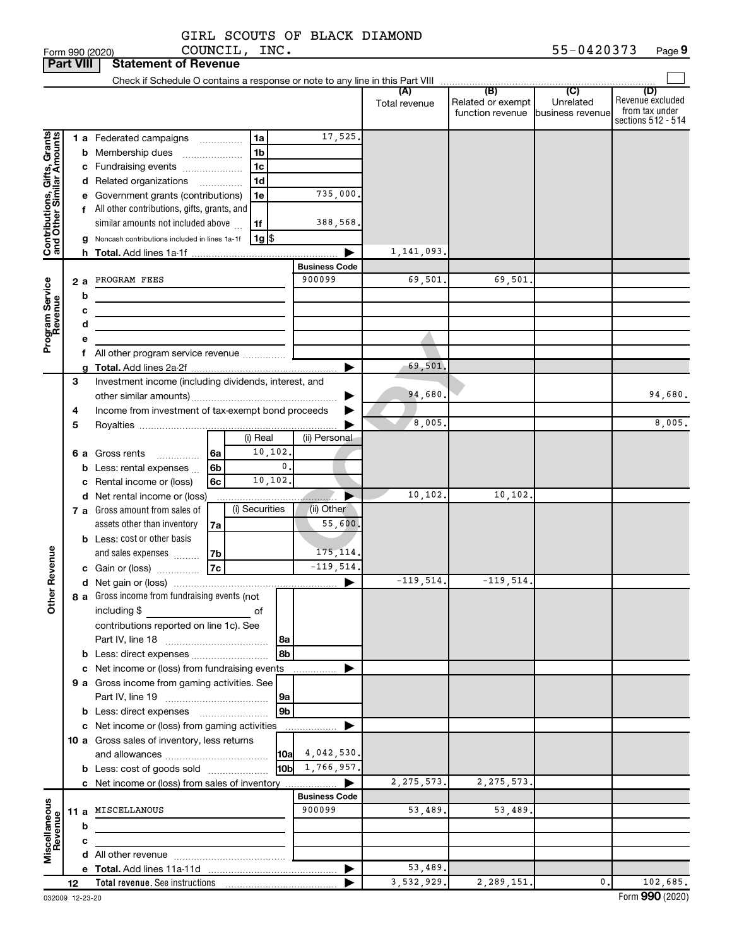|  |  | GIRL SCOUTS OF BLACK DIAMOND |
|--|--|------------------------------|
|  |  |                              |

|                                                           | <b>Part VIII</b> |        | <b>Statement of Revenue</b>                                                     |                                |                      |                                                               |                  |                                                                 |
|-----------------------------------------------------------|------------------|--------|---------------------------------------------------------------------------------|--------------------------------|----------------------|---------------------------------------------------------------|------------------|-----------------------------------------------------------------|
|                                                           |                  |        | Check if Schedule O contains a response or note to any line in this Part VIII   |                                |                      |                                                               |                  |                                                                 |
|                                                           |                  |        |                                                                                 |                                | (A)<br>Total revenue | (B)<br>Related or exempt<br>function revenue business revenue | (C)<br>Unrelated | (D)<br>Revenue excluded<br>from tax under<br>sections 512 - 514 |
|                                                           |                  |        | 1 a Federated campaigns<br>1a                                                   | 17,525.                        |                      |                                                               |                  |                                                                 |
|                                                           |                  |        | 1 <sub>b</sub><br><b>b</b> Membership dues<br>$\overline{\phantom{a}}$          |                                |                      |                                                               |                  |                                                                 |
|                                                           |                  |        | 1 <sub>c</sub><br>c Fundraising events                                          |                                |                      |                                                               |                  |                                                                 |
|                                                           |                  |        | 1 <sub>d</sub><br>d Related organizations<br>$\cdots$                           |                                |                      |                                                               |                  |                                                                 |
|                                                           |                  |        | 1e<br>e Government grants (contributions)                                       | 735,000.                       |                      |                                                               |                  |                                                                 |
|                                                           |                  |        | f All other contributions, gifts, grants, and                                   |                                |                      |                                                               |                  |                                                                 |
|                                                           |                  |        | similar amounts not included above<br>1f                                        | 388,568.                       |                      |                                                               |                  |                                                                 |
| Contributions, Gifts, Grants<br>and Other Similar Amounts |                  |        | $1g$ \$<br>Noncash contributions included in lines 1a-1f                        |                                |                      |                                                               |                  |                                                                 |
|                                                           |                  |        |                                                                                 |                                | 1,141,093.           |                                                               |                  |                                                                 |
|                                                           |                  |        |                                                                                 | <b>Business Code</b><br>900099 |                      | 69,501                                                        |                  |                                                                 |
| Program Service<br>Revenue                                | 2а               |        | PROGRAM FEES                                                                    |                                | 69,501.              |                                                               |                  |                                                                 |
|                                                           |                  | b      |                                                                                 |                                |                      |                                                               |                  |                                                                 |
|                                                           |                  | с<br>d |                                                                                 |                                |                      |                                                               |                  |                                                                 |
|                                                           |                  | е      |                                                                                 |                                |                      |                                                               |                  |                                                                 |
|                                                           |                  |        |                                                                                 |                                |                      |                                                               |                  |                                                                 |
|                                                           |                  |        |                                                                                 |                                | 69,501.              |                                                               |                  |                                                                 |
|                                                           | 3                |        | Investment income (including dividends, interest, and                           |                                |                      |                                                               |                  |                                                                 |
|                                                           |                  |        |                                                                                 |                                | 94,680               |                                                               |                  | 94,680.                                                         |
|                                                           | 4                |        | Income from investment of tax-exempt bond proceeds                              |                                |                      |                                                               |                  |                                                                 |
|                                                           | 5                |        |                                                                                 |                                | 8,005                |                                                               |                  | 8,005.                                                          |
|                                                           |                  |        | (i) Real                                                                        | (ii) Personal                  |                      |                                                               |                  |                                                                 |
|                                                           |                  |        | 10, 102.<br><b>6 a</b> Gross rents<br>l 6a<br>$\cdots$                          |                                |                      |                                                               |                  |                                                                 |
|                                                           |                  |        | $\mathbf{0}$ .<br>6 <sub>b</sub><br><b>b</b> Less: rental expenses $\ldots$     |                                |                      |                                                               |                  |                                                                 |
|                                                           |                  |        | 10,102.<br>c Rental income or (loss)<br>6c                                      |                                |                      |                                                               |                  |                                                                 |
|                                                           |                  |        | d Net rental income or (loss)                                                   |                                | 10, 102.             | 10, 102.                                                      |                  |                                                                 |
|                                                           |                  |        | (i) Securities<br>7 a Gross amount from sales of<br>assets other than inventory | (ii) Other<br>55,600.          |                      |                                                               |                  |                                                                 |
|                                                           |                  |        | 7a<br><b>b</b> Less: cost or other basis                                        |                                |                      |                                                               |                  |                                                                 |
|                                                           |                  |        | and sales expenses<br>7b                                                        | 175, 114.                      |                      |                                                               |                  |                                                                 |
| Revenue                                                   |                  |        | 7c<br>c Gain or (loss)                                                          | $-119,514.$                    |                      |                                                               |                  |                                                                 |
|                                                           |                  |        |                                                                                 | ▶                              | $-119,514.$          | $-119,514.$                                                   |                  |                                                                 |
|                                                           |                  |        | 8 a Gross income from fundraising events (not                                   |                                |                      |                                                               |                  |                                                                 |
| Ĕ                                                         |                  |        | including \$<br>оf                                                              |                                |                      |                                                               |                  |                                                                 |
|                                                           |                  |        | contributions reported on line 1c). See                                         |                                |                      |                                                               |                  |                                                                 |
|                                                           |                  |        | l 8a                                                                            |                                |                      |                                                               |                  |                                                                 |
|                                                           |                  |        | 8b                                                                              |                                |                      |                                                               |                  |                                                                 |
|                                                           |                  |        | c Net income or (loss) from fundraising events                                  |                                |                      |                                                               |                  |                                                                 |
|                                                           |                  |        | 9 a Gross income from gaming activities. See                                    |                                |                      |                                                               |                  |                                                                 |
|                                                           |                  |        | 9a                                                                              |                                |                      |                                                               |                  |                                                                 |
|                                                           |                  |        | 9 <sub>b</sub><br><b>b</b> Less: direct expenses <b>manually</b>                |                                |                      |                                                               |                  |                                                                 |
|                                                           |                  |        | c Net income or (loss) from gaming activities                                   | .                              |                      |                                                               |                  |                                                                 |
|                                                           |                  |        | 10 a Gross sales of inventory, less returns                                     | $10a \quad 4,042,530.$         |                      |                                                               |                  |                                                                 |
|                                                           |                  |        | <b>b</b> Less: cost of goods sold                                               | $10b$ 1, 766, 957.             |                      |                                                               |                  |                                                                 |
|                                                           |                  |        | c Net income or (loss) from sales of inventory                                  | ▶                              | 2, 275, 573.         | 2, 275, 573.                                                  |                  |                                                                 |
|                                                           |                  |        |                                                                                 | <b>Business Code</b>           |                      |                                                               |                  |                                                                 |
| Miscellaneous<br>Revenue                                  |                  |        | 11 a MISCELLANOUS                                                               | 900099                         | 53,489.              | 53,489.                                                       |                  |                                                                 |
|                                                           |                  | b      |                                                                                 |                                |                      |                                                               |                  |                                                                 |
|                                                           |                  | c      |                                                                                 |                                |                      |                                                               |                  |                                                                 |
|                                                           |                  |        |                                                                                 |                                |                      |                                                               |                  |                                                                 |
|                                                           |                  |        |                                                                                 | ▶                              | 53,489.              |                                                               |                  |                                                                 |
|                                                           | 12               |        |                                                                                 |                                | 3,532,929.           | 2,289,151.                                                    | 0.               | 102,685.                                                        |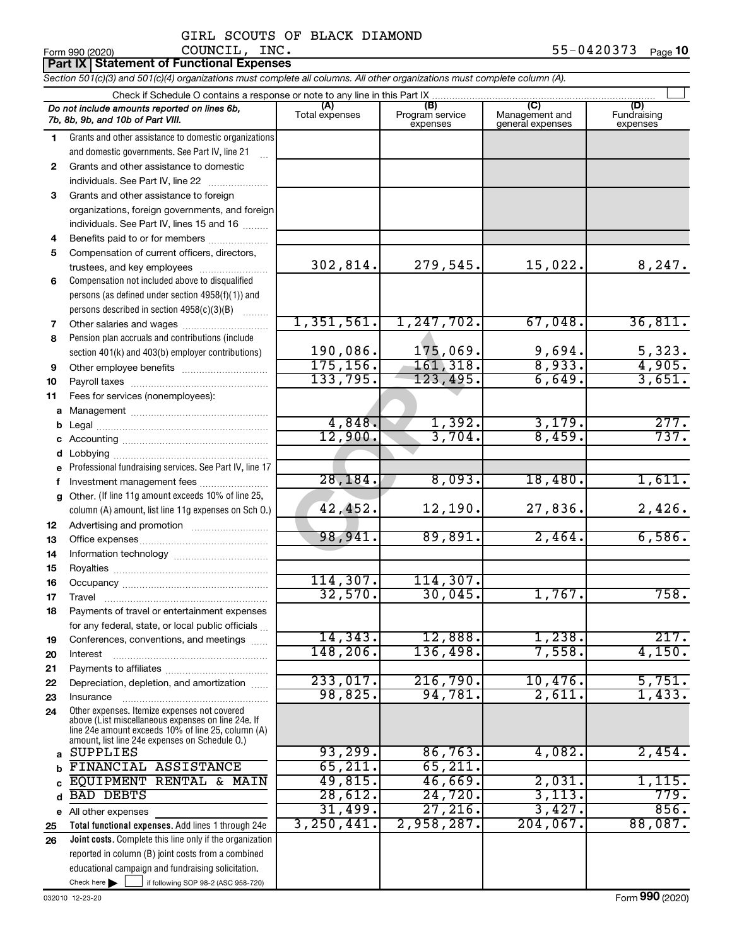# GIRL SCOUTS OF BLACK DIAMOND COUNCIL, INC.

|              | <b>Part IX Statement of Functional Expenses</b>                                                                                                  |                       |                                    |                                           |                                |
|--------------|--------------------------------------------------------------------------------------------------------------------------------------------------|-----------------------|------------------------------------|-------------------------------------------|--------------------------------|
|              | Section 501(c)(3) and 501(c)(4) organizations must complete all columns. All other organizations must complete column (A).                       |                       |                                    |                                           |                                |
|              | Check if Schedule O contains a response or note to any line in this Part IX.                                                                     |                       |                                    |                                           |                                |
|              | Do not include amounts reported on lines 6b,<br>7b, 8b, 9b, and 10b of Part VIII.                                                                | (A)<br>Total expenses | (B)<br>Program service<br>expenses | (C)<br>Management and<br>general expenses | (D)<br>Fundraising<br>expenses |
| 1.           | Grants and other assistance to domestic organizations                                                                                            |                       |                                    |                                           |                                |
|              | and domestic governments. See Part IV, line 21                                                                                                   |                       |                                    |                                           |                                |
| $\mathbf{2}$ | Grants and other assistance to domestic                                                                                                          |                       |                                    |                                           |                                |
|              | individuals. See Part IV, line 22<br>and a straightful and a straightful and a straightful and a straightful and a straightful and a straightful |                       |                                    |                                           |                                |
| 3            | Grants and other assistance to foreign                                                                                                           |                       |                                    |                                           |                                |
|              | organizations, foreign governments, and foreign                                                                                                  |                       |                                    |                                           |                                |
|              | individuals. See Part IV, lines 15 and 16                                                                                                        |                       |                                    |                                           |                                |
| 4            | Benefits paid to or for members                                                                                                                  |                       |                                    |                                           |                                |
| 5            | Compensation of current officers, directors,                                                                                                     |                       |                                    |                                           |                                |
|              | trustees, and key employees                                                                                                                      | 302,814.              | 279,545.                           | 15,022.                                   | 8,247.                         |
| 6            | Compensation not included above to disqualified                                                                                                  |                       |                                    |                                           |                                |
|              | persons (as defined under section 4958(f)(1)) and                                                                                                |                       |                                    |                                           |                                |
|              | persons described in section 4958(c)(3)(B)                                                                                                       | 1,351,561.            | 1, 247, 702.                       | 67,048.                                   | 36,811.                        |
| 7            | Other salaries and wages                                                                                                                         |                       |                                    |                                           |                                |
| 8            | Pension plan accruals and contributions (include                                                                                                 | 190,086.              | 175,069.                           | 9,694.                                    | 5,323.                         |
|              | section 401(k) and 403(b) employer contributions)                                                                                                | 175, 156.             | 161,318.                           | 8,933.                                    | 4,905.                         |
| 9<br>10      |                                                                                                                                                  | 133,795.              | 123, 495.                          | 6,649.                                    | 3,651.                         |
| 11           | Fees for services (nonemployees):                                                                                                                |                       |                                    |                                           |                                |
| a            |                                                                                                                                                  |                       |                                    |                                           |                                |
| $\mathbf b$  |                                                                                                                                                  | 4,848.                | 1,392.                             | 3,179.                                    | 277.                           |
| c            |                                                                                                                                                  | 12,900.               | 3,704.                             | 8,459.                                    | 737.                           |
| d            | Lobbying                                                                                                                                         |                       |                                    |                                           |                                |
| e            | Professional fundraising services. See Part IV, line 17                                                                                          |                       |                                    |                                           |                                |
| f            | Investment management fees                                                                                                                       | 28, 184.              | 8,093.                             | 18,480.                                   | 1,611.                         |
| g            | Other. (If line 11g amount exceeds 10% of line 25,                                                                                               |                       |                                    |                                           |                                |
|              | column (A) amount, list line 11g expenses on Sch O.)                                                                                             | 42,452.               | 12,190.                            | 27,836.                                   | 2,426.                         |
| 12           |                                                                                                                                                  |                       |                                    |                                           |                                |
| 13           |                                                                                                                                                  | 98,941.               | 89,891.                            | 2,464.                                    | 6,586.                         |
| 14           |                                                                                                                                                  |                       |                                    |                                           |                                |
| 15           |                                                                                                                                                  |                       |                                    |                                           |                                |
| 16           |                                                                                                                                                  | 114,307.              | 114,307.                           |                                           |                                |
| 17           | Travel                                                                                                                                           | 32,570.               | 30,045.                            | 1,767.                                    | 758.                           |
| 18           | Payments of travel or entertainment expenses                                                                                                     |                       |                                    |                                           |                                |
|              | for any federal, state, or local public officials                                                                                                | 14, 343.              | 12,888.                            | 1,238.                                    | 217.                           |
| 19           | Conferences, conventions, and meetings                                                                                                           | 148,206.              | 136,498.                           | 7,558.                                    | 4,150.                         |
| 20           | Interest                                                                                                                                         |                       |                                    |                                           |                                |
| 21<br>22     | Depreciation, depletion, and amortization                                                                                                        | 233,017.              | 216,790.                           | 10,476.                                   | 5,751.                         |
| 23           | Insurance                                                                                                                                        | 98,825.               | 94,781.                            | 2,611.                                    | 1,433.                         |
| 24           | Other expenses. Itemize expenses not covered                                                                                                     |                       |                                    |                                           |                                |
|              | above (List miscellaneous expenses on line 24e. If                                                                                               |                       |                                    |                                           |                                |
|              | line 24e amount exceeds 10% of line 25, column (A)<br>amount, list line 24e expenses on Schedule O.)                                             |                       |                                    |                                           |                                |
| a            | SUPPLIES                                                                                                                                         | 93, 299.              | 86,763.                            | 4,082.                                    | 2,454.                         |
| b            | FINANCIAL ASSISTANCE                                                                                                                             | 65, 211.              | 65,211.                            |                                           |                                |
| C            | EQUIPMENT RENTAL & MAIN                                                                                                                          | 49,815.               | 46,669.                            | 2,031.                                    | 1,115.                         |
| d            | <b>BAD DEBTS</b>                                                                                                                                 | 28,612.               | 24,720.                            | 3,113.                                    | 779.                           |
| е            | All other expenses                                                                                                                               | 31,499.               | 27,216.                            | 3,427.                                    | 856.                           |
| 25           | Total functional expenses. Add lines 1 through 24e                                                                                               | 3, 250, 441.          | 2,958,287.                         | $204,067$ .                               | 88,087.                        |
| 26           | Joint costs. Complete this line only if the organization                                                                                         |                       |                                    |                                           |                                |
|              | reported in column (B) joint costs from a combined                                                                                               |                       |                                    |                                           |                                |
|              | educational campaign and fundraising solicitation.                                                                                               |                       |                                    |                                           |                                |
|              | Check here $\blacktriangleright$<br>if following SOP 98-2 (ASC 958-720)                                                                          |                       |                                    |                                           |                                |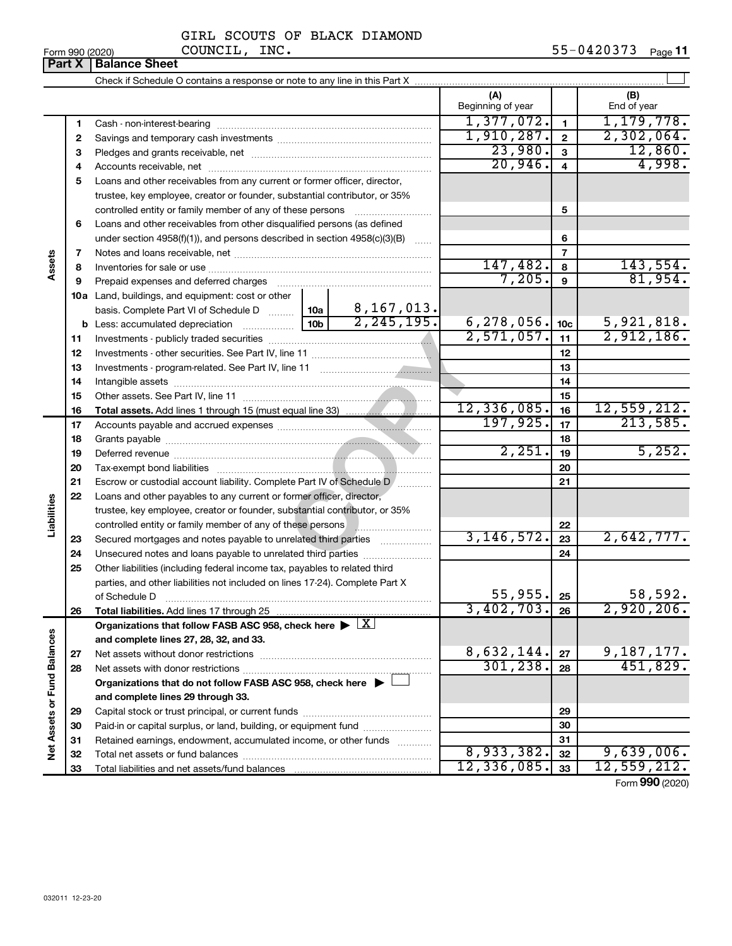|  | Form 990 (2020) |
|--|-----------------|
|  |                 |

# GIRL SCOUTS OF BLACK DIAMOND COUNCIL, INC.

|                             | Part X   | LOUI AAN (SASA)<br>~~~~~~ <i>~</i><br><b>Balance Sheet</b>                                                                                                                                                                    |                   |                 | 0 = 4 0 J 7 J<br>raye <b>II</b> |
|-----------------------------|----------|-------------------------------------------------------------------------------------------------------------------------------------------------------------------------------------------------------------------------------|-------------------|-----------------|---------------------------------|
|                             |          |                                                                                                                                                                                                                               |                   |                 |                                 |
|                             |          |                                                                                                                                                                                                                               | (A)               |                 | (B)                             |
|                             |          |                                                                                                                                                                                                                               | Beginning of year |                 | End of year                     |
|                             | 1        |                                                                                                                                                                                                                               | 1,377,072.        | $\mathbf{1}$    | 1, 179, 778.                    |
|                             | 2        |                                                                                                                                                                                                                               | 1,910,287.        | $\mathbf{2}$    | 2,302,064.                      |
|                             | З        |                                                                                                                                                                                                                               | 23,980.           | 3               | 12,860.                         |
|                             | 4        |                                                                                                                                                                                                                               | 20,946.           | $\overline{4}$  | 4,998.                          |
|                             | 5        | Loans and other receivables from any current or former officer, director,                                                                                                                                                     |                   |                 |                                 |
|                             |          | trustee, key employee, creator or founder, substantial contributor, or 35%                                                                                                                                                    |                   |                 |                                 |
|                             |          | controlled entity or family member of any of these persons                                                                                                                                                                    |                   | 5               |                                 |
|                             | 6        | Loans and other receivables from other disqualified persons (as defined                                                                                                                                                       |                   |                 |                                 |
|                             |          | under section 4958(f)(1)), and persons described in section 4958(c)(3)(B)                                                                                                                                                     |                   | 6               |                                 |
|                             | 7        |                                                                                                                                                                                                                               |                   | $\overline{7}$  |                                 |
| Assets                      | 8        |                                                                                                                                                                                                                               | 147,482.          | 8               | 143,554.                        |
|                             | 9        | Prepaid expenses and deferred charges [11] [11] Prepaid expenses and deferred charges [11] [11] Martin Marian Marian Marian Marian Marian Marian Marian Marian Marian Marian Marian Marian Marian Marian Marian Marian Marian | 7,205.            | 9               | 81,954.                         |
|                             |          | 10a Land, buildings, and equipment: cost or other                                                                                                                                                                             |                   |                 |                                 |
|                             |          | 8,167,013.<br>basis. Complete Part VI of Schedule D  10a                                                                                                                                                                      |                   |                 |                                 |
|                             |          | $\overline{2,245,195.}$<br>10 <sub>b</sub><br><b>b</b> Less: accumulated depreciation <i>mimimum</i>                                                                                                                          | 6, 278, 056.      | 10 <sub>c</sub> | 5,921,818.                      |
|                             | 11       |                                                                                                                                                                                                                               | 2,571,057.        | 11              | 2,912,186.                      |
|                             | 12       |                                                                                                                                                                                                                               |                   | 12              |                                 |
|                             | 13       |                                                                                                                                                                                                                               |                   | 13              |                                 |
|                             | 14       |                                                                                                                                                                                                                               |                   | 14              |                                 |
|                             | 15       |                                                                                                                                                                                                                               |                   | 15              |                                 |
|                             | 16       |                                                                                                                                                                                                                               | 12,336,085.       | 16              | 12,559,212.                     |
|                             | 17       |                                                                                                                                                                                                                               | 197,925.          | 17              | 213,585.                        |
|                             | 18       |                                                                                                                                                                                                                               | 2,251.            | 18              | 5,252.                          |
|                             | 19       |                                                                                                                                                                                                                               |                   | 19              |                                 |
|                             | 20       |                                                                                                                                                                                                                               |                   | 20              |                                 |
|                             | 21       | Escrow or custodial account liability. Complete Part IV of Schedule D                                                                                                                                                         |                   | 21              |                                 |
|                             | 22       | Loans and other payables to any current or former officer, director,                                                                                                                                                          |                   |                 |                                 |
| Liabilities                 |          | trustee, key employee, creator or founder, substantial contributor, or 35%                                                                                                                                                    |                   | 22              |                                 |
|                             |          | controlled entity or family member of any of these persons                                                                                                                                                                    | 3, 146, 572.      | 23              | 2,642,777.                      |
|                             | 23<br>24 | Secured mortgages and notes payable to unrelated third parties<br>Unsecured notes and loans payable to unrelated third parties                                                                                                |                   | 24              |                                 |
|                             | 25       | Other liabilities (including federal income tax, payables to related third                                                                                                                                                    |                   |                 |                                 |
|                             |          | parties, and other liabilities not included on lines 17-24). Complete Part X                                                                                                                                                  |                   |                 |                                 |
|                             |          | of Schedule D                                                                                                                                                                                                                 | 55,955.           | 25              | 58,592.                         |
|                             | 26       |                                                                                                                                                                                                                               | 3,402,703.        | 26              | 2,920,206.                      |
|                             |          | Organizations that follow FASB ASC 958, check here $\blacktriangleright \lfloor \underline{X} \rfloor$                                                                                                                        |                   |                 |                                 |
|                             |          | and complete lines 27, 28, 32, and 33.                                                                                                                                                                                        |                   |                 |                                 |
|                             | 27       |                                                                                                                                                                                                                               | 8,632,144.        | 27              | 9,187,177.                      |
|                             | 28       |                                                                                                                                                                                                                               | 301, 238.         | 28              | 451,829.                        |
|                             |          | Organizations that do not follow FASB ASC 958, check here $\blacktriangleright$                                                                                                                                               |                   |                 |                                 |
| Net Assets or Fund Balances |          | and complete lines 29 through 33.                                                                                                                                                                                             |                   |                 |                                 |
|                             | 29       |                                                                                                                                                                                                                               |                   | 29              |                                 |
|                             | 30       | Paid-in or capital surplus, or land, building, or equipment fund                                                                                                                                                              |                   | 30              |                                 |
|                             | 31       | Retained earnings, endowment, accumulated income, or other funds                                                                                                                                                              |                   | 31              |                                 |
|                             | 32       |                                                                                                                                                                                                                               | 8,933,382.        | 32              | 9,639,006.                      |
|                             | 33       |                                                                                                                                                                                                                               | 12,336,085.       | 33              | 12,559,212.                     |

Form (2020) **990**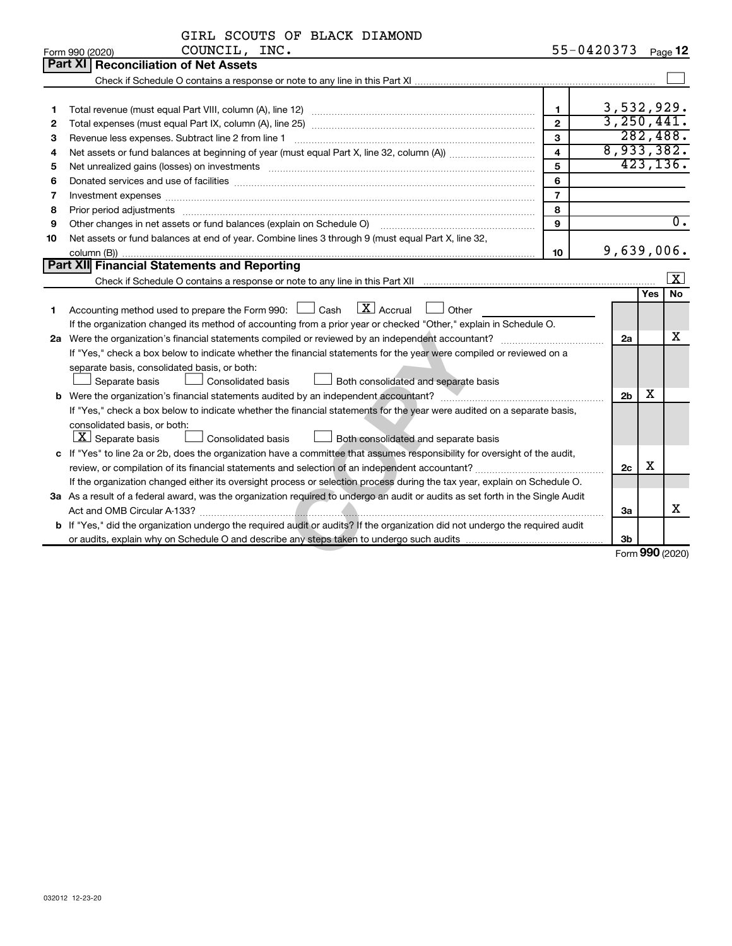|    | GIRL SCOUTS OF BLACK DIAMOND                                                                                                                                                                                                   |                |                 |            |                         |
|----|--------------------------------------------------------------------------------------------------------------------------------------------------------------------------------------------------------------------------------|----------------|-----------------|------------|-------------------------|
|    | COUNCIL, INC.<br>Form 990 (2020)                                                                                                                                                                                               |                | 55-0420373      |            | Page 12                 |
|    | Part XI Reconciliation of Net Assets                                                                                                                                                                                           |                |                 |            |                         |
|    |                                                                                                                                                                                                                                |                |                 |            |                         |
|    |                                                                                                                                                                                                                                |                |                 |            |                         |
| 1  |                                                                                                                                                                                                                                | $\mathbf{1}$   | 3,532,929.      |            |                         |
| 2  |                                                                                                                                                                                                                                | $\overline{2}$ | 3,250,441.      |            |                         |
| з  |                                                                                                                                                                                                                                | $\mathbf{a}$   |                 |            | 282,488.                |
| 4  |                                                                                                                                                                                                                                | $\overline{4}$ | 8,933,382.      |            |                         |
| 5  | Net unrealized gains (losses) on investments [111] www.marting.community.community.community.community.communi                                                                                                                 | 5              |                 |            | 423, 136.               |
| 6  |                                                                                                                                                                                                                                | 6              |                 |            |                         |
| 7  |                                                                                                                                                                                                                                | $\overline{7}$ |                 |            |                         |
| 8  | Prior period adjustments [111] matter contract and adjustments and account and account and adjustments and account and account and account and account and account and account and account and account and account account and | 8              |                 |            |                         |
| 9  | Other changes in net assets or fund balances (explain on Schedule O) manual contraction control of the changes in net assets or fund balances (explain on Schedule O)                                                          | 9              |                 |            | $\overline{0}$ .        |
| 10 | Net assets or fund balances at end of year. Combine lines 3 through 9 (must equal Part X, line 32,                                                                                                                             |                |                 |            |                         |
|    |                                                                                                                                                                                                                                | 10             | 9,639,006.      |            |                         |
|    | Part XII Financial Statements and Reporting                                                                                                                                                                                    |                |                 |            |                         |
|    | Check if Schedule O contains a response or note to any line in this Part XII manufactured contains and contains a response or note to any line in this Part XII manufactured contains and contains and contains and contains a |                |                 |            | $\overline{\mathbf{x}}$ |
|    |                                                                                                                                                                                                                                |                |                 | <b>Yes</b> | <b>No</b>               |
| 1  | Accounting method used to prepare the Form 990: $\Box$ Cash $\Box X$ Accrual<br><b>Other</b>                                                                                                                                   |                |                 |            |                         |
|    | If the organization changed its method of accounting from a prior year or checked "Other," explain in Schedule O.                                                                                                              |                |                 |            |                         |
|    |                                                                                                                                                                                                                                |                | 2a              |            | х                       |
|    | If "Yes," check a box below to indicate whether the financial statements for the year were compiled or reviewed on a                                                                                                           |                |                 |            |                         |
|    | separate basis, consolidated basis, or both:                                                                                                                                                                                   |                |                 |            |                         |
|    | Separate basis<br>Consolidated basis<br>Both consolidated and separate basis                                                                                                                                                   |                |                 |            |                         |
|    |                                                                                                                                                                                                                                |                | 2 <sub>b</sub>  | х          |                         |
|    | If "Yes," check a box below to indicate whether the financial statements for the year were audited on a separate basis,                                                                                                        |                |                 |            |                         |
|    | consolidated basis, or both:                                                                                                                                                                                                   |                |                 |            |                         |
|    | $ \mathbf{X} $ Separate basis<br>Consolidated basis<br>Both consolidated and separate basis                                                                                                                                    |                |                 |            |                         |
|    | c If "Yes" to line 2a or 2b, does the organization have a committee that assumes responsibility for oversight of the audit,                                                                                                    |                |                 |            |                         |
|    |                                                                                                                                                                                                                                |                | 2c              | X          |                         |
|    | If the organization changed either its oversight process or selection process during the tax year, explain on Schedule O.                                                                                                      |                |                 |            |                         |
|    | 3a As a result of a federal award, was the organization required to undergo an audit or audits as set forth in the Single Audit                                                                                                |                |                 |            |                         |
|    |                                                                                                                                                                                                                                |                | За              |            | X                       |
|    | b If "Yes," did the organization undergo the required audit or audits? If the organization did not undergo the required audit                                                                                                  |                |                 |            |                         |
|    |                                                                                                                                                                                                                                |                | 3b              |            |                         |
|    |                                                                                                                                                                                                                                |                | Form 990 (2020) |            |                         |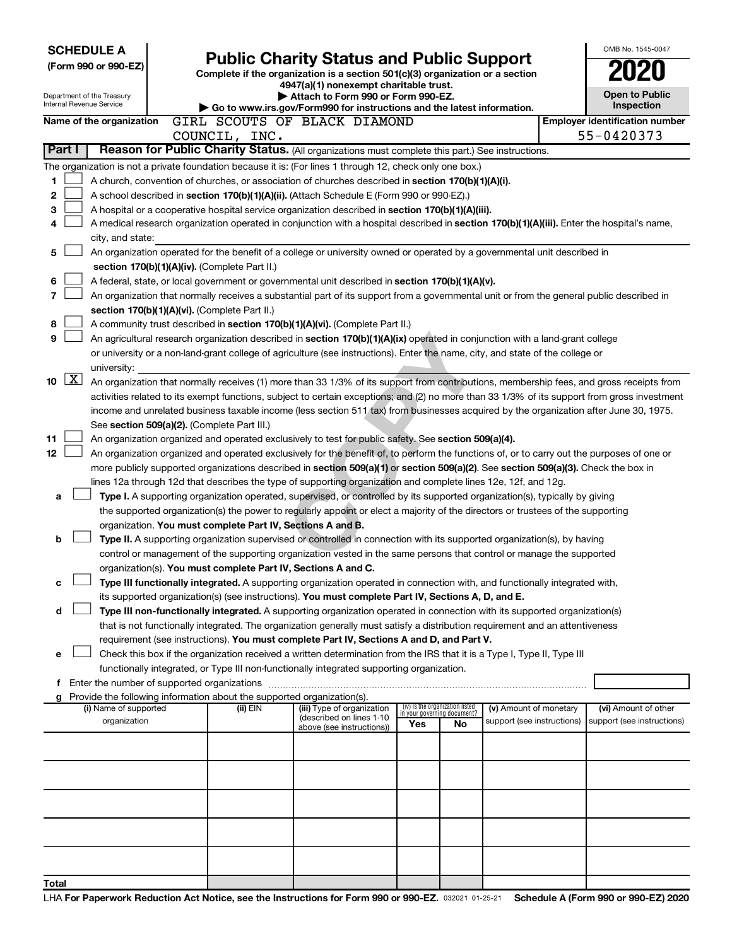| <b>SCHEDULE A</b>                       |                                                                                                                                                                                                                                                                                          |                                                                                                                                  |                                                                |    |                            |                                       | OMB No. 1545-0047          |  |
|-----------------------------------------|------------------------------------------------------------------------------------------------------------------------------------------------------------------------------------------------------------------------------------------------------------------------------------------|----------------------------------------------------------------------------------------------------------------------------------|----------------------------------------------------------------|----|----------------------------|---------------------------------------|----------------------------|--|
| (Form 990 or 990-EZ)                    |                                                                                                                                                                                                                                                                                          | <b>Public Charity Status and Public Support</b><br>Complete if the organization is a section 501(c)(3) organization or a section |                                                                |    |                            |                                       |                            |  |
|                                         |                                                                                                                                                                                                                                                                                          | 4947(a)(1) nonexempt charitable trust.                                                                                           |                                                                |    |                            |                                       |                            |  |
| Department of the Treasury              |                                                                                                                                                                                                                                                                                          | Attach to Form 990 or Form 990-EZ.                                                                                               |                                                                |    | <b>Open to Public</b>      |                                       |                            |  |
| Internal Revenue Service                |                                                                                                                                                                                                                                                                                          | Go to www.irs.gov/Form990 for instructions and the latest information.                                                           |                                                                |    |                            | <b>Inspection</b>                     |                            |  |
| Name of the organization                | GIRL SCOUTS OF BLACK DIAMOND                                                                                                                                                                                                                                                             |                                                                                                                                  |                                                                |    |                            | <b>Employer identification number</b> |                            |  |
|                                         | COUNCIL, INC.                                                                                                                                                                                                                                                                            |                                                                                                                                  |                                                                |    |                            |                                       | 55-0420373                 |  |
| Part I                                  | Reason for Public Charity Status. (All organizations must complete this part.) See instructions.                                                                                                                                                                                         |                                                                                                                                  |                                                                |    |                            |                                       |                            |  |
|                                         | The organization is not a private foundation because it is: (For lines 1 through 12, check only one box.)                                                                                                                                                                                |                                                                                                                                  |                                                                |    |                            |                                       |                            |  |
| 1                                       | A church, convention of churches, or association of churches described in section 170(b)(1)(A)(i).                                                                                                                                                                                       |                                                                                                                                  |                                                                |    |                            |                                       |                            |  |
| 2                                       | A school described in section 170(b)(1)(A)(ii). (Attach Schedule E (Form 990 or 990-EZ).)                                                                                                                                                                                                |                                                                                                                                  |                                                                |    |                            |                                       |                            |  |
| 3                                       | A hospital or a cooperative hospital service organization described in section 170(b)(1)(A)(iii).                                                                                                                                                                                        |                                                                                                                                  |                                                                |    |                            |                                       |                            |  |
| 4                                       | A medical research organization operated in conjunction with a hospital described in section 170(b)(1)(A)(iii). Enter the hospital's name,                                                                                                                                               |                                                                                                                                  |                                                                |    |                            |                                       |                            |  |
| city, and state:                        |                                                                                                                                                                                                                                                                                          |                                                                                                                                  |                                                                |    |                            |                                       |                            |  |
| 5                                       | An organization operated for the benefit of a college or university owned or operated by a governmental unit described in                                                                                                                                                                |                                                                                                                                  |                                                                |    |                            |                                       |                            |  |
|                                         | section 170(b)(1)(A)(iv). (Complete Part II.)                                                                                                                                                                                                                                            |                                                                                                                                  |                                                                |    |                            |                                       |                            |  |
| 6                                       | A federal, state, or local government or governmental unit described in section 170(b)(1)(A)(v).                                                                                                                                                                                         |                                                                                                                                  |                                                                |    |                            |                                       |                            |  |
| 7                                       | An organization that normally receives a substantial part of its support from a governmental unit or from the general public described in                                                                                                                                                |                                                                                                                                  |                                                                |    |                            |                                       |                            |  |
|                                         | section 170(b)(1)(A)(vi). (Complete Part II.)                                                                                                                                                                                                                                            |                                                                                                                                  |                                                                |    |                            |                                       |                            |  |
| 8                                       | A community trust described in section 170(b)(1)(A)(vi). (Complete Part II.)                                                                                                                                                                                                             |                                                                                                                                  |                                                                |    |                            |                                       |                            |  |
| 9                                       | An agricultural research organization described in section 170(b)(1)(A)(ix) operated in conjunction with a land-grant college                                                                                                                                                            |                                                                                                                                  |                                                                |    |                            |                                       |                            |  |
|                                         | or university or a non-land-grant college of agriculture (see instructions). Enter the name, city, and state of the college or                                                                                                                                                           |                                                                                                                                  |                                                                |    |                            |                                       |                            |  |
| university:<br>$\boxed{\text{X}}$<br>10 |                                                                                                                                                                                                                                                                                          |                                                                                                                                  |                                                                |    |                            |                                       |                            |  |
|                                         | An organization that normally receives (1) more than 33 1/3% of its support from contributions, membership fees, and gross receipts from<br>activities related to its exempt functions, subject to certain exceptions; and (2) no more than 33 1/3% of its support from gross investment |                                                                                                                                  |                                                                |    |                            |                                       |                            |  |
|                                         | income and unrelated business taxable income (less section 511 tax) from businesses acquired by the organization after June 30, 1975.                                                                                                                                                    |                                                                                                                                  |                                                                |    |                            |                                       |                            |  |
|                                         | See section 509(a)(2). (Complete Part III.)                                                                                                                                                                                                                                              |                                                                                                                                  |                                                                |    |                            |                                       |                            |  |
| 11                                      | An organization organized and operated exclusively to test for public safety. See section 509(a)(4).                                                                                                                                                                                     |                                                                                                                                  |                                                                |    |                            |                                       |                            |  |
| 12                                      | An organization organized and operated exclusively for the benefit of, to perform the functions of, or to carry out the purposes of one or                                                                                                                                               |                                                                                                                                  |                                                                |    |                            |                                       |                            |  |
|                                         | more publicly supported organizations described in section 509(a)(1) or section 509(a)(2). See section 509(a)(3). Check the box in                                                                                                                                                       |                                                                                                                                  |                                                                |    |                            |                                       |                            |  |
|                                         | lines 12a through 12d that describes the type of supporting organization and complete lines 12e, 12f, and 12g.                                                                                                                                                                           |                                                                                                                                  |                                                                |    |                            |                                       |                            |  |
| а                                       | Type I. A supporting organization operated, supervised, or controlled by its supported organization(s), typically by giving                                                                                                                                                              |                                                                                                                                  |                                                                |    |                            |                                       |                            |  |
|                                         | the supported organization(s) the power to regularly appoint or elect a majority of the directors or trustees of the supporting                                                                                                                                                          |                                                                                                                                  |                                                                |    |                            |                                       |                            |  |
|                                         | organization. You must complete Part IV, Sections A and B.                                                                                                                                                                                                                               |                                                                                                                                  |                                                                |    |                            |                                       |                            |  |
| b                                       | Type II. A supporting organization supervised or controlled in connection with its supported organization(s), by having                                                                                                                                                                  |                                                                                                                                  |                                                                |    |                            |                                       |                            |  |
|                                         | control or management of the supporting organization vested in the same persons that control or manage the supported                                                                                                                                                                     |                                                                                                                                  |                                                                |    |                            |                                       |                            |  |
|                                         | organization(s). You must complete Part IV, Sections A and C.                                                                                                                                                                                                                            |                                                                                                                                  |                                                                |    |                            |                                       |                            |  |
| с                                       | Type III functionally integrated. A supporting organization operated in connection with, and functionally integrated with,                                                                                                                                                               |                                                                                                                                  |                                                                |    |                            |                                       |                            |  |
|                                         | its supported organization(s) (see instructions). You must complete Part IV, Sections A, D, and E.                                                                                                                                                                                       |                                                                                                                                  |                                                                |    |                            |                                       |                            |  |
| d                                       | Type III non-functionally integrated. A supporting organization operated in connection with its supported organization(s)                                                                                                                                                                |                                                                                                                                  |                                                                |    |                            |                                       |                            |  |
|                                         | that is not functionally integrated. The organization generally must satisfy a distribution requirement and an attentiveness                                                                                                                                                             |                                                                                                                                  |                                                                |    |                            |                                       |                            |  |
| е                                       | requirement (see instructions). You must complete Part IV, Sections A and D, and Part V.<br>Check this box if the organization received a written determination from the IRS that it is a Type I, Type II, Type III                                                                      |                                                                                                                                  |                                                                |    |                            |                                       |                            |  |
|                                         | functionally integrated, or Type III non-functionally integrated supporting organization.                                                                                                                                                                                                |                                                                                                                                  |                                                                |    |                            |                                       |                            |  |
|                                         | f Enter the number of supported organizations                                                                                                                                                                                                                                            |                                                                                                                                  |                                                                |    |                            |                                       |                            |  |
|                                         | g Provide the following information about the supported organization(s).                                                                                                                                                                                                                 |                                                                                                                                  |                                                                |    |                            |                                       |                            |  |
| (i) Name of supported                   | (ii) EIN                                                                                                                                                                                                                                                                                 | (iii) Type of organization                                                                                                       | (iv) Is the organization listed<br>in your governing document? |    | (v) Amount of monetary     |                                       | (vi) Amount of other       |  |
| organization                            |                                                                                                                                                                                                                                                                                          | (described on lines 1-10<br>above (see instructions))                                                                            | Yes                                                            | No | support (see instructions) |                                       | support (see instructions) |  |
|                                         |                                                                                                                                                                                                                                                                                          |                                                                                                                                  |                                                                |    |                            |                                       |                            |  |
|                                         |                                                                                                                                                                                                                                                                                          |                                                                                                                                  |                                                                |    |                            |                                       |                            |  |
|                                         |                                                                                                                                                                                                                                                                                          |                                                                                                                                  |                                                                |    |                            |                                       |                            |  |
|                                         |                                                                                                                                                                                                                                                                                          |                                                                                                                                  |                                                                |    |                            |                                       |                            |  |
|                                         |                                                                                                                                                                                                                                                                                          |                                                                                                                                  |                                                                |    |                            |                                       |                            |  |
|                                         |                                                                                                                                                                                                                                                                                          |                                                                                                                                  |                                                                |    |                            |                                       |                            |  |
|                                         |                                                                                                                                                                                                                                                                                          |                                                                                                                                  |                                                                |    |                            |                                       |                            |  |
|                                         |                                                                                                                                                                                                                                                                                          |                                                                                                                                  |                                                                |    |                            |                                       |                            |  |
|                                         |                                                                                                                                                                                                                                                                                          |                                                                                                                                  |                                                                |    |                            |                                       |                            |  |
| Total                                   |                                                                                                                                                                                                                                                                                          |                                                                                                                                  |                                                                |    |                            |                                       |                            |  |
|                                         |                                                                                                                                                                                                                                                                                          |                                                                                                                                  |                                                                |    |                            |                                       |                            |  |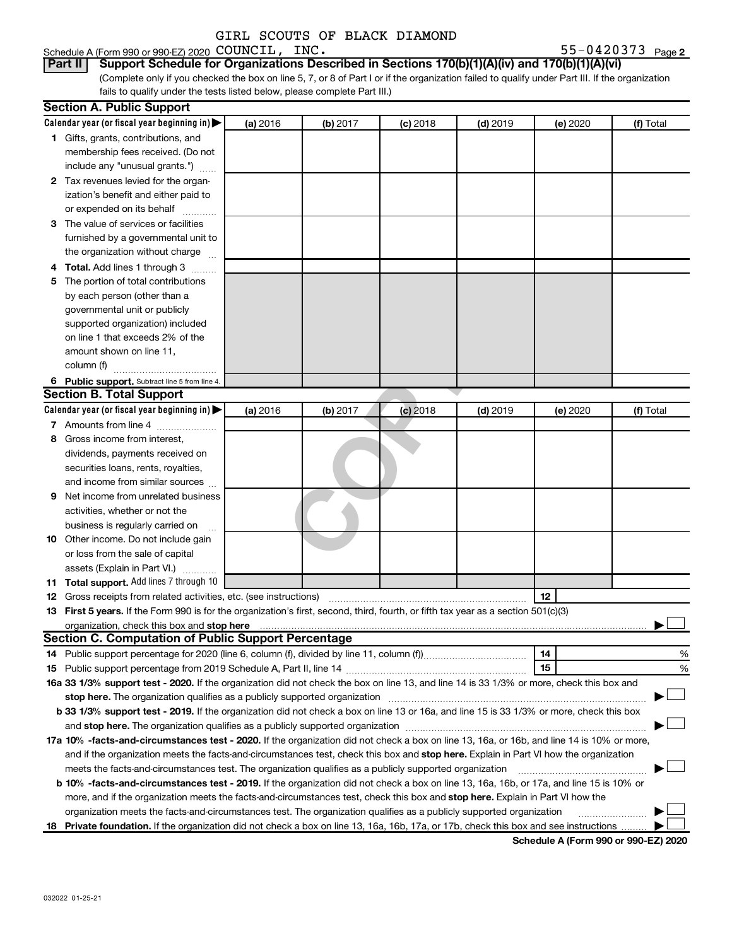Schedule A (Form 990 or 990-EZ) 2020  $\mathtt{COUNTL}$ ,  $\mathtt{INC.}$   $\mathtt{S5-0420373}$   $_\mathtt{Page}$ 

55-0420373 Page 2

(Complete only if you checked the box on line 5, 7, or 8 of Part I or if the organization failed to qualify under Part III. If the organization fails to qualify under the tests listed below, please complete Part III.) **Part II Support Schedule for Organizations Described in Sections 170(b)(1)(A)(iv) and 170(b)(1)(A)(vi)**

|   | <b>Section A. Public Support</b>                                                                                                                                                                                                     |          |          |            |            |          |           |
|---|--------------------------------------------------------------------------------------------------------------------------------------------------------------------------------------------------------------------------------------|----------|----------|------------|------------|----------|-----------|
|   | Calendar year (or fiscal year beginning in)                                                                                                                                                                                          | (a) 2016 | (b) 2017 | $(c)$ 2018 | $(d)$ 2019 | (e) 2020 | (f) Total |
|   | 1 Gifts, grants, contributions, and                                                                                                                                                                                                  |          |          |            |            |          |           |
|   | membership fees received. (Do not                                                                                                                                                                                                    |          |          |            |            |          |           |
|   | include any "unusual grants.")                                                                                                                                                                                                       |          |          |            |            |          |           |
|   | 2 Tax revenues levied for the organ-                                                                                                                                                                                                 |          |          |            |            |          |           |
|   | ization's benefit and either paid to                                                                                                                                                                                                 |          |          |            |            |          |           |
|   | or expended on its behalf                                                                                                                                                                                                            |          |          |            |            |          |           |
|   | 3 The value of services or facilities                                                                                                                                                                                                |          |          |            |            |          |           |
|   | furnished by a governmental unit to                                                                                                                                                                                                  |          |          |            |            |          |           |
|   | the organization without charge                                                                                                                                                                                                      |          |          |            |            |          |           |
|   | 4 Total. Add lines 1 through 3                                                                                                                                                                                                       |          |          |            |            |          |           |
|   | 5 The portion of total contributions                                                                                                                                                                                                 |          |          |            |            |          |           |
|   | by each person (other than a                                                                                                                                                                                                         |          |          |            |            |          |           |
|   | governmental unit or publicly                                                                                                                                                                                                        |          |          |            |            |          |           |
|   | supported organization) included                                                                                                                                                                                                     |          |          |            |            |          |           |
|   | on line 1 that exceeds 2% of the                                                                                                                                                                                                     |          |          |            |            |          |           |
|   | amount shown on line 11,                                                                                                                                                                                                             |          |          |            |            |          |           |
|   | column (f)                                                                                                                                                                                                                           |          |          |            |            |          |           |
|   | 6 Public support. Subtract line 5 from line 4.                                                                                                                                                                                       |          |          |            |            |          |           |
|   | <b>Section B. Total Support</b>                                                                                                                                                                                                      |          |          |            |            |          |           |
|   | Calendar year (or fiscal year beginning in)                                                                                                                                                                                          | (a) 2016 | (b) 2017 | $(c)$ 2018 | $(d)$ 2019 | (e) 2020 | (f) Total |
|   | 7 Amounts from line 4                                                                                                                                                                                                                |          |          |            |            |          |           |
| 8 | Gross income from interest.                                                                                                                                                                                                          |          |          |            |            |          |           |
|   | dividends, payments received on                                                                                                                                                                                                      |          |          |            |            |          |           |
|   | securities loans, rents, royalties,                                                                                                                                                                                                  |          |          |            |            |          |           |
|   | and income from similar sources                                                                                                                                                                                                      |          |          |            |            |          |           |
| 9 | Net income from unrelated business                                                                                                                                                                                                   |          |          |            |            |          |           |
|   | activities, whether or not the                                                                                                                                                                                                       |          |          |            |            |          |           |
|   | business is regularly carried on                                                                                                                                                                                                     |          |          |            |            |          |           |
|   | 10 Other income. Do not include gain                                                                                                                                                                                                 |          |          |            |            |          |           |
|   | or loss from the sale of capital                                                                                                                                                                                                     |          |          |            |            |          |           |
|   | assets (Explain in Part VI.)                                                                                                                                                                                                         |          |          |            |            |          |           |
|   | 11 Total support. Add lines 7 through 10                                                                                                                                                                                             |          |          |            |            |          |           |
|   | <b>12</b> Gross receipts from related activities, etc. (see instructions)                                                                                                                                                            |          |          |            |            | 12       |           |
|   | 13 First 5 years. If the Form 990 is for the organization's first, second, third, fourth, or fifth tax year as a section 501(c)(3)                                                                                                   |          |          |            |            |          |           |
|   | organization, check this box and stop here <b>contractly contractly and the contract of the contract of the contract of the contract of the contract of the contract of the contract of the contract of the contract of the cont</b> |          |          |            |            |          |           |
|   | <b>Section C. Computation of Public Support Percentage</b>                                                                                                                                                                           |          |          |            |            |          |           |
|   |                                                                                                                                                                                                                                      |          |          |            |            | 14       | %         |
|   |                                                                                                                                                                                                                                      |          |          |            |            | 15       | %         |
|   | 16a 33 1/3% support test - 2020. If the organization did not check the box on line 13, and line 14 is 33 1/3% or more, check this box and                                                                                            |          |          |            |            |          |           |
|   |                                                                                                                                                                                                                                      |          |          |            |            |          |           |
|   | b 33 1/3% support test - 2019. If the organization did not check a box on line 13 or 16a, and line 15 is 33 1/3% or more, check this box                                                                                             |          |          |            |            |          |           |
|   |                                                                                                                                                                                                                                      |          |          |            |            |          |           |
|   | 17a 10% -facts-and-circumstances test - 2020. If the organization did not check a box on line 13, 16a, or 16b, and line 14 is 10% or more,                                                                                           |          |          |            |            |          |           |
|   | and if the organization meets the facts-and-circumstances test, check this box and stop here. Explain in Part VI how the organization                                                                                                |          |          |            |            |          |           |
|   | meets the facts-and-circumstances test. The organization qualifies as a publicly supported organization                                                                                                                              |          |          |            |            |          |           |
|   | <b>b 10% -facts-and-circumstances test - 2019.</b> If the organization did not check a box on line 13, 16a, 16b, or 17a, and line 15 is 10% or                                                                                       |          |          |            |            |          |           |
|   | more, and if the organization meets the facts-and-circumstances test, check this box and stop here. Explain in Part VI how the                                                                                                       |          |          |            |            |          |           |
|   | organization meets the facts-and-circumstances test. The organization qualifies as a publicly supported organization                                                                                                                 |          |          |            |            |          |           |
|   | 18 Private foundation. If the organization did not check a box on line 13, 16a, 16b, 17a, or 17b, check this box and see instructions                                                                                                |          |          |            |            |          |           |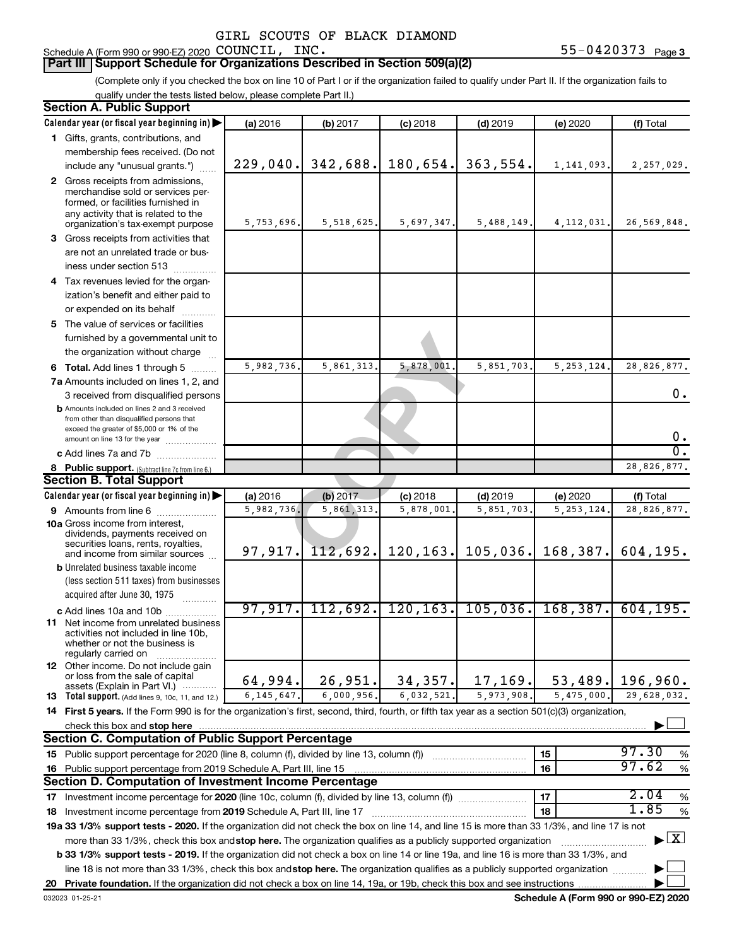# **Part III Support Schedule for Organizations Described in Section 509(a)(2)**

(Complete only if you checked the box on line 10 of Part I or if the organization failed to qualify under Part II. If the organization fails to qualify under the tests listed below, please complete Part II.)

| <b>Section A. Public Support</b>                                                                                                                    |              |              |            |                                |              |                                    |
|-----------------------------------------------------------------------------------------------------------------------------------------------------|--------------|--------------|------------|--------------------------------|--------------|------------------------------------|
| Calendar year (or fiscal year beginning in)                                                                                                         | (a) 2016     | (b) 2017     | $(c)$ 2018 | $(d)$ 2019                     | (e) 2020     | (f) Total                          |
| 1 Gifts, grants, contributions, and                                                                                                                 |              |              |            |                                |              |                                    |
| membership fees received. (Do not                                                                                                                   |              |              |            |                                |              |                                    |
| include any "unusual grants.")                                                                                                                      | 229,040.     | 342,688.     | 180,654.   | 363,554.                       | 1,141,093.   | 2,257,029.                         |
| 2 Gross receipts from admissions,<br>merchandise sold or services per-<br>formed, or facilities furnished in<br>any activity that is related to the | 5,753,696.   | 5, 518, 625. |            |                                |              |                                    |
| organization's tax-exempt purpose                                                                                                                   |              |              | 5,697,347. | 5,488,149.                     | 4, 112, 031. | 26,569,848.                        |
| 3 Gross receipts from activities that<br>are not an unrelated trade or bus-                                                                         |              |              |            |                                |              |                                    |
| iness under section 513                                                                                                                             |              |              |            |                                |              |                                    |
| 4 Tax revenues levied for the organ-<br>ization's benefit and either paid to                                                                        |              |              |            |                                |              |                                    |
| or expended on its behalf                                                                                                                           |              |              |            |                                |              |                                    |
| 5 The value of services or facilities<br>furnished by a governmental unit to<br>the organization without charge                                     |              |              |            |                                |              |                                    |
| 6 Total. Add lines 1 through 5                                                                                                                      | 5,982,736.   | 5,861,313.   | 5,878,001  | 5,851,703                      | 5, 253, 124. | 28,826,877.                        |
| 7a Amounts included on lines 1, 2, and                                                                                                              |              |              |            |                                |              |                                    |
| 3 received from disqualified persons<br><b>b</b> Amounts included on lines 2 and 3 received                                                         |              |              |            |                                |              | 0.                                 |
| from other than disqualified persons that<br>exceed the greater of \$5,000 or 1% of the<br>amount on line 13 for the year                           |              |              |            |                                |              | 0.                                 |
| c Add lines 7a and 7b                                                                                                                               |              |              |            |                                |              | σ.                                 |
| 8 Public support. (Subtract line 7c from line 6.)                                                                                                   |              |              |            |                                |              | 28,826,877.                        |
| <b>Section B. Total Support</b>                                                                                                                     |              |              |            |                                |              |                                    |
| Calendar year (or fiscal year beginning in)                                                                                                         | (a) 2016     | (b) 2017     | $(c)$ 2018 | $(d)$ 2019                     | (e) 2020     | (f) Total                          |
| 9 Amounts from line 6                                                                                                                               | 5,982,736.   | 5, 861, 313. | 5,878,001  | 5,851,703                      | 5, 253, 124  | 28,826,877.                        |
| <b>10a</b> Gross income from interest,<br>dividends, payments received on<br>securities loans, rents, royalties,<br>and income from similar sources | 97, 917.     | 112,692.     | 120, 163.  | 105,036.                       | 168,387.     | 604, 195.                          |
| <b>b</b> Unrelated business taxable income                                                                                                          |              |              |            |                                |              |                                    |
| (less section 511 taxes) from businesses<br>acquired after June 30, 1975                                                                            |              |              |            |                                |              |                                    |
| c Add lines 10a and 10b                                                                                                                             | 97,917.      |              |            | $112,692.$ 120, 163. 105, 036. | 168, 387.    | 604, 195.                          |
| <b>11</b> Net income from unrelated business<br>activities not included in line 10b,<br>whether or not the business is<br>regularly carried on      |              |              |            |                                |              |                                    |
| <b>12</b> Other income. Do not include gain<br>or loss from the sale of capital<br>assets (Explain in Part VI.)                                     | 64,994.      | 26,951.      | 34, 357.   | 17,169.                        | 53,489.      | 196,960.                           |
| <b>13</b> Total support. (Add lines 9, 10c, 11, and 12.)                                                                                            | 6, 145, 647. | 6,000,956.   | 6,032,521. | 5,973,908.                     | 5,475,000    | 29.628.032.                        |
| 14 First 5 years. If the Form 990 is for the organization's first, second, third, fourth, or fifth tax year as a section 501(c)(3) organization,    |              |              |            |                                |              |                                    |
| check this box and stop here                                                                                                                        |              |              |            |                                |              |                                    |
| <b>Section C. Computation of Public Support Percentage</b>                                                                                          |              |              |            |                                |              |                                    |
| 15 Public support percentage for 2020 (line 8, column (f), divided by line 13, column (f))                                                          |              |              |            |                                | 15           | 97.30<br>%                         |
| 16 Public support percentage from 2019 Schedule A, Part III, line 15                                                                                |              |              |            |                                | 16           | 97.62<br>$\%$                      |
| Section D. Computation of Investment Income Percentage                                                                                              |              |              |            |                                |              |                                    |
| 17 Investment income percentage for 2020 (line 10c, column (f), divided by line 13, column (f))                                                     |              |              |            |                                | 17           | 2.04<br>$\%$                       |
| 18 Investment income percentage from 2019 Schedule A, Part III, line 17                                                                             |              |              |            |                                | 18           | 1.85<br>$\%$                       |
| 19a 33 1/3% support tests - 2020. If the organization did not check the box on line 14, and line 15 is more than 33 1/3%, and line 17 is not        |              |              |            |                                |              |                                    |
| more than 33 1/3%, check this box and stop here. The organization qualifies as a publicly supported organization                                    |              |              |            |                                |              | $\blacktriangleright$ $\mathbf{X}$ |
| b 33 1/3% support tests - 2019. If the organization did not check a box on line 14 or line 19a, and line 16 is more than 33 1/3%, and               |              |              |            |                                |              |                                    |
| line 18 is not more than 33 1/3%, check this box and stop here. The organization qualifies as a publicly supported organization                     |              |              |            |                                |              |                                    |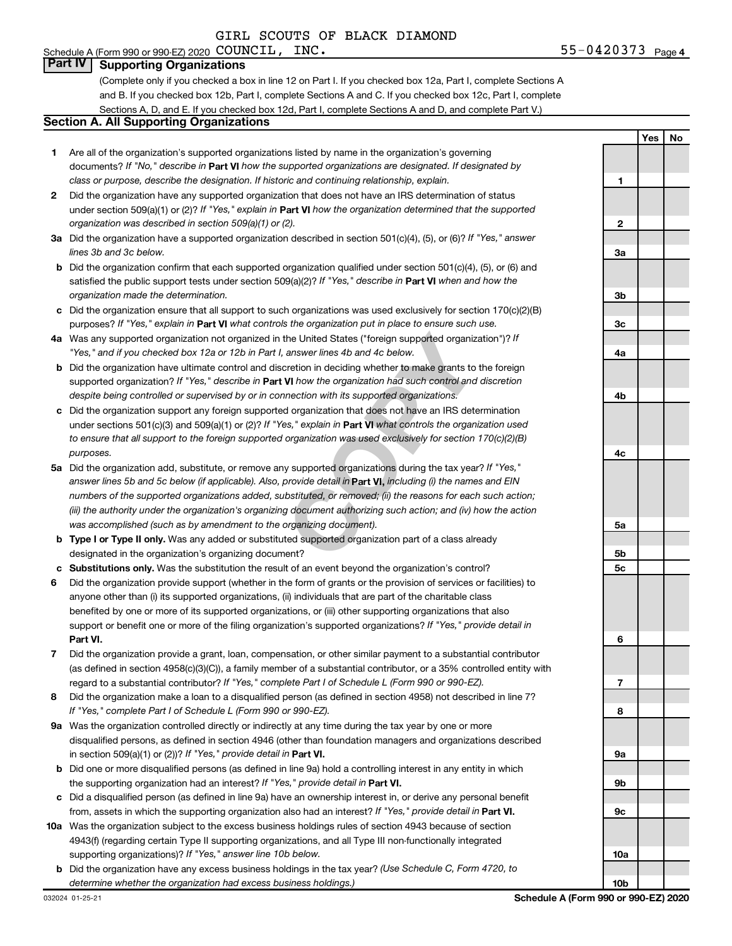### Schedule A (Form 990 or 990-EZ) 2020 COUNCIL,  $INC$ . **Part IV Supporting Organizations**

(Complete only if you checked a box in line 12 on Part I. If you checked box 12a, Part I, complete Sections A and B. If you checked box 12b, Part I, complete Sections A and C. If you checked box 12c, Part I, complete Sections A, D, and E. If you checked box 12d, Part I, complete Sections A and D, and complete Part V.)

## **Section A. All Supporting Organizations**

- **1** Are all of the organization's supported organizations listed by name in the organization's governing documents? If "No," describe in Part VI how the supported organizations are designated. If designated by *class or purpose, describe the designation. If historic and continuing relationship, explain.*
- **2** Did the organization have any supported organization that does not have an IRS determination of status under section 509(a)(1) or (2)? If "Yes," explain in Part **VI** how the organization determined that the supported *organization was described in section 509(a)(1) or (2).*
- **3a** Did the organization have a supported organization described in section 501(c)(4), (5), or (6)? If "Yes," answer *lines 3b and 3c below.*
- **b** Did the organization confirm that each supported organization qualified under section 501(c)(4), (5), or (6) and satisfied the public support tests under section 509(a)(2)? If "Yes," describe in Part VI when and how the *organization made the determination.*
- **c** Did the organization ensure that all support to such organizations was used exclusively for section 170(c)(2)(B) purposes? If "Yes," explain in Part VI what controls the organization put in place to ensure such use.
- **4 a** *If* Was any supported organization not organized in the United States ("foreign supported organization")? *"Yes," and if you checked box 12a or 12b in Part I, answer lines 4b and 4c below.*
- **b** Did the organization have ultimate control and discretion in deciding whether to make grants to the foreign supported organization? If "Yes," describe in Part VI how the organization had such control and discretion *despite being controlled or supervised by or in connection with its supported organizations.*
- **c** Did the organization support any foreign supported organization that does not have an IRS determination under sections 501(c)(3) and 509(a)(1) or (2)? If "Yes," explain in Part VI what controls the organization used *to ensure that all support to the foreign supported organization was used exclusively for section 170(c)(2)(B) purposes.*
- the United States ("foreign supported organization")? *l*<br>answer lines 4b and 4c below.<br>Consider the foreign supported organization")? *l*<br>answer lines 4b and 4c below.<br>**VI** how the organization had such control and discre **5a** Did the organization add, substitute, or remove any supported organizations during the tax year? If "Yes," answer lines 5b and 5c below (if applicable). Also, provide detail in **Part VI,** including (i) the names and EIN *numbers of the supported organizations added, substituted, or removed; (ii) the reasons for each such action; (iii) the authority under the organization's organizing document authorizing such action; and (iv) how the action was accomplished (such as by amendment to the organizing document).*
- **b** Type I or Type II only. Was any added or substituted supported organization part of a class already designated in the organization's organizing document?
- **c Substitutions only.**  Was the substitution the result of an event beyond the organization's control?
- **6** Did the organization provide support (whether in the form of grants or the provision of services or facilities) to **Part VI.** support or benefit one or more of the filing organization's supported organizations? If "Yes," provide detail in anyone other than (i) its supported organizations, (ii) individuals that are part of the charitable class benefited by one or more of its supported organizations, or (iii) other supporting organizations that also
- **7** Did the organization provide a grant, loan, compensation, or other similar payment to a substantial contributor regard to a substantial contributor? If "Yes," complete Part I of Schedule L (Form 990 or 990-EZ). (as defined in section 4958(c)(3)(C)), a family member of a substantial contributor, or a 35% controlled entity with
- **8** Did the organization make a loan to a disqualified person (as defined in section 4958) not described in line 7? *If "Yes," complete Part I of Schedule L (Form 990 or 990-EZ).*
- **9 a** Was the organization controlled directly or indirectly at any time during the tax year by one or more in section 509(a)(1) or (2))? If "Yes," provide detail in **Part VI.** disqualified persons, as defined in section 4946 (other than foundation managers and organizations described
- **b** Did one or more disqualified persons (as defined in line 9a) hold a controlling interest in any entity in which the supporting organization had an interest? If "Yes," provide detail in Part VI.
- **c** Did a disqualified person (as defined in line 9a) have an ownership interest in, or derive any personal benefit from, assets in which the supporting organization also had an interest? If "Yes," provide detail in Part VI.
- **10 a** Was the organization subject to the excess business holdings rules of section 4943 because of section supporting organizations)? If "Yes," answer line 10b below. 4943(f) (regarding certain Type II supporting organizations, and all Type III non-functionally integrated
	- **b** Did the organization have any excess business holdings in the tax year? (Use Schedule C, Form 4720, to *determine whether the organization had excess business holdings.)*

**Yes No 1 2 3a 3b 3c 4a 4b 4c 5a 5b 5c 6 7 8 9a 9b 9c 10a 10b**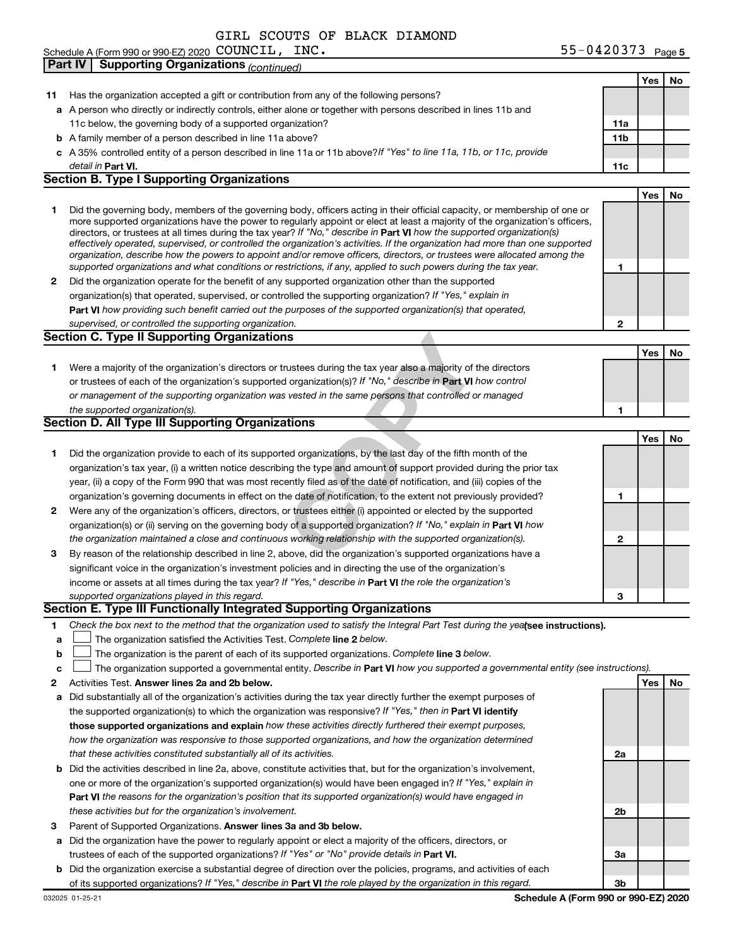| Schedule A (Form 990 or 990-EZ) 2020 $\rm \,COUNCIL$ , | $55 - 0420373$ Page 5 |
|--------------------------------------------------------|-----------------------|
|--------------------------------------------------------|-----------------------|

|    | <b>Supporting Organizations (continued)</b><br><b>Part IV</b>                                                                                                                                                                                                                                                                                                                                                                                                                                                                                                                                                                                        |                 |     |    |
|----|------------------------------------------------------------------------------------------------------------------------------------------------------------------------------------------------------------------------------------------------------------------------------------------------------------------------------------------------------------------------------------------------------------------------------------------------------------------------------------------------------------------------------------------------------------------------------------------------------------------------------------------------------|-----------------|-----|----|
|    |                                                                                                                                                                                                                                                                                                                                                                                                                                                                                                                                                                                                                                                      |                 | Yes | No |
| 11 | Has the organization accepted a gift or contribution from any of the following persons?                                                                                                                                                                                                                                                                                                                                                                                                                                                                                                                                                              |                 |     |    |
|    | a A person who directly or indirectly controls, either alone or together with persons described in lines 11b and                                                                                                                                                                                                                                                                                                                                                                                                                                                                                                                                     |                 |     |    |
|    | 11c below, the governing body of a supported organization?                                                                                                                                                                                                                                                                                                                                                                                                                                                                                                                                                                                           | 11a             |     |    |
|    | <b>b</b> A family member of a person described in line 11a above?                                                                                                                                                                                                                                                                                                                                                                                                                                                                                                                                                                                    | 11 <sub>b</sub> |     |    |
|    | c A 35% controlled entity of a person described in line 11a or 11b above?If "Yes" to line 11a, 11b, or 11c, provide                                                                                                                                                                                                                                                                                                                                                                                                                                                                                                                                  |                 |     |    |
|    | detail in Part VI.                                                                                                                                                                                                                                                                                                                                                                                                                                                                                                                                                                                                                                   | 11c             |     |    |
|    | <b>Section B. Type I Supporting Organizations</b>                                                                                                                                                                                                                                                                                                                                                                                                                                                                                                                                                                                                    |                 |     |    |
|    |                                                                                                                                                                                                                                                                                                                                                                                                                                                                                                                                                                                                                                                      |                 | Yes | No |
| 1  | Did the governing body, members of the governing body, officers acting in their official capacity, or membership of one or<br>more supported organizations have the power to regularly appoint or elect at least a majority of the organization's officers,<br>directors, or trustees at all times during the tax year? If "No," describe in Part VI how the supported organization(s)<br>effectively operated, supervised, or controlled the organization's activities. If the organization had more than one supported<br>organization, describe how the powers to appoint and/or remove officers, directors, or trustees were allocated among the |                 |     |    |
|    | supported organizations and what conditions or restrictions, if any, applied to such powers during the tax year.                                                                                                                                                                                                                                                                                                                                                                                                                                                                                                                                     | 1               |     |    |
| 2  | Did the organization operate for the benefit of any supported organization other than the supported                                                                                                                                                                                                                                                                                                                                                                                                                                                                                                                                                  |                 |     |    |
|    | organization(s) that operated, supervised, or controlled the supporting organization? If "Yes," explain in                                                                                                                                                                                                                                                                                                                                                                                                                                                                                                                                           |                 |     |    |
|    | Part VI how providing such benefit carried out the purposes of the supported organization(s) that operated,                                                                                                                                                                                                                                                                                                                                                                                                                                                                                                                                          |                 |     |    |
|    | supervised, or controlled the supporting organization.                                                                                                                                                                                                                                                                                                                                                                                                                                                                                                                                                                                               | 2               |     |    |
|    | <b>Section C. Type II Supporting Organizations</b>                                                                                                                                                                                                                                                                                                                                                                                                                                                                                                                                                                                                   |                 |     |    |
|    |                                                                                                                                                                                                                                                                                                                                                                                                                                                                                                                                                                                                                                                      |                 | Yes | No |
| 1. | Were a majority of the organization's directors or trustees during the tax year also a majority of the directors                                                                                                                                                                                                                                                                                                                                                                                                                                                                                                                                     |                 |     |    |
|    | or trustees of each of the organization's supported organization(s)? If "No," describe in Part VI how control                                                                                                                                                                                                                                                                                                                                                                                                                                                                                                                                        |                 |     |    |
|    | or management of the supporting organization was vested in the same persons that controlled or managed                                                                                                                                                                                                                                                                                                                                                                                                                                                                                                                                               |                 |     |    |
|    | the supported organization(s).                                                                                                                                                                                                                                                                                                                                                                                                                                                                                                                                                                                                                       | 1               |     |    |
|    | Section D. All Type III Supporting Organizations                                                                                                                                                                                                                                                                                                                                                                                                                                                                                                                                                                                                     |                 |     |    |
|    |                                                                                                                                                                                                                                                                                                                                                                                                                                                                                                                                                                                                                                                      |                 | Yes | No |
| 1  | Did the organization provide to each of its supported organizations, by the last day of the fifth month of the                                                                                                                                                                                                                                                                                                                                                                                                                                                                                                                                       |                 |     |    |
|    | organization's tax year, (i) a written notice describing the type and amount of support provided during the prior tax                                                                                                                                                                                                                                                                                                                                                                                                                                                                                                                                |                 |     |    |
|    | year, (ii) a copy of the Form 990 that was most recently filed as of the date of notification, and (iii) copies of the                                                                                                                                                                                                                                                                                                                                                                                                                                                                                                                               |                 |     |    |
|    | organization's governing documents in effect on the date of notification, to the extent not previously provided?                                                                                                                                                                                                                                                                                                                                                                                                                                                                                                                                     | 1               |     |    |
| 2  | Were any of the organization's officers, directors, or trustees either (i) appointed or elected by the supported                                                                                                                                                                                                                                                                                                                                                                                                                                                                                                                                     |                 |     |    |
|    | organization(s) or (ii) serving on the governing body of a supported organization? If "No," explain in Part VI how                                                                                                                                                                                                                                                                                                                                                                                                                                                                                                                                   |                 |     |    |
|    | the organization maintained a close and continuous working relationship with the supported organization(s).                                                                                                                                                                                                                                                                                                                                                                                                                                                                                                                                          | $\mathbf{2}$    |     |    |
| 3  | By reason of the relationship described in line 2, above, did the organization's supported organizations have a                                                                                                                                                                                                                                                                                                                                                                                                                                                                                                                                      |                 |     |    |
|    | significant voice in the organization's investment policies and in directing the use of the organization's                                                                                                                                                                                                                                                                                                                                                                                                                                                                                                                                           |                 |     |    |
|    | income or assets at all times during the tax year? If "Yes," describe in Part VI the role the organization's                                                                                                                                                                                                                                                                                                                                                                                                                                                                                                                                         |                 |     |    |
|    | supported organizations played in this regard.                                                                                                                                                                                                                                                                                                                                                                                                                                                                                                                                                                                                       | 3               |     |    |
|    | Section E. Type III Functionally Integrated Supporting Organizations                                                                                                                                                                                                                                                                                                                                                                                                                                                                                                                                                                                 |                 |     |    |
| 1. | Check the box next to the method that the organization used to satisfy the Integral Part Test during the yealsee instructions).                                                                                                                                                                                                                                                                                                                                                                                                                                                                                                                      |                 |     |    |
| a  | The organization satisfied the Activities Test. Complete line 2 below.                                                                                                                                                                                                                                                                                                                                                                                                                                                                                                                                                                               |                 |     |    |
| b  | The organization is the parent of each of its supported organizations. Complete line 3 below.                                                                                                                                                                                                                                                                                                                                                                                                                                                                                                                                                        |                 |     |    |
| c  | The organization supported a governmental entity. Describe in Part VI how you supported a governmental entity (see instructions).                                                                                                                                                                                                                                                                                                                                                                                                                                                                                                                    |                 |     |    |
| 2  | Activities Test. Answer lines 2a and 2b below.                                                                                                                                                                                                                                                                                                                                                                                                                                                                                                                                                                                                       |                 | Yes | No |
| a  | Did substantially all of the organization's activities during the tax year directly further the exempt purposes of                                                                                                                                                                                                                                                                                                                                                                                                                                                                                                                                   |                 |     |    |
|    | the supported organization(s) to which the organization was responsive? If "Yes," then in Part VI identify                                                                                                                                                                                                                                                                                                                                                                                                                                                                                                                                           |                 |     |    |
|    | those supported organizations and explain how these activities directly furthered their exempt purposes,                                                                                                                                                                                                                                                                                                                                                                                                                                                                                                                                             |                 |     |    |
|    | how the organization was responsive to those supported organizations, and how the organization determined                                                                                                                                                                                                                                                                                                                                                                                                                                                                                                                                            |                 |     |    |
|    | that these activities constituted substantially all of its activities.                                                                                                                                                                                                                                                                                                                                                                                                                                                                                                                                                                               | 2a              |     |    |
| b  | Did the activities described in line 2a, above, constitute activities that, but for the organization's involvement,                                                                                                                                                                                                                                                                                                                                                                                                                                                                                                                                  |                 |     |    |
|    | one or more of the organization's supported organization(s) would have been engaged in? If "Yes," explain in                                                                                                                                                                                                                                                                                                                                                                                                                                                                                                                                         |                 |     |    |
|    | Part VI the reasons for the organization's position that its supported organization(s) would have engaged in                                                                                                                                                                                                                                                                                                                                                                                                                                                                                                                                         |                 |     |    |
|    | these activities but for the organization's involvement.                                                                                                                                                                                                                                                                                                                                                                                                                                                                                                                                                                                             | 2b              |     |    |
| 3  | Parent of Supported Organizations. Answer lines 3a and 3b below.                                                                                                                                                                                                                                                                                                                                                                                                                                                                                                                                                                                     |                 |     |    |
| а  | Did the organization have the power to regularly appoint or elect a majority of the officers, directors, or                                                                                                                                                                                                                                                                                                                                                                                                                                                                                                                                          |                 |     |    |
|    | trustees of each of the supported organizations? If "Yes" or "No" provide details in Part VI.                                                                                                                                                                                                                                                                                                                                                                                                                                                                                                                                                        | За              |     |    |
| b  | Did the organization exercise a substantial degree of direction over the policies, programs, and activities of each                                                                                                                                                                                                                                                                                                                                                                                                                                                                                                                                  |                 |     |    |
|    | of its supported organizations? If "Yes," describe in Part VI the role played by the organization in this regard.                                                                                                                                                                                                                                                                                                                                                                                                                                                                                                                                    | 3b              |     |    |
|    |                                                                                                                                                                                                                                                                                                                                                                                                                                                                                                                                                                                                                                                      |                 |     |    |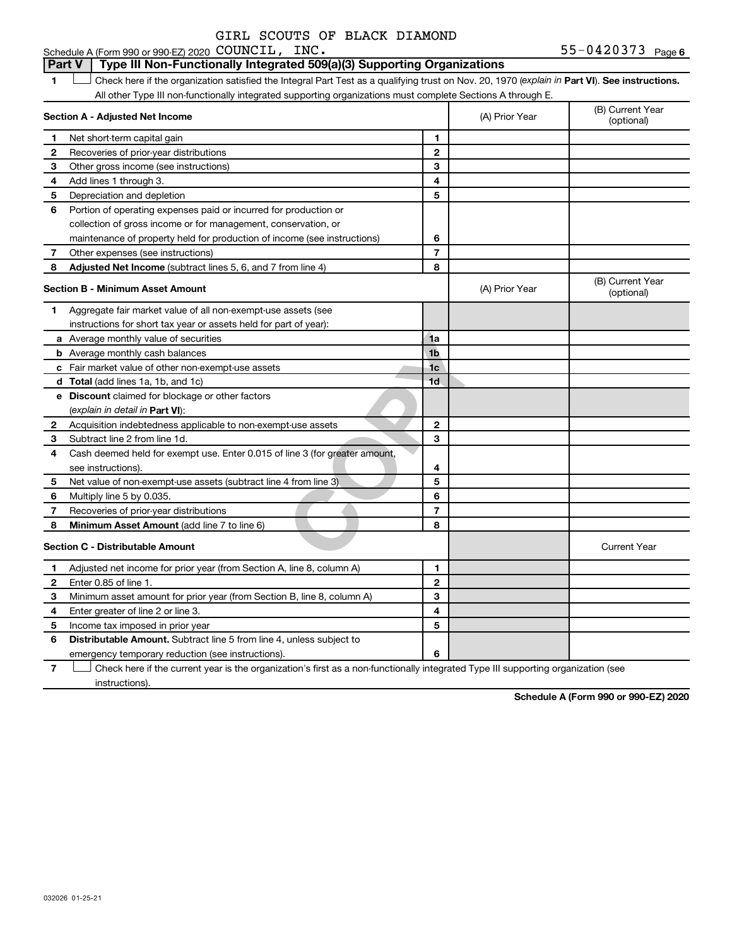## 1 **Letter See instructions.** Check here if the organization satisfied the Integral Part Test as a qualifying trust on Nov. 20, 1970 (*explain in* Part **VI**). See instructions. Schedule A (Form 990 or 990-EZ) 2020  $\mathtt{COUNTL}$ ,  $\mathtt{INC.}$   $\mathtt{S5-0420373}$   $_\mathtt{Page}$ All other Type III non-functionally integrated supporting organizations must complete Sections A through E. **Part V Type III Non-Functionally Integrated 509(a)(3) Supporting Organizations**

|              | Section A - Adjusted Net Income                                             |                | (A) Prior Year | (B) Current Year<br>(optional) |
|--------------|-----------------------------------------------------------------------------|----------------|----------------|--------------------------------|
| 1            | Net short-term capital gain                                                 | 1              |                |                                |
| 2            | Recoveries of prior-year distributions                                      | $\mathbf{2}$   |                |                                |
| 3            | Other gross income (see instructions)                                       | 3              |                |                                |
| 4            | Add lines 1 through 3.                                                      | 4              |                |                                |
| 5            | Depreciation and depletion                                                  | 5              |                |                                |
| 6            | Portion of operating expenses paid or incurred for production or            |                |                |                                |
|              | collection of gross income or for management, conservation, or              |                |                |                                |
|              | maintenance of property held for production of income (see instructions)    | 6              |                |                                |
| 7            | Other expenses (see instructions)                                           | $\overline{7}$ |                |                                |
| 8            | Adjusted Net Income (subtract lines 5, 6, and 7 from line 4)                | 8              |                |                                |
|              | <b>Section B - Minimum Asset Amount</b>                                     |                | (A) Prior Year | (B) Current Year<br>(optional) |
| 1            | Aggregate fair market value of all non-exempt-use assets (see               |                |                |                                |
|              | instructions for short tax year or assets held for part of year):           |                |                |                                |
|              | a Average monthly value of securities                                       | 1a             |                |                                |
|              | <b>b</b> Average monthly cash balances                                      | 1 <sub>b</sub> |                |                                |
|              | c Fair market value of other non-exempt-use assets                          | 1 <sub>c</sub> |                |                                |
|              | <b>d</b> Total (add lines 1a, 1b, and 1c)                                   | 1 <sub>d</sub> |                |                                |
|              | e Discount claimed for blockage or other factors                            |                |                |                                |
|              | (explain in detail in <b>Part VI</b> ):                                     |                |                |                                |
| 2            | Acquisition indebtedness applicable to non-exempt-use assets                | $\mathbf{2}$   |                |                                |
| 3            | Subtract line 2 from line 1d.                                               | 3              |                |                                |
| 4            | Cash deemed held for exempt use. Enter 0.015 of line 3 (for greater amount, |                |                |                                |
|              | see instructions).                                                          | 4              |                |                                |
| 5            | Net value of non-exempt-use assets (subtract line 4 from line 3)            | 5              |                |                                |
| 6            | Multiply line 5 by 0.035.                                                   | 6              |                |                                |
| 7            | Recoveries of prior-year distributions                                      | $\overline{7}$ |                |                                |
| 8            | Minimum Asset Amount (add line 7 to line 6)                                 | 8              |                |                                |
|              | <b>Section C - Distributable Amount</b>                                     |                |                | <b>Current Year</b>            |
| 1            | Adjusted net income for prior year (from Section A, line 8, column A)       | 1              |                |                                |
| $\mathbf{2}$ | Enter 0.85 of line 1.                                                       | $\overline{2}$ |                |                                |
| 3            | Minimum asset amount for prior year (from Section B, line 8, column A)      | 3              |                |                                |
| 4            | Enter greater of line 2 or line 3.                                          | 4              |                |                                |
| 5            | Income tax imposed in prior year                                            | 5              |                |                                |
| 6            | Distributable Amount. Subtract line 5 from line 4, unless subject to        |                |                |                                |
|              | emergency temporary reduction (see instructions).                           | 6              |                |                                |
|              |                                                                             |                |                |                                |

**7** Check here if the current year is the organization's first as a non-functionally integrated Type III supporting organization (see † instructions).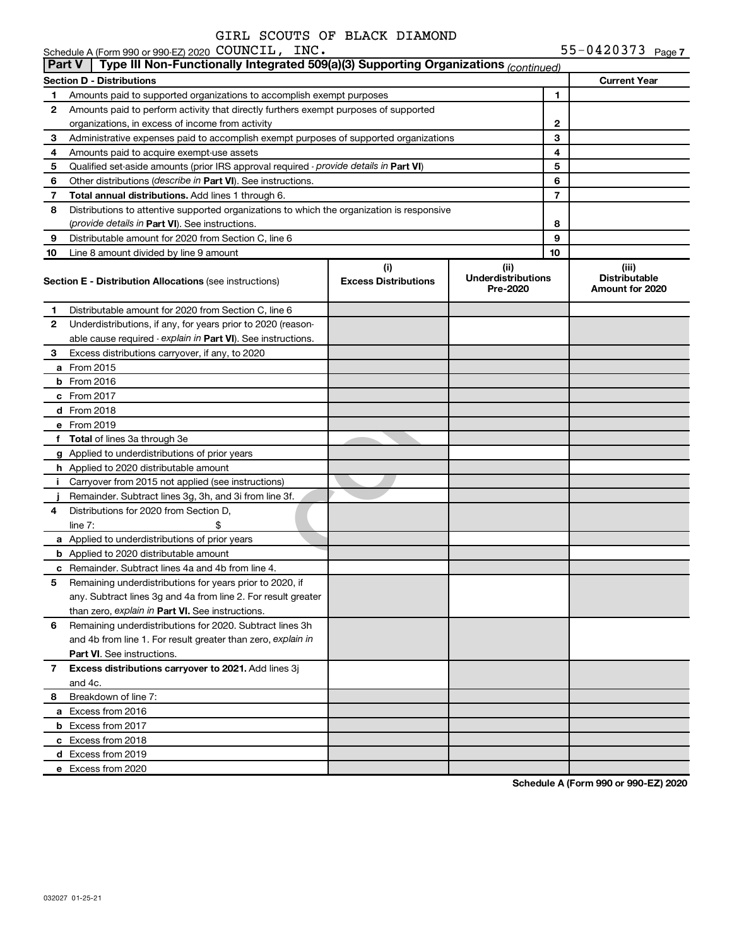|              | Schedule A (Form 990 or 990-EZ) 2020 COUNCIL, INC.                                              |                                    |                                               |    | 55-0420373 Page 7                                |
|--------------|-------------------------------------------------------------------------------------------------|------------------------------------|-----------------------------------------------|----|--------------------------------------------------|
| Part V       | Type III Non-Functionally Integrated 509(a)(3) Supporting Organizations (continued)             |                                    |                                               |    |                                                  |
|              | Section D - Distributions                                                                       |                                    |                                               |    | <b>Current Year</b>                              |
| 1            | Amounts paid to supported organizations to accomplish exempt purposes                           |                                    |                                               | 1  |                                                  |
| 2            | Amounts paid to perform activity that directly furthers exempt purposes of supported            |                                    |                                               |    |                                                  |
|              | organizations, in excess of income from activity                                                |                                    |                                               | 2  |                                                  |
| З            | Administrative expenses paid to accomplish exempt purposes of supported organizations           |                                    |                                               | З  |                                                  |
| 4            | Amounts paid to acquire exempt-use assets                                                       |                                    |                                               | 4  |                                                  |
| 5            | Qualified set-aside amounts (prior IRS approval required - provide details in Part VI)          |                                    |                                               | 5  |                                                  |
| 6            | Other distributions (describe in Part VI). See instructions.                                    |                                    |                                               | 6  |                                                  |
| 7            | Total annual distributions. Add lines 1 through 6.                                              |                                    |                                               | 7  |                                                  |
| 8            | Distributions to attentive supported organizations to which the organization is responsive      |                                    |                                               |    |                                                  |
|              | (provide details in Part VI). See instructions.                                                 |                                    |                                               | 8  |                                                  |
| 9            | Distributable amount for 2020 from Section C, line 6                                            |                                    |                                               | 9  |                                                  |
| 10           | Line 8 amount divided by line 9 amount                                                          |                                    |                                               | 10 |                                                  |
|              | <b>Section E - Distribution Allocations (see instructions)</b>                                  | (i)<br><b>Excess Distributions</b> | (ii)<br><b>Underdistributions</b><br>Pre-2020 |    | (iii)<br><b>Distributable</b><br>Amount for 2020 |
| 1            | Distributable amount for 2020 from Section C, line 6                                            |                                    |                                               |    |                                                  |
| 2            | Underdistributions, if any, for years prior to 2020 (reason-                                    |                                    |                                               |    |                                                  |
|              | able cause required - explain in Part VI). See instructions.                                    |                                    |                                               |    |                                                  |
| 3            | Excess distributions carryover, if any, to 2020                                                 |                                    |                                               |    |                                                  |
|              | <b>a</b> From 2015                                                                              |                                    |                                               |    |                                                  |
|              | $b$ From 2016                                                                                   |                                    |                                               |    |                                                  |
|              | c From 2017                                                                                     |                                    |                                               |    |                                                  |
|              | <b>d</b> From 2018                                                                              |                                    |                                               |    |                                                  |
|              | e From 2019                                                                                     |                                    |                                               |    |                                                  |
|              | f Total of lines 3a through 3e                                                                  |                                    |                                               |    |                                                  |
|              | g Applied to underdistributions of prior years                                                  |                                    |                                               |    |                                                  |
|              | h Applied to 2020 distributable amount                                                          |                                    |                                               |    |                                                  |
| Î.           | Carryover from 2015 not applied (see instructions)                                              |                                    |                                               |    |                                                  |
|              | Remainder. Subtract lines 3g, 3h, and 3i from line 3f.                                          |                                    |                                               |    |                                                  |
| 4            | Distributions for 2020 from Section D,<br>\$                                                    |                                    |                                               |    |                                                  |
|              | line $7:$                                                                                       |                                    |                                               |    |                                                  |
|              | a Applied to underdistributions of prior years<br><b>b</b> Applied to 2020 distributable amount |                                    |                                               |    |                                                  |
|              | <b>c</b> Remainder. Subtract lines 4a and 4b from line 4.                                       |                                    |                                               |    |                                                  |
| 5            | Remaining underdistributions for years prior to 2020, if                                        |                                    |                                               |    |                                                  |
|              | any. Subtract lines 3g and 4a from line 2. For result greater                                   |                                    |                                               |    |                                                  |
|              | than zero, explain in Part VI. See instructions.                                                |                                    |                                               |    |                                                  |
| 6            | Remaining underdistributions for 2020. Subtract lines 3h                                        |                                    |                                               |    |                                                  |
|              | and 4b from line 1. For result greater than zero, explain in                                    |                                    |                                               |    |                                                  |
|              | Part VI. See instructions.                                                                      |                                    |                                               |    |                                                  |
| $\mathbf{7}$ | Excess distributions carryover to 2021. Add lines 3j                                            |                                    |                                               |    |                                                  |
|              | and 4c.                                                                                         |                                    |                                               |    |                                                  |
| 8            | Breakdown of line 7:                                                                            |                                    |                                               |    |                                                  |
|              | a Excess from 2016                                                                              |                                    |                                               |    |                                                  |
|              | <b>b</b> Excess from 2017                                                                       |                                    |                                               |    |                                                  |
|              | c Excess from 2018                                                                              |                                    |                                               |    |                                                  |
|              | d Excess from 2019                                                                              |                                    |                                               |    |                                                  |
|              | e Excess from 2020                                                                              |                                    |                                               |    |                                                  |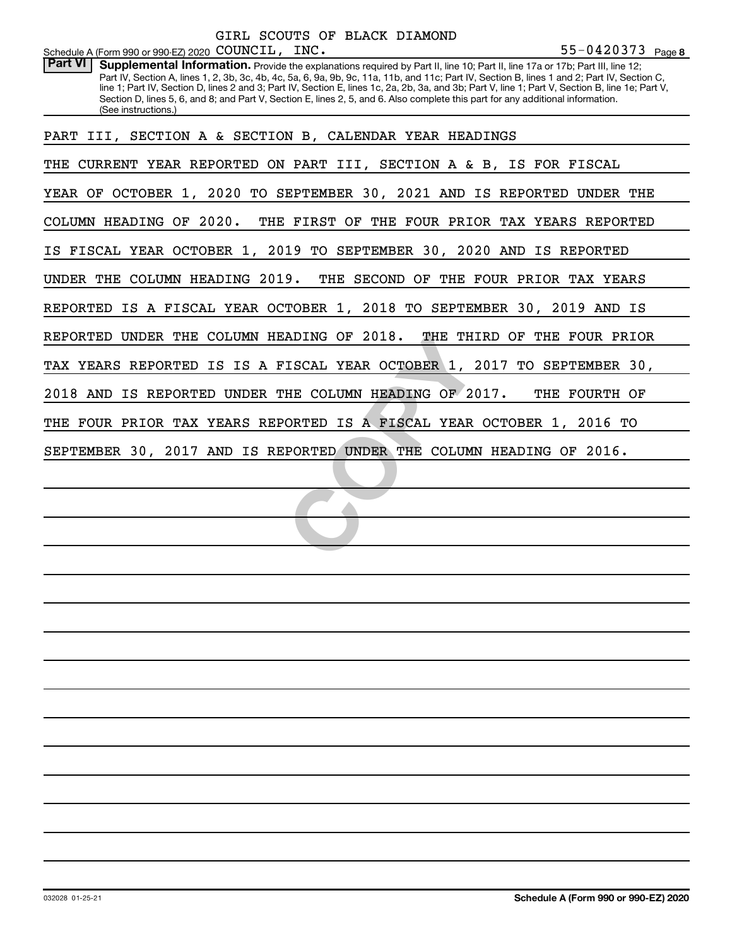|                                                                          |  |  | GIRL SCOUTS OF BLACK DIAMOND |
|--------------------------------------------------------------------------|--|--|------------------------------|
| Schedule A (Form 990 or 990-EZ) 2020 $\texttt{COUNTL}$ , $\texttt{INC.}$ |  |  |                              |

Part VI | Supplemental Information. Provide the explanations required by Part II, line 10; Part II, line 17a or 17b; Part III, line 12; Part IV, Section A, lines 1, 2, 3b, 3c, 4b, 4c, 5a, 6, 9a, 9b, 9c, 11a, 11b, and 11c; Part IV, Section B, lines 1 and 2; Part IV, Section C, line 1; Part IV, Section D, lines 2 and 3; Part IV, Section E, lines 1c, 2a, 2b, 3a, and 3b; Part V, line 1; Part V, Section B, line 1e; Part V, Section D, lines 5, 6, and 8; and Part V, Section E, lines 2, 5, and 6. Also complete this part for any additional information. (See instructions.)

PART III, SECTION A & SECTION B, CALENDAR YEAR HEADINGS

THE CURRENT YEAR REPORTED ON PART III, SECTION A & B, IS FOR FISCAL

YEAR OF OCTOBER 1, 2020 TO SEPTEMBER 30, 2021 AND IS REPORTED UNDER THE

COLUMN HEADING OF 2020. THE FIRST OF THE FOUR PRIOR TAX YEARS REPORTED

IS FISCAL YEAR OCTOBER 1, 2019 TO SEPTEMBER 30, 2020 AND IS REPORTED

UNDER THE COLUMN HEADING 2019. THE SECOND OF THE FOUR PRIOR TAX YEARS

REPORTED IS A FISCAL YEAR OCTOBER 1, 2018 TO SEPTEMBER 30, 2019 AND IS

ADING OF 2018. THE THIRD ON THE THIRD ON THE COLUMN HEADING OF 2017.<br>
THE COLUMN HEADING OF 2017.<br>

ORTED IS A FISCAL YEAR OCTO<br>

PORTED UNDER THE COLUMN HEA REPORTED UNDER THE COLUMN HEADING OF 2018. THE THIRD OF THE FOUR PRIOR

TAX YEARS REPORTED IS IS A FISCAL YEAR OCTOBER 1, 2017 TO SEPTEMBER 30,

2018 AND IS REPORTED UNDER THE COLUMN HEADING OF 2017. THE FOURTH OF

THE FOUR PRIOR TAX YEARS REPORTED IS A FISCAL YEAR OCTOBER 1, 2016 TO

SEPTEMBER 30, 2017 AND IS REPORTED UNDER THE COLUMN HEADING OF 2016.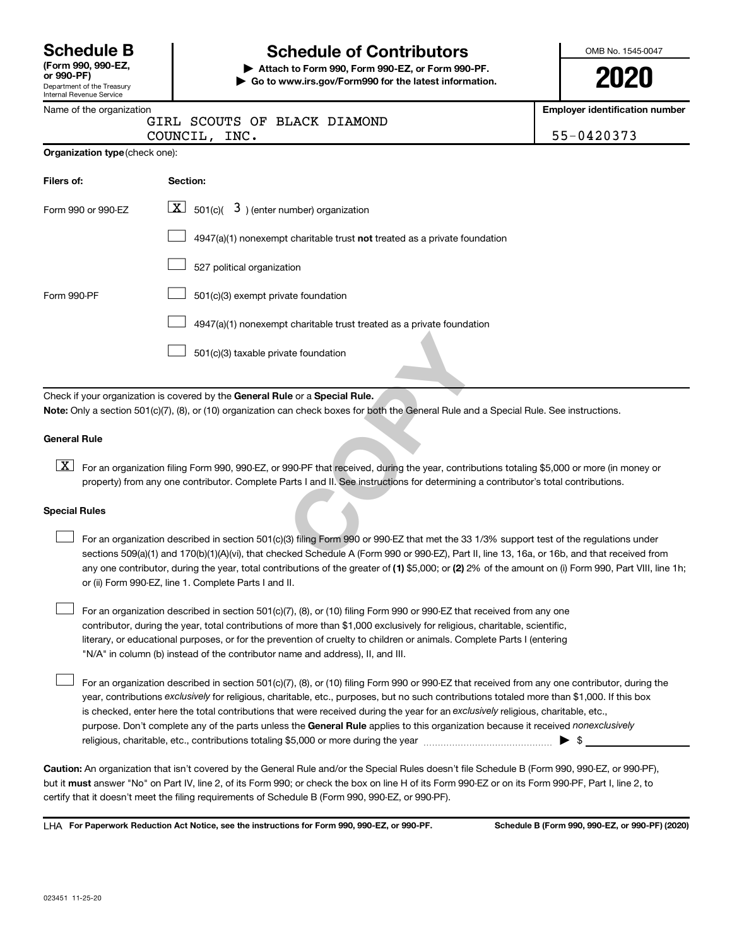| <b>Schedule B</b>   |  |
|---------------------|--|
| $ICrm$ 000 000 $E7$ |  |

#### Department of the Treasury Internal Revenue Service **(Form 990, 990-EZ,**

# **Schedule of Contributors**

**or 990-PF) | Attach to Form 990, Form 990-EZ, or Form 990-PF. | Go to www.irs.gov/Form990 for the latest information.** OMB No. 1545-0047

**2020**

**Employer identification number**

|                                       | GIRL SCOUTS OF BLACK DIAMOND<br>COUNCIL, INC.                             | 55-0420373 |
|---------------------------------------|---------------------------------------------------------------------------|------------|
| <b>Organization type (check one):</b> |                                                                           |            |
| Filers of:                            | Section:                                                                  |            |
| Form 990 or 990-EZ                    | $\boxed{\mathbf{X}}$ 501(c)( 3) (enter number) organization               |            |
|                                       | 4947(a)(1) nonexempt charitable trust not treated as a private foundation |            |

|  |  |  | 527 political organization |
|--|--|--|----------------------------|
|--|--|--|----------------------------|

Form 990-PF  $\Box$  501(c)(3) exempt private foundation  $\Box$ 

> 4947(a)(1) nonexempt charitable trust treated as a private foundation  $\Box$

501(c)(3) taxable private foundation  $\Box$ 

Check if your organization is covered by the General Rule or a Special Rule. **Note:**  Only a section 501(c)(7), (8), or (10) organization can check boxes for both the General Rule and a Special Rule. See instructions.

### **General Rule**

[X] For an organization filing Form 990, 990-EZ, or 990-PF that received, during the year, contributions totaling \$5,000 or more (in money or property) from any one contributor. Complete Parts I and II. See instructions for determining a contributor's total contributions.

### **Special Rules**

 $\Box$ 

ate foundation<br> **COPY COPY THEOTE:**<br>
The General Rule and a Special<br>
By the General Rule and a Special<br>
Parts I and II. See instructions for determining a contributions<br>
COPY COPY COPY COPY THEOTER (3)<br>
COPY COPY COPY COPY any one contributor, during the year, total contributions of the greater of (1) \$5,000; or (2) 2% of the amount on (i) Form 990, Part VIII, line 1h; For an organization described in section 501(c)(3) filing Form 990 or 990-EZ that met the 33 1/3% support test of the regulations under sections 509(a)(1) and 170(b)(1)(A)(vi), that checked Schedule A (Form 990 or 990-EZ), Part II, line 13, 16a, or 16b, and that received from or (ii) Form 990-EZ, line 1. Complete Parts I and II.  $\Box$ 

For an organization described in section 501(c)(7), (8), or (10) filing Form 990 or 990-EZ that received from any one contributor, during the year, total contributions of more than \$1,000 exclusively for religious, charitable, scientific, literary, or educational purposes, or for the prevention of cruelty to children or animals. Complete Parts I (entering "N/A" in column (b) instead of the contributor name and address), II, and III.  $\Box$ 

purpose. Don't complete any of the parts unless the General Rule applies to this organization because it received nonexclusively year, contributions exclusively for religious, charitable, etc., purposes, but no such contributions totaled more than \$1,000. If this box is checked, enter here the total contributions that were received during the year for an exclusively religious, charitable, etc., For an organization described in section 501(c)(7), (8), or (10) filing Form 990 or 990-EZ that received from any one contributor, during the religious, charitable, etc., contributions totaling \$5,000 or more during the year  $~\ldots\ldots\ldots\ldots\ldots\ldots\ldots\ldots\ldots\blacktriangleright~$ \$

**Caution:**  An organization that isn't covered by the General Rule and/or the Special Rules doesn't file Schedule B (Form 990, 990-EZ, or 990-PF),  **must** but it answer "No" on Part IV, line 2, of its Form 990; or check the box on line H of its Form 990-EZ or on its Form 990-PF, Part I, line 2, to certify that it doesn't meet the filing requirements of Schedule B (Form 990, 990-EZ, or 990-PF).

**For Paperwork Reduction Act Notice, see the instructions for Form 990, 990-EZ, or 990-PF. Schedule B (Form 990, 990-EZ, or 990-PF) (2020)** LHA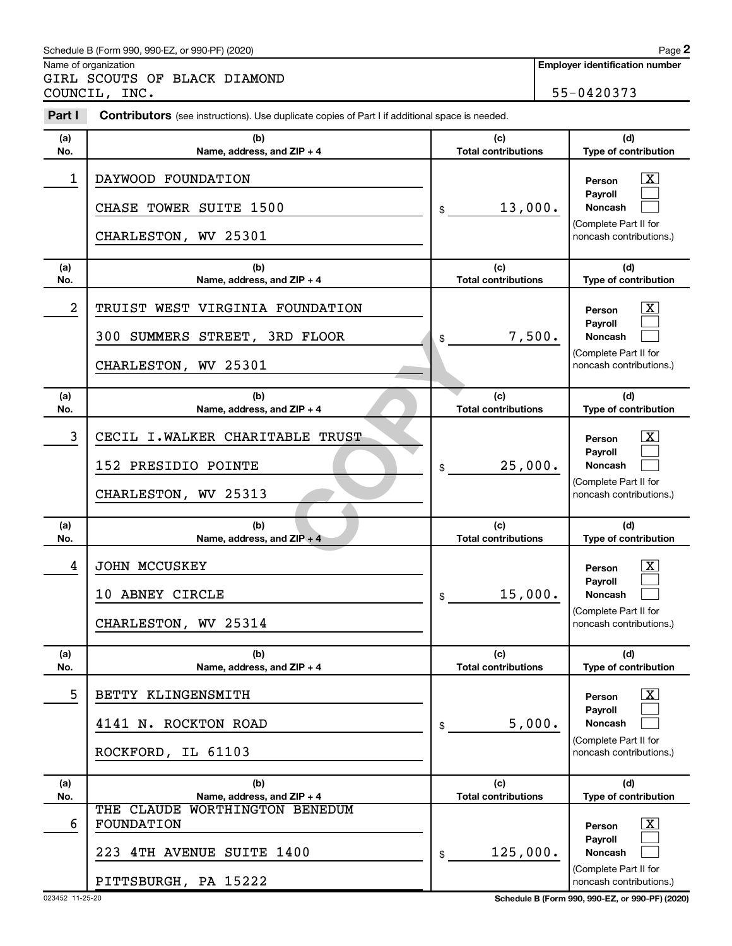### Schedule B (Form 990, 990-EZ, or 990-PF) (2020)

Name of organization

GIRL SCOUTS OF BLACK DIAMOND COUNCIL, INC. 55-0420373

| Part I           | <b>Contributors</b> (see instructions). Use duplicate copies of Part I if additional space is needed. |                                   |                                                                                                                    |
|------------------|-------------------------------------------------------------------------------------------------------|-----------------------------------|--------------------------------------------------------------------------------------------------------------------|
| (a)<br>No.       | (b)<br>Name, address, and ZIP + 4                                                                     | (c)<br><b>Total contributions</b> | (d)<br>Type of contribution                                                                                        |
| 1                | DAYWOOD FOUNDATION<br>CHASE TOWER SUITE 1500<br>CHARLESTON, WV 25301                                  | 13,000.<br>\$                     | $\overline{\mathbf{X}}$<br>Person<br>Pavroll<br><b>Noncash</b><br>(Complete Part II for<br>noncash contributions.) |
| (a)<br>No.       | (b)<br>Name, address, and ZIP + 4                                                                     | (c)<br><b>Total contributions</b> | (d)<br>Type of contribution                                                                                        |
| $\boldsymbol{2}$ | TRUIST WEST VIRGINIA FOUNDATION<br>300 SUMMERS STREET, 3RD FLOOR<br>CHARLESTON, WV 25301              | 7,500.<br>\$                      | $\overline{\mathbf{X}}$<br>Person<br>Payroll<br><b>Noncash</b><br>(Complete Part II for<br>noncash contributions.) |
| (a)<br>No.       | (b)<br>Name, address, and ZIP + 4                                                                     | (c)<br><b>Total contributions</b> | (d)<br>Type of contribution                                                                                        |
| 3                | CECIL I.WALKER CHARITABLE TRUST<br>152 PRESIDIO POINTE<br>CHARLESTON, WV 25313                        | 25,000.<br>\$                     | $\overline{\text{X}}$<br>Person<br>Payroll<br><b>Noncash</b><br>(Complete Part II for<br>noncash contributions.)   |
| (a)<br>No.       | (b)<br>Name, address, and ZIP + 4                                                                     | (c)<br><b>Total contributions</b> | (d)<br>Type of contribution                                                                                        |
| 4                | JOHN MCCUSKEY<br>10 ABNEY CIRCLE<br>CHARLESTON, WV 25314                                              | 15,000.<br>\$                     | $\mathbf{X}$<br>Person<br>Payroll<br><b>Noncash</b><br>(Complete Part II for<br>noncash contributions.)            |
| (a)<br>No.       | (b)<br>Name, address, and ZIP + 4                                                                     | (c)<br><b>Total contributions</b> | (d)<br>Type of contribution                                                                                        |
| 5                | BETTY KLINGENSMITH<br>4141 N. ROCKTON ROAD<br>ROCKFORD, IL 61103                                      | 5,000.<br>\$                      | x<br>Person<br>Payroll<br><b>Noncash</b><br>(Complete Part II for<br>noncash contributions.)                       |
| (a)<br>No.       | (b)<br>Name, address, and ZIP + 4                                                                     | (c)<br><b>Total contributions</b> | (d)<br>Type of contribution                                                                                        |
| 6                | WORTHINGTON BENEDUM<br>THE CLAUDE<br>FOUNDATION<br>223 4TH AVENUE SUITE 1400<br>PITTSBURGH, PA 15222  | 125,000.<br>\$                    | $\overline{\text{X}}$<br>Person<br>Payroll<br><b>Noncash</b><br>(Complete Part II for<br>noncash contributions.)   |

023452 11-25-20 **Schedule B (Form 990, 990-EZ, or 990-PF) (2020)**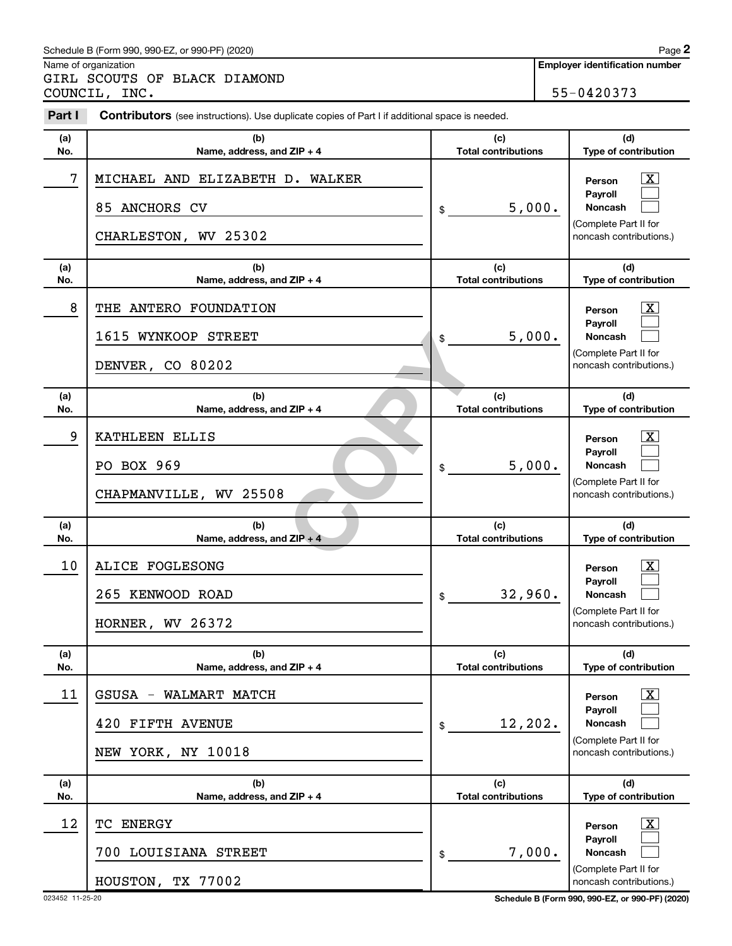### Schedule B (Form 990, 990-EZ, or 990-PF) (2020)

Name of organization

GIRL SCOUTS OF BLACK DIAMOND COUNCIL, INC. 55-0420373

| Part I     | <b>Contributors</b> (see instructions). Use duplicate copies of Part I if additional space is needed. |                                   |                                                                                                                 |
|------------|-------------------------------------------------------------------------------------------------------|-----------------------------------|-----------------------------------------------------------------------------------------------------------------|
| (a)<br>No. | (b)<br>Name, address, and ZIP + 4                                                                     | (c)<br><b>Total contributions</b> | (d)<br>Type of contribution                                                                                     |
| 7          | MICHAEL AND ELIZABETH D. WALKER<br>85 ANCHORS CV<br>CHARLESTON, WV 25302                              | \$<br>5,000.                      | $\boxed{\textbf{X}}$<br>Person<br>Payroll<br><b>Noncash</b><br>(Complete Part II for<br>noncash contributions.) |
| (a)<br>No. | (b)<br>Name, address, and ZIP + 4                                                                     | (c)<br><b>Total contributions</b> | (d)<br>Type of contribution                                                                                     |
| 8          | THE ANTERO FOUNDATION<br>1615 WYNKOOP STREET<br>DENVER, CO 80202                                      | \$<br>5,000.                      | $\boxed{\textbf{X}}$<br>Person<br>Payroll<br><b>Noncash</b><br>(Complete Part II for<br>noncash contributions.) |
| (a)<br>No. | (b)<br>Name, address, and ZIP + 4                                                                     | (c)<br><b>Total contributions</b> | (d)<br>Type of contribution                                                                                     |
| 9          | KATHLEEN ELLIS<br>PO BOX 969<br>CHAPMANVILLE, WV 25508                                                | \$<br>5,000.                      | $\boxed{\textbf{X}}$<br>Person<br>Payroll<br><b>Noncash</b><br>(Complete Part II for<br>noncash contributions.) |
| (a)<br>No. | (b)<br>Name, address, and ZIP + 4                                                                     | (c)<br><b>Total contributions</b> | (d)<br>Type of contribution                                                                                     |
| 10         | <b>ALICE FOGLESONG</b><br>265<br>KENWOOD ROAD<br>26372<br>HORNER,<br>WV                               | \$<br>32,960.                     | $\boxed{\textbf{X}}$<br>Person<br>Payroll<br><b>Noncash</b><br>(Complete Part II for<br>noncash contributions.) |
| (a)<br>No. | (b)<br>Name, address, and ZIP + 4                                                                     | (c)<br><b>Total contributions</b> | (d)<br>Type of contribution                                                                                     |
| 11         | GSUSA<br>WALMART MATCH<br>FIFTH AVENUE<br>420<br>NEW YORK, NY 10018                                   | \$<br>12, 202.                    | $\mathbf{X}$<br>Person<br>Payroll<br>Noncash<br>(Complete Part II for<br>noncash contributions.)                |
| (a)<br>No. | (b)<br>Name, address, and ZIP + 4                                                                     | (c)<br><b>Total contributions</b> | (d)<br>Type of contribution                                                                                     |
| 12         | <b>ENERGY</b><br>TС<br>700 LOUISIANA STREET<br>HOUSTON, TX 77002                                      | \$<br>7,000.                      | $\boxed{\text{X}}$<br>Person<br>Payroll<br>Noncash<br>(Complete Part II for<br>noncash contributions.)          |

023452 11-25-20 **Schedule B (Form 990, 990-EZ, or 990-PF) (2020)**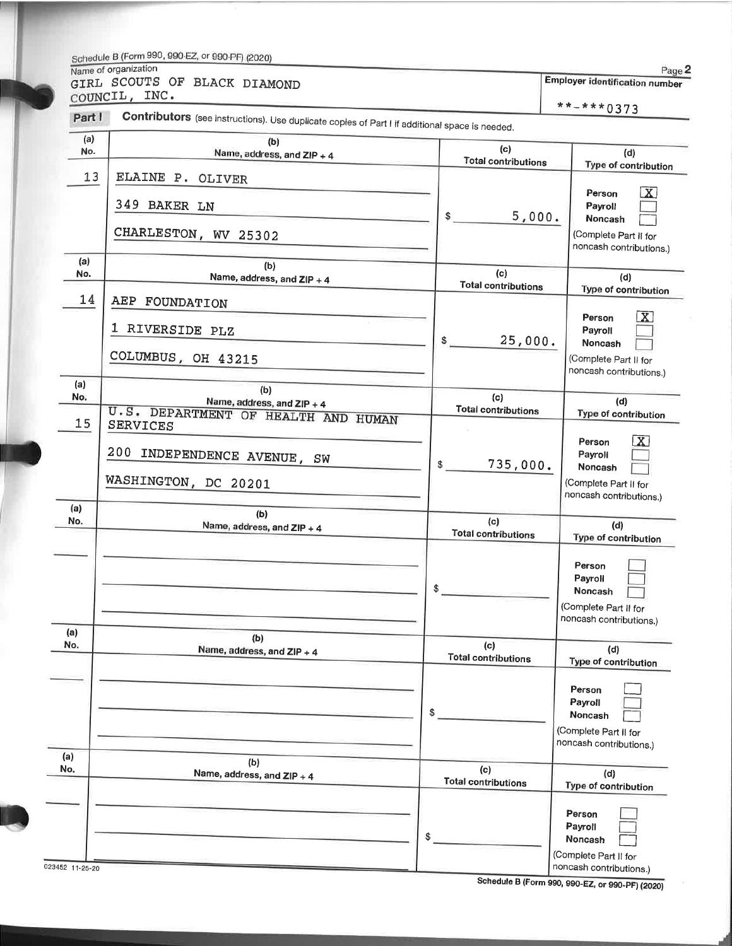# Schedule B (Form 990, 990-EZ, or 990-PF) (2020) Name of organization

Page 2 Employer identification number GIRL SCOUTS OF BLACK DIAMOND

COUNCIL, INC.

\*\*-\*\*\*0373

| Part I         | <b>Contributors</b> (see instructions). Use duplicate copies of Part I if additional space is needed. |                                   | **-***0373                                                                                                         |
|----------------|-------------------------------------------------------------------------------------------------------|-----------------------------------|--------------------------------------------------------------------------------------------------------------------|
| (a)<br>No.     | (b)<br>Name, address, and ZIP + 4                                                                     | (c)<br><b>Total contributions</b> | (d)<br>Type of contribution                                                                                        |
| 13<br>(a)      | ELAINE P. OLIVER<br>349 BAKER LN<br>CHARLESTON, WV 25302                                              | \$<br>5,000.                      | $\boxed{\textbf{X}}$<br>Person<br>Payroll<br>Noncash<br>(Complete Part II for<br>noncash contributions.)           |
| No.            | (b)<br>Name, address, and ZIP + 4                                                                     | (c)<br><b>Total contributions</b> | (d)<br>Type of contribution                                                                                        |
| 14<br>(a)      | AEP FOUNDATION<br>1 RIVERSIDE PLZ<br>COLUMBUS, OH 43215                                               | 25,000.<br>\$                     | $\overline{\mathbf{X}}$<br>Person<br>Payroll<br>Noncash<br>(Complete Part II for<br>noncash contributions.)        |
| No.<br>15      | (b)<br>Name, address, and ZIP + 4<br>U.S. DEPARTMENT OF HEALTH AND HUMAN                              | (c)<br><b>Total contributions</b> | (d)<br>Type of contribution                                                                                        |
| (a)            | <b>SERVICES</b><br>200<br>INDEPENDENCE AVENUE, SW<br>WASHINGTON, DC 20201                             | 735,000.<br>\$                    | $\overline{\mathbf{x}}$<br>Person<br>Payroll<br><b>Noncash</b><br>(Complete Part II for<br>noncash contributions.) |
| No.            | (b)<br>Name, address, and ZIP + 4                                                                     | (c)<br><b>Total contributions</b> | (d)<br>Type of contribution                                                                                        |
| (a)            |                                                                                                       | \$                                | Person<br>Payroll<br>Noncash<br>(Complete Part II for<br>noncash contributions.)                                   |
| No.            | (b)<br>Name, address, and ZIP + 4                                                                     | (c)<br><b>Total contributions</b> | (d)<br>Type of contribution                                                                                        |
| (a)            |                                                                                                       | \$                                | Person<br>Payroll<br>Noncash<br>(Complete Part II for<br>noncash contributions.)                                   |
| No.            | (b)<br>Name, address, and ZIP + 4                                                                     | (c)<br><b>Total contributions</b> | (d)<br>Type of contribution                                                                                        |
| 23452 11-25-20 |                                                                                                       | \$                                | Person<br>Payroll<br>Noncash<br>(Complete Part II for<br>noncash contributions.)                                   |

Schedule B (Form 990, 990-EZ, or 990-PF) (2020)

 $\overline{023}$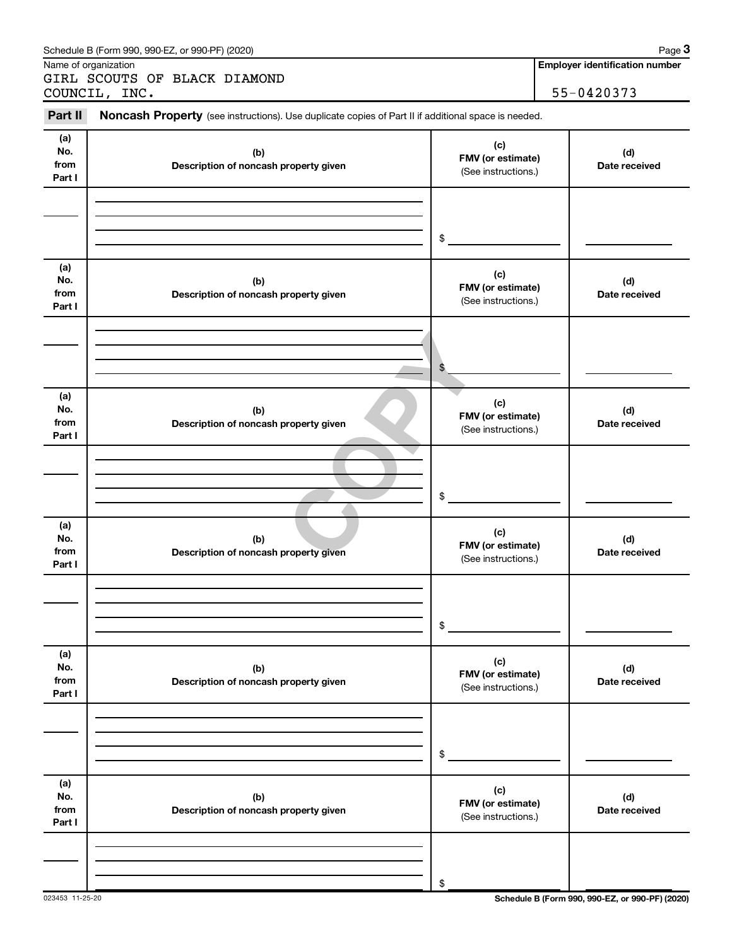|                              | Schedule B (Form 990, 990-EZ, or 990-PF) (2020)                                                     |                                                 | Page 3                                |
|------------------------------|-----------------------------------------------------------------------------------------------------|-------------------------------------------------|---------------------------------------|
|                              | Name of organization<br>GIRL SCOUTS OF BLACK DIAMOND                                                |                                                 | <b>Employer identification number</b> |
|                              | COUNCIL, INC.                                                                                       |                                                 | 55-0420373                            |
| Part II                      | Noncash Property (see instructions). Use duplicate copies of Part II if additional space is needed. |                                                 |                                       |
| (a)<br>No.<br>from<br>Part I | (b)<br>Description of noncash property given                                                        | (c)<br>FMV (or estimate)<br>(See instructions.) | (d)<br>Date received                  |
|                              |                                                                                                     | $\frac{1}{2}$                                   |                                       |
| (a)<br>No.<br>from<br>Part I | (b)<br>Description of noncash property given                                                        | (c)<br>FMV (or estimate)<br>(See instructions.) | (d)<br>Date received                  |
|                              |                                                                                                     | \$                                              |                                       |
| (a)<br>No.<br>from<br>Part I | (b)<br>Description of noncash property given                                                        | (c)<br>FMV (or estimate)<br>(See instructions.) | (d)<br>Date received                  |
|                              |                                                                                                     | $\frac{1}{2}$                                   |                                       |
| (a)<br>No.<br>from<br>Part I | (b)<br>Description of noncash property given                                                        | (c)<br>FMV (or estimate)<br>(See instructions.) | (d)<br>Date received                  |
|                              |                                                                                                     | \$                                              |                                       |
| (a)<br>No.<br>from<br>Part I | (b)<br>Description of noncash property given                                                        | (c)<br>FMV (or estimate)<br>(See instructions.) | (d)<br>Date received                  |
|                              |                                                                                                     | \$                                              |                                       |
| (a)<br>No.<br>from<br>Part I | (b)<br>Description of noncash property given                                                        | (c)<br>FMV (or estimate)<br>(See instructions.) | (d)<br>Date received                  |
|                              |                                                                                                     | \$                                              |                                       |

023453 11-25-20 **Schedule B (Form 990, 990-EZ, or 990-PF) (2020)**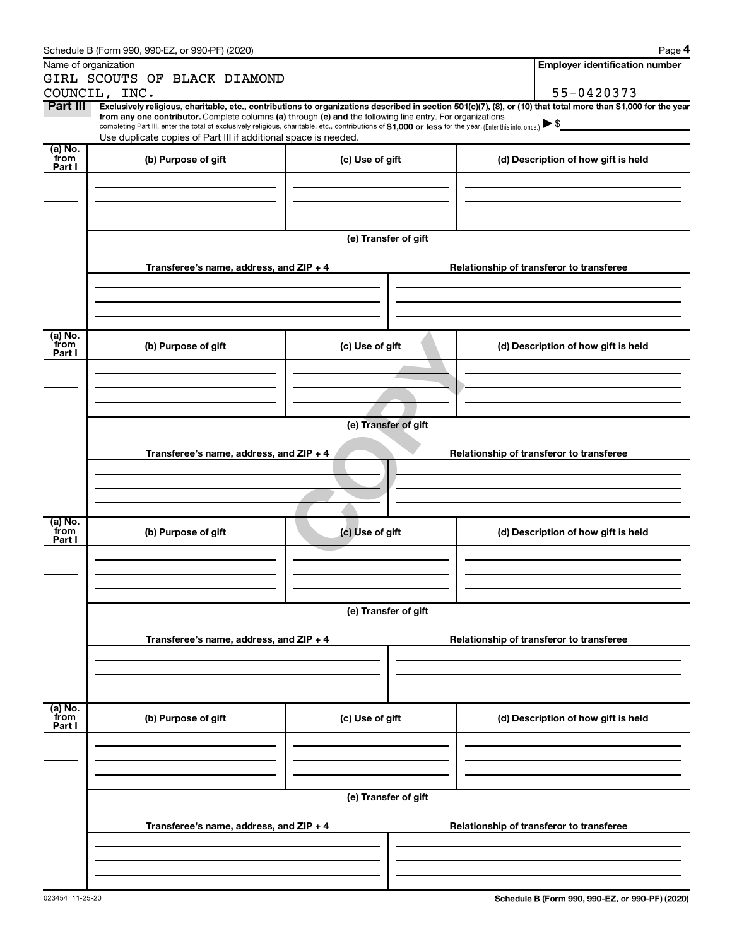|                 | Schedule B (Form 990, 990-EZ, or 990-PF) (2020)                                                                                                          |                      | Page 4                                                                                                                                                         |
|-----------------|----------------------------------------------------------------------------------------------------------------------------------------------------------|----------------------|----------------------------------------------------------------------------------------------------------------------------------------------------------------|
|                 | Name of organization                                                                                                                                     |                      | <b>Employer identification number</b>                                                                                                                          |
|                 | GIRL SCOUTS OF BLACK DIAMOND                                                                                                                             |                      |                                                                                                                                                                |
|                 | COUNCIL, INC.                                                                                                                                            |                      | 55-0420373                                                                                                                                                     |
| Part III        | from any one contributor. Complete columns (a) through (e) and the following line entry. For organizations                                               |                      | Exclusively religious, charitable, etc., contributions to organizations described in section 501(c)(7), (8), or (10) that total more than \$1,000 for the year |
|                 | completing Part III, enter the total of exclusively religious, charitable, etc., contributions of \$1,000 or less for the year. (Enter this info. once.) |                      |                                                                                                                                                                |
|                 | Use duplicate copies of Part III if additional space is needed.                                                                                          |                      |                                                                                                                                                                |
| (a) No.<br>from | (b) Purpose of gift                                                                                                                                      | (c) Use of gift      | (d) Description of how gift is held                                                                                                                            |
| Part I          |                                                                                                                                                          |                      |                                                                                                                                                                |
|                 |                                                                                                                                                          |                      |                                                                                                                                                                |
|                 |                                                                                                                                                          |                      |                                                                                                                                                                |
|                 |                                                                                                                                                          |                      |                                                                                                                                                                |
|                 |                                                                                                                                                          |                      |                                                                                                                                                                |
|                 |                                                                                                                                                          | (e) Transfer of gift |                                                                                                                                                                |
|                 |                                                                                                                                                          |                      |                                                                                                                                                                |
|                 | Transferee's name, address, and ZIP + 4                                                                                                                  |                      | Relationship of transferor to transferee                                                                                                                       |
|                 |                                                                                                                                                          |                      |                                                                                                                                                                |
|                 |                                                                                                                                                          |                      |                                                                                                                                                                |
|                 |                                                                                                                                                          |                      |                                                                                                                                                                |
| (a) No.         |                                                                                                                                                          |                      |                                                                                                                                                                |
| from<br>Part I  | (b) Purpose of gift                                                                                                                                      | (c) Use of gift      | (d) Description of how gift is held                                                                                                                            |
|                 |                                                                                                                                                          |                      |                                                                                                                                                                |
|                 |                                                                                                                                                          |                      |                                                                                                                                                                |
|                 |                                                                                                                                                          |                      |                                                                                                                                                                |
|                 |                                                                                                                                                          |                      |                                                                                                                                                                |
|                 |                                                                                                                                                          | (e) Transfer of gift |                                                                                                                                                                |
|                 |                                                                                                                                                          |                      |                                                                                                                                                                |
|                 | Transferee's name, address, and ZIP + 4                                                                                                                  |                      | Relationship of transferor to transferee                                                                                                                       |
|                 |                                                                                                                                                          |                      |                                                                                                                                                                |
|                 |                                                                                                                                                          |                      |                                                                                                                                                                |
|                 |                                                                                                                                                          |                      |                                                                                                                                                                |
| (a) No.         |                                                                                                                                                          |                      |                                                                                                                                                                |
| from<br>Part I  | (b) Purpose of gift                                                                                                                                      | (c) Use of gift      | (d) Description of how gift is held                                                                                                                            |
|                 |                                                                                                                                                          |                      |                                                                                                                                                                |
|                 |                                                                                                                                                          |                      |                                                                                                                                                                |
|                 |                                                                                                                                                          |                      |                                                                                                                                                                |
|                 |                                                                                                                                                          |                      |                                                                                                                                                                |
|                 |                                                                                                                                                          | (e) Transfer of gift |                                                                                                                                                                |
|                 |                                                                                                                                                          |                      |                                                                                                                                                                |
|                 | Transferee's name, address, and ZIP + 4                                                                                                                  |                      | Relationship of transferor to transferee                                                                                                                       |
|                 |                                                                                                                                                          |                      |                                                                                                                                                                |
|                 |                                                                                                                                                          |                      |                                                                                                                                                                |
|                 |                                                                                                                                                          |                      |                                                                                                                                                                |
|                 |                                                                                                                                                          |                      |                                                                                                                                                                |
| (a) No.<br>from | (b) Purpose of gift                                                                                                                                      | (c) Use of gift      | (d) Description of how gift is held                                                                                                                            |
| Part I          |                                                                                                                                                          |                      |                                                                                                                                                                |
|                 |                                                                                                                                                          |                      |                                                                                                                                                                |
|                 |                                                                                                                                                          |                      |                                                                                                                                                                |
|                 |                                                                                                                                                          |                      |                                                                                                                                                                |
|                 |                                                                                                                                                          | (e) Transfer of gift |                                                                                                                                                                |
|                 |                                                                                                                                                          |                      |                                                                                                                                                                |
|                 | Transferee's name, address, and ZIP + 4                                                                                                                  |                      | Relationship of transferor to transferee                                                                                                                       |
|                 |                                                                                                                                                          |                      |                                                                                                                                                                |
|                 |                                                                                                                                                          |                      |                                                                                                                                                                |
|                 |                                                                                                                                                          |                      |                                                                                                                                                                |
|                 |                                                                                                                                                          |                      |                                                                                                                                                                |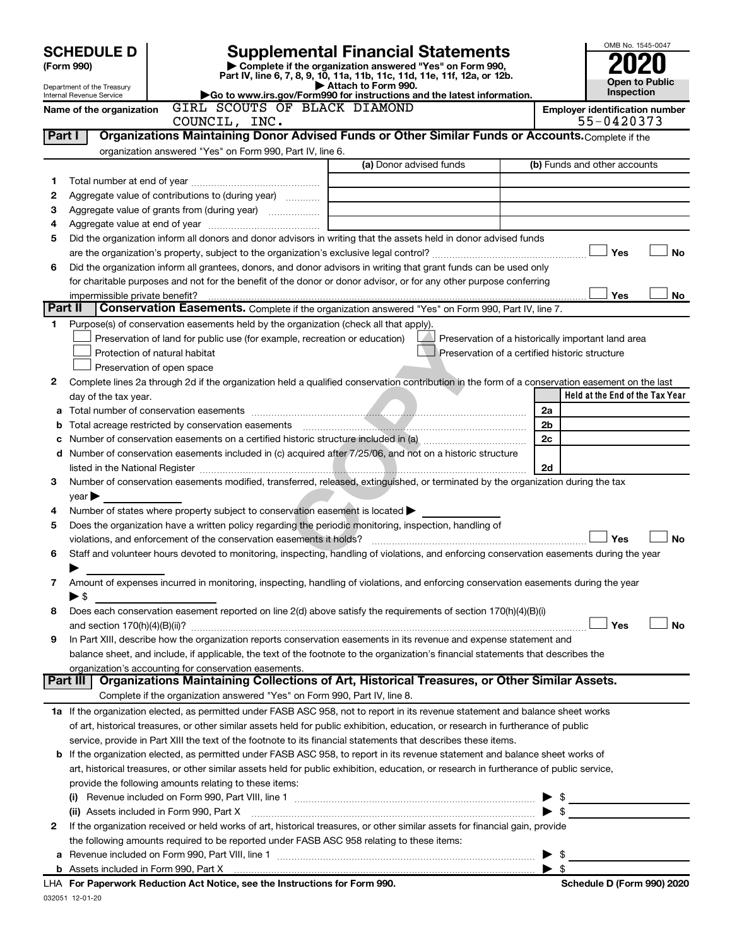|        | <b>SCHEDULE D</b>                                    |                                                                                                        | <b>Supplemental Financial Statements</b>                                                                                                       |                | OMB No. 1545-0047                                  |           |
|--------|------------------------------------------------------|--------------------------------------------------------------------------------------------------------|------------------------------------------------------------------------------------------------------------------------------------------------|----------------|----------------------------------------------------|-----------|
|        | (Form 990)                                           |                                                                                                        | Complete if the organization answered "Yes" on Form 990,<br>Part IV, line 6, 7, 8, 9, 10, 11a, 11b, 11c, 11d, 11e, 11f, 12a, or 12b.           |                |                                                    |           |
|        | Department of the Treasury                           |                                                                                                        | Attach to Form 990.<br>Go to www.irs.gov/Form990 for instructions and the latest information.                                                  |                | <b>Open to Public</b><br>Inspection                |           |
|        | Internal Revenue Service<br>Name of the organization | GIRL SCOUTS OF BLACK DIAMOND                                                                           |                                                                                                                                                |                | <b>Employer identification number</b>              |           |
|        |                                                      | COUNCIL, INC.                                                                                          |                                                                                                                                                |                | 55-0420373                                         |           |
| Part I |                                                      |                                                                                                        | Organizations Maintaining Donor Advised Funds or Other Similar Funds or Accounts. Complete if the                                              |                |                                                    |           |
|        |                                                      | organization answered "Yes" on Form 990, Part IV, line 6.                                              | (a) Donor advised funds                                                                                                                        |                | (b) Funds and other accounts                       |           |
| 1      |                                                      |                                                                                                        |                                                                                                                                                |                |                                                    |           |
| 2      |                                                      | Aggregate value of contributions to (during year)                                                      |                                                                                                                                                |                |                                                    |           |
| З      |                                                      | Aggregate value of grants from (during year)                                                           |                                                                                                                                                |                |                                                    |           |
| 4      |                                                      |                                                                                                        |                                                                                                                                                |                |                                                    |           |
| 5      |                                                      |                                                                                                        | Did the organization inform all donors and donor advisors in writing that the assets held in donor advised funds                               |                |                                                    |           |
| 6      |                                                      |                                                                                                        | Did the organization inform all grantees, donors, and donor advisors in writing that grant funds can be used only                              |                | Yes                                                | <b>No</b> |
|        |                                                      |                                                                                                        | for charitable purposes and not for the benefit of the donor or donor advisor, or for any other purpose conferring                             |                |                                                    |           |
|        | impermissible private benefit?                       |                                                                                                        |                                                                                                                                                |                | Yes                                                | No        |
|        | Part II                                              |                                                                                                        | Conservation Easements. Complete if the organization answered "Yes" on Form 990, Part IV, line 7.                                              |                |                                                    |           |
| 1.     |                                                      | Purpose(s) of conservation easements held by the organization (check all that apply).                  |                                                                                                                                                |                |                                                    |           |
|        |                                                      | Preservation of land for public use (for example, recreation or education)                             | Preservation of a certified historic structure                                                                                                 |                | Preservation of a historically important land area |           |
|        |                                                      | Protection of natural habitat<br>Preservation of open space                                            |                                                                                                                                                |                |                                                    |           |
| 2      |                                                      |                                                                                                        | Complete lines 2a through 2d if the organization held a qualified conservation contribution in the form of a conservation easement on the last |                |                                                    |           |
|        | day of the tax year.                                 |                                                                                                        |                                                                                                                                                |                | Held at the End of the Tax Year                    |           |
| a      |                                                      |                                                                                                        |                                                                                                                                                | 2a             |                                                    |           |
| b      |                                                      |                                                                                                        |                                                                                                                                                | 2 <sub>b</sub> |                                                    |           |
| с      |                                                      |                                                                                                        |                                                                                                                                                | 2c             |                                                    |           |
| d      |                                                      |                                                                                                        | Number of conservation easements included in (c) acquired after 7/25/06, and not on a historic structure                                       | 2d             |                                                    |           |
| 3      |                                                      |                                                                                                        | Number of conservation easements modified, transferred, released, extinguished, or terminated by the organization during the tax               |                |                                                    |           |
|        | year                                                 |                                                                                                        |                                                                                                                                                |                |                                                    |           |
| 4      |                                                      | Number of states where property subject to conservation easement is located >                          |                                                                                                                                                |                |                                                    |           |
| 5      |                                                      | Does the organization have a written policy regarding the periodic monitoring, inspection, handling of |                                                                                                                                                |                |                                                    |           |
|        |                                                      | violations, and enforcement of the conservation easements it holds?                                    |                                                                                                                                                |                | Yes                                                | <b>No</b> |
| 6      |                                                      |                                                                                                        | Staff and volunteer hours devoted to monitoring, inspecting, handling of violations, and enforcing conservation easements during the year      |                |                                                    |           |
| 7      |                                                      |                                                                                                        | Amount of expenses incurred in monitoring, inspecting, handling of violations, and enforcing conservation easements during the year            |                |                                                    |           |
|        | ► \$                                                 |                                                                                                        |                                                                                                                                                |                |                                                    |           |
| 8      |                                                      |                                                                                                        | Does each conservation easement reported on line 2(d) above satisfy the requirements of section 170(h)(4)(B)(i)                                |                |                                                    |           |
|        |                                                      |                                                                                                        |                                                                                                                                                |                | Yes                                                | <b>No</b> |
| 9      |                                                      |                                                                                                        | In Part XIII, describe how the organization reports conservation easements in its revenue and expense statement and                            |                |                                                    |           |
|        |                                                      | organization's accounting for conservation easements.                                                  | balance sheet, and include, if applicable, the text of the footnote to the organization's financial statements that describes the              |                |                                                    |           |
|        | Part III                                             |                                                                                                        | Organizations Maintaining Collections of Art, Historical Treasures, or Other Similar Assets.                                                   |                |                                                    |           |
|        |                                                      | Complete if the organization answered "Yes" on Form 990, Part IV, line 8.                              |                                                                                                                                                |                |                                                    |           |
|        |                                                      |                                                                                                        | 1a If the organization elected, as permitted under FASB ASC 958, not to report in its revenue statement and balance sheet works                |                |                                                    |           |
|        |                                                      |                                                                                                        | of art, historical treasures, or other similar assets held for public exhibition, education, or research in furtherance of public              |                |                                                    |           |
|        |                                                      |                                                                                                        | service, provide in Part XIII the text of the footnote to its financial statements that describes these items.                                 |                |                                                    |           |
|        |                                                      |                                                                                                        | <b>b</b> If the organization elected, as permitted under FASB ASC 958, to report in its revenue statement and balance sheet works of           |                |                                                    |           |
|        |                                                      | provide the following amounts relating to these items:                                                 | art, historical treasures, or other similar assets held for public exhibition, education, or research in furtherance of public service,        |                |                                                    |           |
|        |                                                      |                                                                                                        |                                                                                                                                                |                | \$                                                 |           |
|        |                                                      | (ii) Assets included in Form 990, Part X                                                               |                                                                                                                                                |                | -\$                                                |           |
| 2      |                                                      |                                                                                                        | If the organization received or held works of art, historical treasures, or other similar assets for financial gain, provide                   |                |                                                    |           |
|        |                                                      | the following amounts required to be reported under FASB ASC 958 relating to these items:              |                                                                                                                                                |                |                                                    |           |
| a      |                                                      |                                                                                                        |                                                                                                                                                |                | -\$                                                |           |
|        |                                                      | LHA For Paperwork Reduction Act Notice, see the Instructions for Form 990.                             |                                                                                                                                                | -\$            | Schedule D (Form 990) 2020                         |           |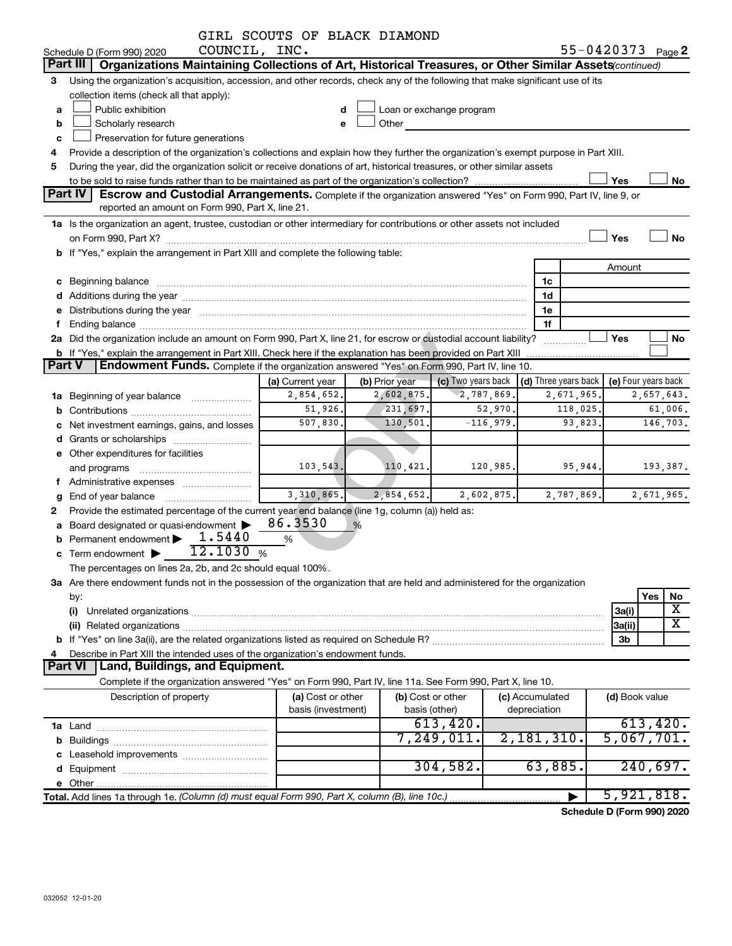|               |                                                                                                                                                                                                                                      | GIRL SCOUTS OF BLACK DIAMOND            |                |                                                                                                                                                                                                                                |             |                                 |            |                            |            |                            |
|---------------|--------------------------------------------------------------------------------------------------------------------------------------------------------------------------------------------------------------------------------------|-----------------------------------------|----------------|--------------------------------------------------------------------------------------------------------------------------------------------------------------------------------------------------------------------------------|-------------|---------------------------------|------------|----------------------------|------------|----------------------------|
|               | COUNCIL, INC.<br>Schedule D (Form 990) 2020                                                                                                                                                                                          |                                         |                |                                                                                                                                                                                                                                |             |                                 |            | 55-0420373 Page 2          |            |                            |
|               | Part III   Organizations Maintaining Collections of Art, Historical Treasures, or Other Similar Assets (continued)                                                                                                                   |                                         |                |                                                                                                                                                                                                                                |             |                                 |            |                            |            |                            |
| 3             | Using the organization's acquisition, accession, and other records, check any of the following that make significant use of its                                                                                                      |                                         |                |                                                                                                                                                                                                                                |             |                                 |            |                            |            |                            |
|               | collection items (check all that apply):                                                                                                                                                                                             |                                         |                |                                                                                                                                                                                                                                |             |                                 |            |                            |            |                            |
| a             | Public exhibition                                                                                                                                                                                                                    | d                                       |                | Loan or exchange program                                                                                                                                                                                                       |             |                                 |            |                            |            |                            |
| b             | Scholarly research                                                                                                                                                                                                                   | e                                       |                | Other and the control of the control of the control of the control of the control of the control of the control of the control of the control of the control of the control of the control of the control of the control of th |             |                                 |            |                            |            |                            |
| c             | Preservation for future generations                                                                                                                                                                                                  |                                         |                |                                                                                                                                                                                                                                |             |                                 |            |                            |            |                            |
| 4             | Provide a description of the organization's collections and explain how they further the organization's exempt purpose in Part XIII.                                                                                                 |                                         |                |                                                                                                                                                                                                                                |             |                                 |            |                            |            |                            |
| 5             | During the year, did the organization solicit or receive donations of art, historical treasures, or other similar assets                                                                                                             |                                         |                |                                                                                                                                                                                                                                |             |                                 |            |                            |            |                            |
|               |                                                                                                                                                                                                                                      |                                         |                |                                                                                                                                                                                                                                |             |                                 |            | Yes                        |            | No                         |
|               | Part IV<br>Escrow and Custodial Arrangements. Complete if the organization answered "Yes" on Form 990, Part IV, line 9, or                                                                                                           |                                         |                |                                                                                                                                                                                                                                |             |                                 |            |                            |            |                            |
|               | reported an amount on Form 990, Part X, line 21.                                                                                                                                                                                     |                                         |                |                                                                                                                                                                                                                                |             |                                 |            |                            |            |                            |
|               | 1a Is the organization an agent, trustee, custodian or other intermediary for contributions or other assets not included                                                                                                             |                                         |                |                                                                                                                                                                                                                                |             |                                 |            |                            |            |                            |
|               | on Form 990, Part X? <b>Process Construction Construction Construction</b> Construction Construction Construction Cons                                                                                                               |                                         |                |                                                                                                                                                                                                                                |             |                                 |            | Yes                        |            | <b>No</b>                  |
|               | b If "Yes," explain the arrangement in Part XIII and complete the following table:                                                                                                                                                   |                                         |                |                                                                                                                                                                                                                                |             |                                 |            |                            |            |                            |
|               |                                                                                                                                                                                                                                      |                                         |                |                                                                                                                                                                                                                                |             |                                 |            | Amount                     |            |                            |
|               | c Beginning balance <b>contract to the contract of the contract of the contract of the contract of the contract of the contract of the contract of the contract of the contract of the contract of the contract of the contract </b> |                                         |                |                                                                                                                                                                                                                                |             | 1c                              |            |                            |            |                            |
|               | d Additions during the year manufactured and an account of the year manufactured and account of the year manufactured and account of the year manufactured and account of the year manufactured and account of the year manufa       |                                         |                |                                                                                                                                                                                                                                |             | 1d                              |            |                            |            |                            |
|               | e Distributions during the year manufactured and an account of the year manufactured and account of the year manufactured and account of the USA of the USA of the USA of the USA of the USA of the USA of the USA of the USA        |                                         |                |                                                                                                                                                                                                                                |             | 1e                              |            |                            |            |                            |
| f             |                                                                                                                                                                                                                                      |                                         |                |                                                                                                                                                                                                                                |             | 1f                              |            |                            |            |                            |
|               | 2a Did the organization include an amount on Form 990, Part X, line 21, for escrow or custodial account liability?                                                                                                                   |                                         |                |                                                                                                                                                                                                                                |             |                                 |            | Yes                        |            | No                         |
|               | b If "Yes," explain the arrangement in Part XIII. Check here if the explanation has been provided on Part XIII                                                                                                                       |                                         |                |                                                                                                                                                                                                                                |             |                                 |            |                            |            |                            |
| <b>Part V</b> | <b>Endowment Funds.</b> Complete if the organization answered "Yes" on Form 990, Part IV, line 10.                                                                                                                                   |                                         |                |                                                                                                                                                                                                                                |             |                                 |            |                            |            |                            |
|               |                                                                                                                                                                                                                                      | (a) Current year                        | (b) Prior year | (c) Two years back                                                                                                                                                                                                             |             | (d) Three years back            |            | (e) Four years back        |            |                            |
|               | 1a Beginning of year balance                                                                                                                                                                                                         | 2,854,652.                              | 2,602,875.     | 2,787,869.                                                                                                                                                                                                                     |             |                                 | 2,671,965. |                            | 2,657,643. |                            |
|               |                                                                                                                                                                                                                                      | 51,926.                                 | 231,697.       |                                                                                                                                                                                                                                | 52,970.     | 118,025.                        |            |                            | 61,006.    |                            |
|               | c Net investment earnings, gains, and losses                                                                                                                                                                                         | 507,830.                                | 130,501.       |                                                                                                                                                                                                                                | $-116,979.$ | 93,823.                         |            |                            | 146,703.   |                            |
|               |                                                                                                                                                                                                                                      |                                         |                |                                                                                                                                                                                                                                |             |                                 |            |                            |            |                            |
|               | e Other expenditures for facilities                                                                                                                                                                                                  |                                         |                |                                                                                                                                                                                                                                |             |                                 |            |                            |            |                            |
|               | and programs                                                                                                                                                                                                                         | 103, 543.                               | 110,421.       |                                                                                                                                                                                                                                | 120,985.    | 95,944.                         |            |                            | 193,387.   |                            |
|               | f Administrative expenses                                                                                                                                                                                                            |                                         |                |                                                                                                                                                                                                                                |             |                                 |            |                            |            |                            |
|               |                                                                                                                                                                                                                                      | 3,310,865.                              | 2,854,652.     |                                                                                                                                                                                                                                | 2,602,875.  | 2,787,869.                      |            |                            | 2,671,965. |                            |
| 2             | Provide the estimated percentage of the current year end balance (line 1g, column (a)) held as:                                                                                                                                      |                                         |                |                                                                                                                                                                                                                                |             |                                 |            |                            |            |                            |
|               | a Board designated or quasi-endowment >                                                                                                                                                                                              | 86.3530                                 | %              |                                                                                                                                                                                                                                |             |                                 |            |                            |            |                            |
|               | 1.5440<br>Permanent endowment >                                                                                                                                                                                                      | %                                       |                |                                                                                                                                                                                                                                |             |                                 |            |                            |            |                            |
|               | 12.1030%<br>c Term endowment $\blacktriangleright$                                                                                                                                                                                   |                                         |                |                                                                                                                                                                                                                                |             |                                 |            |                            |            |                            |
|               | The percentages on lines 2a, 2b, and 2c should equal 100%.                                                                                                                                                                           |                                         |                |                                                                                                                                                                                                                                |             |                                 |            |                            |            |                            |
|               | 3a Are there endowment funds not in the possession of the organization that are held and administered for the organization                                                                                                           |                                         |                |                                                                                                                                                                                                                                |             |                                 |            |                            |            |                            |
|               | by:                                                                                                                                                                                                                                  |                                         |                |                                                                                                                                                                                                                                |             |                                 |            |                            | Yes        | No                         |
|               | (i)                                                                                                                                                                                                                                  |                                         |                |                                                                                                                                                                                                                                |             |                                 |            | 3a(i)                      |            | X<br>$\overline{\text{X}}$ |
|               |                                                                                                                                                                                                                                      |                                         |                |                                                                                                                                                                                                                                |             |                                 |            | 3a(ii)                     |            |                            |
|               |                                                                                                                                                                                                                                      |                                         |                |                                                                                                                                                                                                                                |             |                                 |            | 3b                         |            |                            |
| 4             | Describe in Part XIII the intended uses of the organization's endowment funds.                                                                                                                                                       |                                         |                |                                                                                                                                                                                                                                |             |                                 |            |                            |            |                            |
|               | Part VI   Land, Buildings, and Equipment.                                                                                                                                                                                            |                                         |                |                                                                                                                                                                                                                                |             |                                 |            |                            |            |                            |
|               | Complete if the organization answered "Yes" on Form 990, Part IV, line 11a. See Form 990, Part X, line 10.                                                                                                                           |                                         |                |                                                                                                                                                                                                                                |             |                                 |            |                            |            |                            |
|               | Description of property                                                                                                                                                                                                              | (a) Cost or other<br>basis (investment) |                | (b) Cost or other                                                                                                                                                                                                              |             | (c) Accumulated<br>depreciation |            | (d) Book value             |            |                            |
|               |                                                                                                                                                                                                                                      |                                         |                | basis (other)<br>613,420.                                                                                                                                                                                                      |             |                                 |            |                            | 613,420.   |                            |
|               |                                                                                                                                                                                                                                      |                                         |                | 7,249,011.                                                                                                                                                                                                                     |             | 2,181,310.                      |            | 5,067,701.                 |            |                            |
|               |                                                                                                                                                                                                                                      |                                         |                |                                                                                                                                                                                                                                |             |                                 |            |                            |            |                            |
|               |                                                                                                                                                                                                                                      |                                         |                | 304,582.                                                                                                                                                                                                                       |             | 63,885.                         |            |                            | 240,697.   |                            |
|               |                                                                                                                                                                                                                                      |                                         |                |                                                                                                                                                                                                                                |             |                                 |            |                            |            |                            |
|               |                                                                                                                                                                                                                                      |                                         |                |                                                                                                                                                                                                                                |             |                                 |            | 5,921,818.                 |            |                            |
|               | Total. Add lines 1a through 1e. (Column (d) must equal Form 990, Part X, column (B), line 10c.)                                                                                                                                      |                                         |                |                                                                                                                                                                                                                                |             |                                 |            |                            |            |                            |
|               |                                                                                                                                                                                                                                      |                                         |                |                                                                                                                                                                                                                                |             |                                 |            | Schedule D (Form 990) 2020 |            |                            |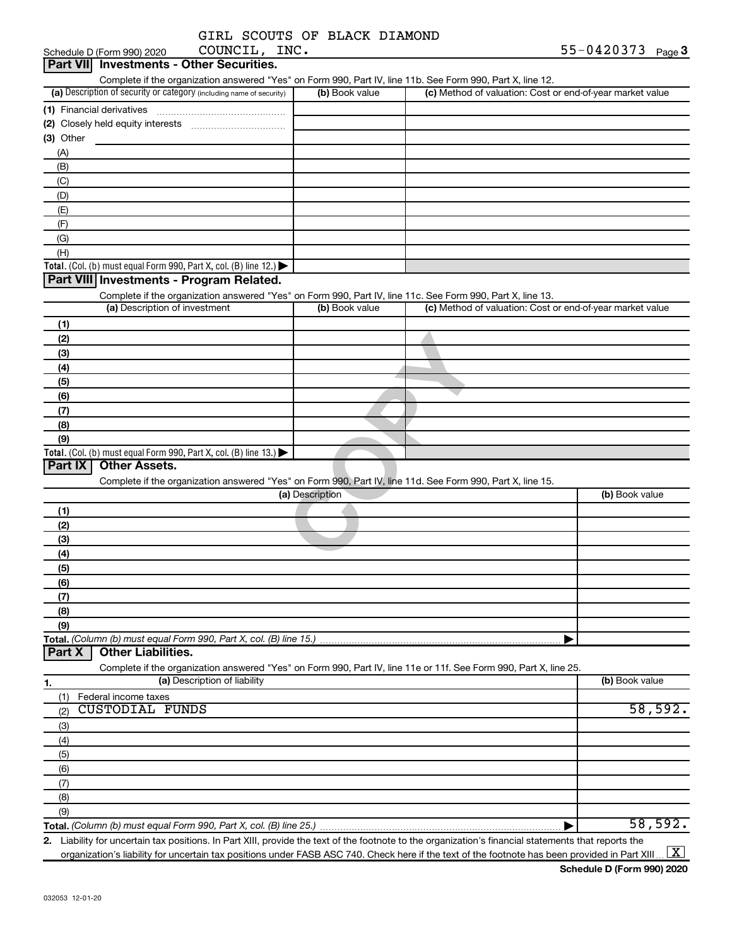|               |  | GIRL SCOUTS OF BLACK DIAMOND |
|---------------|--|------------------------------|
| COUNCIL. INC. |  |                              |

| Schedule D (Form 990) 2020 | COUNCIL, INC.                                                                                                     |                 |                                                                                                                                                      | 55-0420373 $Page 3$ |
|----------------------------|-------------------------------------------------------------------------------------------------------------------|-----------------|------------------------------------------------------------------------------------------------------------------------------------------------------|---------------------|
| <b>Part VIII</b>           | <b>Investments - Other Securities.</b>                                                                            |                 |                                                                                                                                                      |                     |
|                            | Complete if the organization answered "Yes" on Form 990, Part IV, line 11b. See Form 990, Part X, line 12.        |                 |                                                                                                                                                      |                     |
|                            | (a) Description of security or category (including name of security)                                              | (b) Book value  | (c) Method of valuation: Cost or end-of-year market value                                                                                            |                     |
| (1) Financial derivatives  |                                                                                                                   |                 |                                                                                                                                                      |                     |
|                            |                                                                                                                   |                 |                                                                                                                                                      |                     |
| (3) Other                  |                                                                                                                   |                 |                                                                                                                                                      |                     |
| (A)                        |                                                                                                                   |                 |                                                                                                                                                      |                     |
| (B)                        |                                                                                                                   |                 |                                                                                                                                                      |                     |
| (C)                        |                                                                                                                   |                 |                                                                                                                                                      |                     |
| (D)                        |                                                                                                                   |                 |                                                                                                                                                      |                     |
| (E)                        |                                                                                                                   |                 |                                                                                                                                                      |                     |
| (F)                        |                                                                                                                   |                 |                                                                                                                                                      |                     |
| (G)                        |                                                                                                                   |                 |                                                                                                                                                      |                     |
| (H)                        |                                                                                                                   |                 |                                                                                                                                                      |                     |
|                            | Total. (Col. (b) must equal Form 990, Part X, col. (B) line 12.)                                                  |                 |                                                                                                                                                      |                     |
|                            | Part VIII Investments - Program Related.                                                                          |                 |                                                                                                                                                      |                     |
|                            | Complete if the organization answered "Yes" on Form 990, Part IV, line 11c. See Form 990, Part X, line 13.        |                 |                                                                                                                                                      |                     |
|                            | (a) Description of investment                                                                                     | (b) Book value  | (c) Method of valuation: Cost or end-of-year market value                                                                                            |                     |
| (1)                        |                                                                                                                   |                 |                                                                                                                                                      |                     |
| (2)                        |                                                                                                                   |                 |                                                                                                                                                      |                     |
| (3)                        |                                                                                                                   |                 |                                                                                                                                                      |                     |
| (4)                        |                                                                                                                   |                 |                                                                                                                                                      |                     |
| (5)                        |                                                                                                                   |                 |                                                                                                                                                      |                     |
| (6)                        |                                                                                                                   |                 |                                                                                                                                                      |                     |
| (7)                        |                                                                                                                   |                 |                                                                                                                                                      |                     |
| (8)                        |                                                                                                                   |                 |                                                                                                                                                      |                     |
| (9)                        |                                                                                                                   |                 |                                                                                                                                                      |                     |
|                            | Total. (Col. (b) must equal Form 990, Part X, col. (B) line 13.)                                                  |                 |                                                                                                                                                      |                     |
| Part IX                    | <b>Other Assets.</b>                                                                                              |                 |                                                                                                                                                      |                     |
|                            | Complete if the organization answered "Yes" on Form 990, Part IV, line 11d. See Form 990, Part X, line 15.        |                 |                                                                                                                                                      |                     |
|                            |                                                                                                                   | (a) Description |                                                                                                                                                      | (b) Book value      |
| (1)                        |                                                                                                                   |                 |                                                                                                                                                      |                     |
| (2)                        |                                                                                                                   |                 |                                                                                                                                                      |                     |
| (3)                        |                                                                                                                   |                 |                                                                                                                                                      |                     |
| (4)                        |                                                                                                                   |                 |                                                                                                                                                      |                     |
|                            |                                                                                                                   |                 |                                                                                                                                                      |                     |
| (5)<br>(6)                 |                                                                                                                   |                 |                                                                                                                                                      |                     |
|                            |                                                                                                                   |                 |                                                                                                                                                      |                     |
| (7)<br>(8)                 |                                                                                                                   |                 |                                                                                                                                                      |                     |
| (9)                        |                                                                                                                   |                 |                                                                                                                                                      |                     |
|                            | Total. (Column (b) must equal Form 990, Part X, col. (B) line 15.)                                                |                 |                                                                                                                                                      |                     |
| Part X                     | <b>Other Liabilities.</b>                                                                                         |                 |                                                                                                                                                      |                     |
|                            | Complete if the organization answered "Yes" on Form 990, Part IV, line 11e or 11f. See Form 990, Part X, line 25. |                 |                                                                                                                                                      |                     |
|                            | (a) Description of liability                                                                                      |                 |                                                                                                                                                      | (b) Book value      |
| 1.                         |                                                                                                                   |                 |                                                                                                                                                      |                     |
| (1)                        | Federal income taxes<br><b>CUSTODIAL FUNDS</b>                                                                    |                 |                                                                                                                                                      | 58,592.             |
| (2)                        |                                                                                                                   |                 |                                                                                                                                                      |                     |
| (3)                        |                                                                                                                   |                 |                                                                                                                                                      |                     |
| (4)                        |                                                                                                                   |                 |                                                                                                                                                      |                     |
| (5)                        |                                                                                                                   |                 |                                                                                                                                                      |                     |
| (6)                        |                                                                                                                   |                 |                                                                                                                                                      |                     |
| (7)                        |                                                                                                                   |                 |                                                                                                                                                      |                     |
| (8)                        |                                                                                                                   |                 |                                                                                                                                                      |                     |
| (9)                        |                                                                                                                   |                 |                                                                                                                                                      | 58,592.             |
|                            |                                                                                                                   |                 | 2. Lighility for uncertain tax positions, In Part YIII, provide the text of the footpate to the eraspization's financial statements that reports the |                     |

**2.** Liability for uncertain tax positions. In Part XIII, provide the text of the footnote to the organization's financial statements that reports the organization's liability for uncertain tax positions under FASB ASC 740. Check here if the text of the footnote has been provided in Part XIII..  $\boxed{\text{X}}$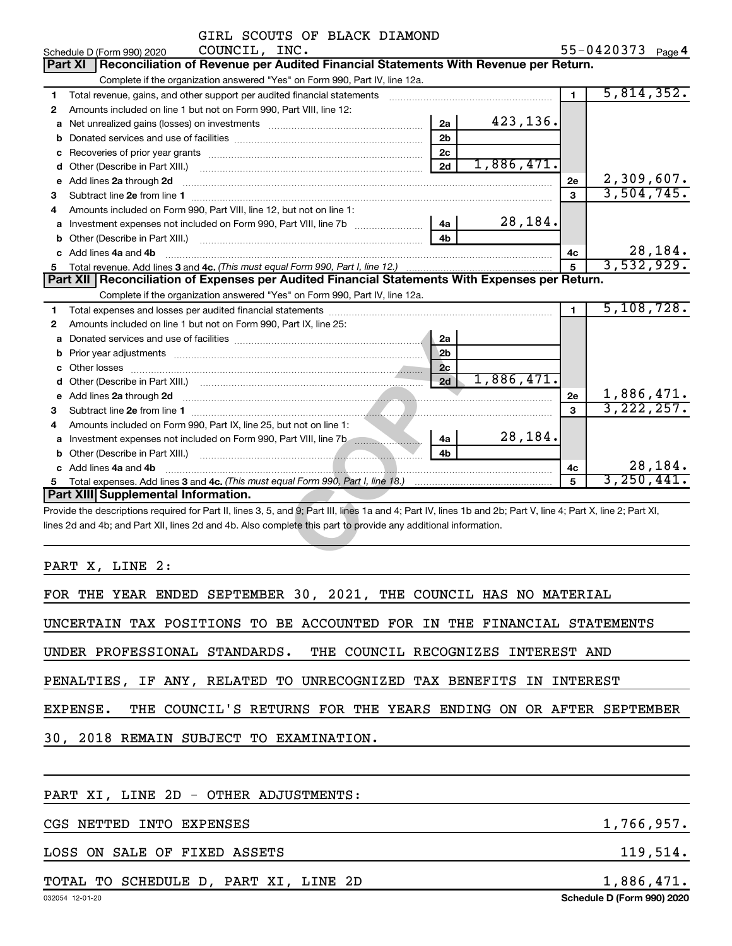| GIRL SCOUTS OF BLACK DIAMOND                                                                                                                                                                                                        |                |            |                |                   |
|-------------------------------------------------------------------------------------------------------------------------------------------------------------------------------------------------------------------------------------|----------------|------------|----------------|-------------------|
| COUNCIL, INC.<br>Schedule D (Form 990) 2020                                                                                                                                                                                         |                |            |                | 55-0420373 Page 4 |
| Reconciliation of Revenue per Audited Financial Statements With Revenue per Return.<br>Part XI                                                                                                                                      |                |            |                |                   |
| Complete if the organization answered "Yes" on Form 990, Part IV, line 12a.                                                                                                                                                         |                |            |                |                   |
| Total revenue, gains, and other support per audited financial statements [[[[[[[[[[[[[[[[[[[[[[]]]]]]]]]]]]]]<br>1                                                                                                                  |                |            | $\blacksquare$ | 5,814,352.        |
| Amounts included on line 1 but not on Form 990, Part VIII, line 12:<br>2                                                                                                                                                            |                |            |                |                   |
| а                                                                                                                                                                                                                                   | 2a             | 423,136.   |                |                   |
| b                                                                                                                                                                                                                                   | 2 <sub>b</sub> |            |                |                   |
| с                                                                                                                                                                                                                                   | 2 <sub>c</sub> |            |                |                   |
| d                                                                                                                                                                                                                                   | 2d             | 1,886,471. |                |                   |
| Add lines 2a through 2d<br>е                                                                                                                                                                                                        |                |            | 2e             | 2,309,607.        |
| Subtract line 2e from line 1<br>3                                                                                                                                                                                                   |                |            | $\mathbf{a}$   | 3,504,745.        |
| Amounts included on Form 990, Part VIII, line 12, but not on line 1:<br>4                                                                                                                                                           |                |            |                |                   |
| a Investment expenses not included on Form 990, Part VIII, line 7b [11, 11, 11, 11]                                                                                                                                                 | 4a             | 28,184.    |                |                   |
| Other (Describe in Part XIII.) [1001] [2010] [2010] [2010] [3010] [3010] [3010] [3010] [3010] [3010] [3010] [3010] [3010] [3010] [3010] [3010] [3010] [3010] [3010] [3010] [3010] [3010] [3010] [3010] [3010] [3010] [3010] [3<br>b | 4b             |            |                |                   |
| c Add lines 4a and 4b                                                                                                                                                                                                               |                |            | 4c             | 28,184.           |
| 5.                                                                                                                                                                                                                                  |                |            | 5              | 3,532,929.        |
| Part XII Reconciliation of Expenses per Audited Financial Statements With Expenses per Return.                                                                                                                                      |                |            |                |                   |
| Complete if the organization answered "Yes" on Form 990, Part IV, line 12a.                                                                                                                                                         |                |            |                |                   |
| 1                                                                                                                                                                                                                                   |                |            | $\blacksquare$ | 5,108,728.        |
| Amounts included on line 1 but not on Form 990, Part IX, line 25:<br>2                                                                                                                                                              |                |            |                |                   |
| а                                                                                                                                                                                                                                   | 2a             |            |                |                   |
| b                                                                                                                                                                                                                                   | 2 <sub>b</sub> |            |                |                   |
| c                                                                                                                                                                                                                                   | 2c             |            |                |                   |
| d                                                                                                                                                                                                                                   | 2d             | 1,886,471. |                |                   |
| e Add lines 2a through 2d                                                                                                                                                                                                           |                |            | 2e             | 1,886,471.        |
| 3                                                                                                                                                                                                                                   |                |            | $\mathbf{a}$   | 3, 222, 257.      |
| Amounts included on Form 990, Part IX, line 25, but not on line 1:<br>4                                                                                                                                                             |                |            |                |                   |
|                                                                                                                                                                                                                                     | 4a             | 28,184.    |                |                   |
|                                                                                                                                                                                                                                     | 4b             |            |                |                   |
| c Add lines 4a and 4b                                                                                                                                                                                                               |                |            | 4c             | 28,184.           |
| 5.                                                                                                                                                                                                                                  |                |            | 5              | 3,250,441.        |
| Part XIII Supplemental Information.                                                                                                                                                                                                 |                |            |                |                   |
| Provide the descriptions required for Part II, lines 3, 5, and 9; Part III, lines 1a and 4; Part IV, lines 1b and 2b; Part V, line 4; Part X, line 2; Part XI,                                                                      |                |            |                |                   |
| lines 2d and 4b; and Part XII, lines 2d and 4b. Also complete this part to provide any additional information.                                                                                                                      |                |            |                |                   |
|                                                                                                                                                                                                                                     |                |            |                |                   |
|                                                                                                                                                                                                                                     |                |            |                |                   |

PART X, LINE 2:

FOR THE YEAR ENDED SEPTEMBER 30, 2021, THE COUNCIL HAS NO MATERIAL

UNCERTAIN TAX POSITIONS TO BE ACCOUNTED FOR IN THE FINANCIAL STATEMENTS

UNDER PROFESSIONAL STANDARDS. THE COUNCIL RECOGNIZES INTEREST AND

PENALTIES, IF ANY, RELATED TO UNRECOGNIZED TAX BENEFITS IN INTEREST

EXPENSE. THE COUNCIL'S RETURNS FOR THE YEARS ENDING ON OR AFTER SEPTEMBER

30, 2018 REMAIN SUBJECT TO EXAMINATION.

PART XI, LINE 2D - OTHER ADJUSTMENTS:

CGS NETTED INTO EXPENSES 1,766,957.

LOSS ON SALE OF FIXED ASSETS 119,514.

TOTAL TO SCHEDULE D, PART XI, LINE 2D 1,886,471.

032054 12-01-20

**Schedule D (Form 990) 2020**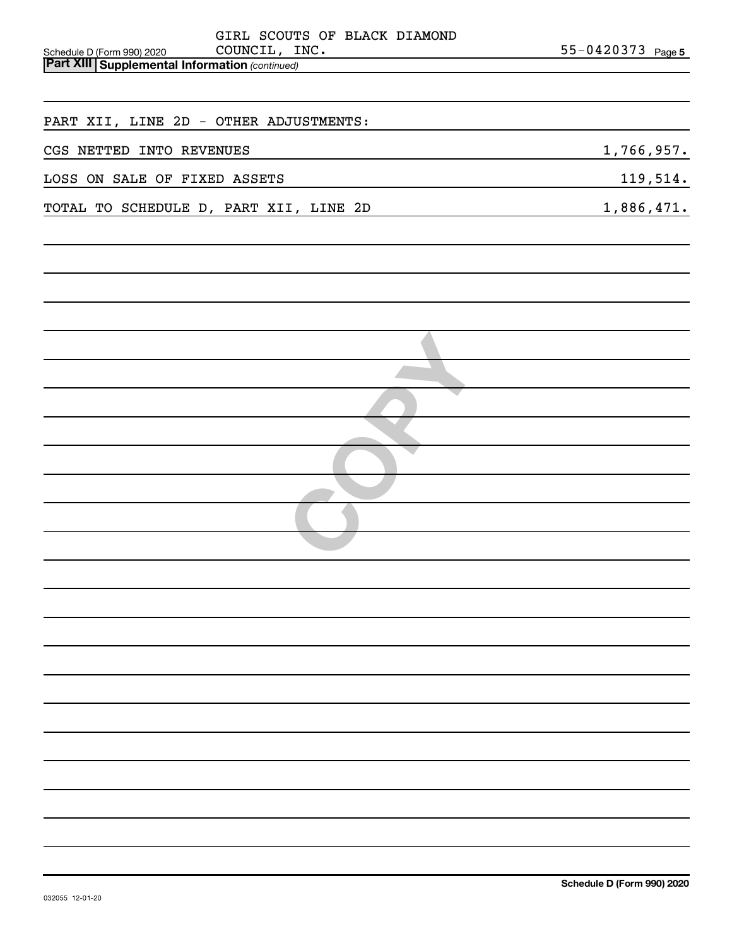| GIRL SCOUTS OF BLACK DIAMOND                                                                         |                   |
|------------------------------------------------------------------------------------------------------|-------------------|
| COUNCIL, INC.<br>Schedule D (Form 990) 2020<br><b>Part XIII Supplemental Information (continued)</b> | 55-0420373 Page 5 |
|                                                                                                      |                   |
|                                                                                                      |                   |
| PART XII, LINE 2D - OTHER ADJUSTMENTS:                                                               |                   |
| CGS NETTED INTO REVENUES                                                                             | 1,766,957.        |
| LOSS ON SALE OF FIXED ASSETS                                                                         | 119,514.          |
| TOTAL TO SCHEDULE D, PART XII, LINE 2D                                                               | 1,886,471.        |
|                                                                                                      |                   |
|                                                                                                      |                   |
|                                                                                                      |                   |
|                                                                                                      |                   |
|                                                                                                      |                   |
|                                                                                                      |                   |
|                                                                                                      |                   |
|                                                                                                      |                   |
|                                                                                                      |                   |
|                                                                                                      |                   |
|                                                                                                      |                   |
|                                                                                                      |                   |
|                                                                                                      |                   |
|                                                                                                      |                   |
|                                                                                                      |                   |
|                                                                                                      |                   |
|                                                                                                      |                   |
|                                                                                                      |                   |
|                                                                                                      |                   |
|                                                                                                      |                   |
|                                                                                                      |                   |
|                                                                                                      |                   |
|                                                                                                      |                   |
|                                                                                                      |                   |
|                                                                                                      |                   |
|                                                                                                      |                   |
|                                                                                                      |                   |
|                                                                                                      |                   |
|                                                                                                      |                   |
|                                                                                                      |                   |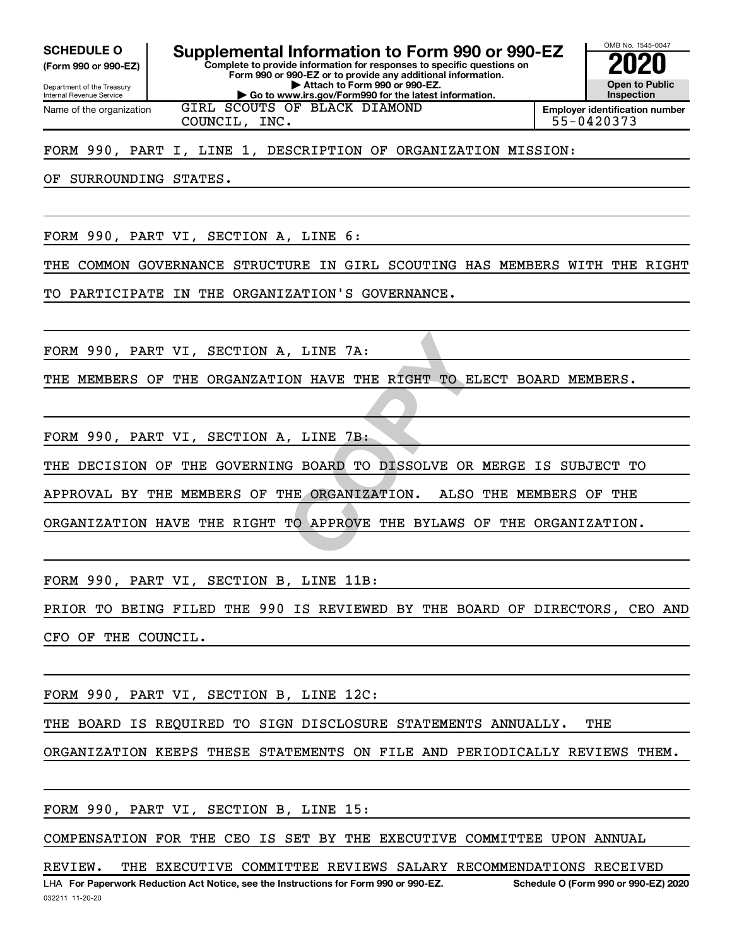**(Form 990 or 990-EZ)**

**Complete to provide information for responses to specific questions on Form 990 or 990-EZ or to provide any additional information. | Attach to Form 990 or 990-EZ. | Go to www.irs.gov/Form990 for the latest information. SCHEDULE O Supplemental Information to Form 990 or 990-EZ 2020**<br>(Form 990 or 990-EZ) Complete to provide information for responses to specific questions on

Department of the Treasury Internal Revenue Service Name of the organization

GIRL SCOUTS OF BLACK DIAMOND COUNCIL, INC. 55-0420373

**Employer identification number**

OMB No. 1545-0047

**Open to Public Inspection**

## FORM 990, PART I, LINE 1, DESCRIPTION OF ORGANIZATION MISSION:

OF SURROUNDING STATES.

FORM 990, PART VI, SECTION A, LINE 6:

THE COMMON GOVERNANCE STRUCTURE IN GIRL SCOUTING HAS MEMBERS WITH THE RIGHT

TO PARTICIPATE IN THE ORGANIZATION'S GOVERNANCE.

FORM 990, PART VI, SECTION A, LINE 7A:

THE MEMBERS OF THE ORGANZATION HAVE THE RIGHT TO ELECT BOARD MEMBERS.

FORM 990, PART VI, SECTION A, LINE 7B:

**CON HAVE THE RIGHT TO ELECT<br>
COPY AND TO DISSOLVE OR MERG<br>
COPY BOARD TO DISSOLVE OR MERG<br>
COPY BOARD TO DISSOLVE OR MERG<br>
TO APPROVE THE BYLAWS OF TH** THE DECISION OF THE GOVERNING BOARD TO DISSOLVE OR MERGE IS SUBJECT TO

APPROVAL BY THE MEMBERS OF THE ORGANIZATION. ALSO THE MEMBERS OF THE

ORGANIZATION HAVE THE RIGHT TO APPROVE THE BYLAWS OF THE ORGANIZATION.

FORM 990, PART VI, SECTION B, LINE 11B:

PRIOR TO BEING FILED THE 990 IS REVIEWED BY THE BOARD OF DIRECTORS, CEO AND CFO OF THE COUNCIL.

FORM 990, PART VI, SECTION B, LINE 12C:

THE BOARD IS REQUIRED TO SIGN DISCLOSURE STATEMENTS ANNUALLY. THE

ORGANIZATION KEEPS THESE STATEMENTS ON FILE AND PERIODICALLY REVIEWS THEM.

FORM 990, PART VI, SECTION B, LINE 15:

COMPENSATION FOR THE CEO IS SET BY THE EXECUTIVE COMMITTEE UPON ANNUAL

**For Paperwork Reduction Act Notice, see the Instructions for Form 990 or 990-EZ. Schedule O (Form 990 or 990-EZ) 2020** LHA REVIEW. THE EXECUTIVE COMMITTEE REVIEWS SALARY RECOMMENDATIONS RECEIVED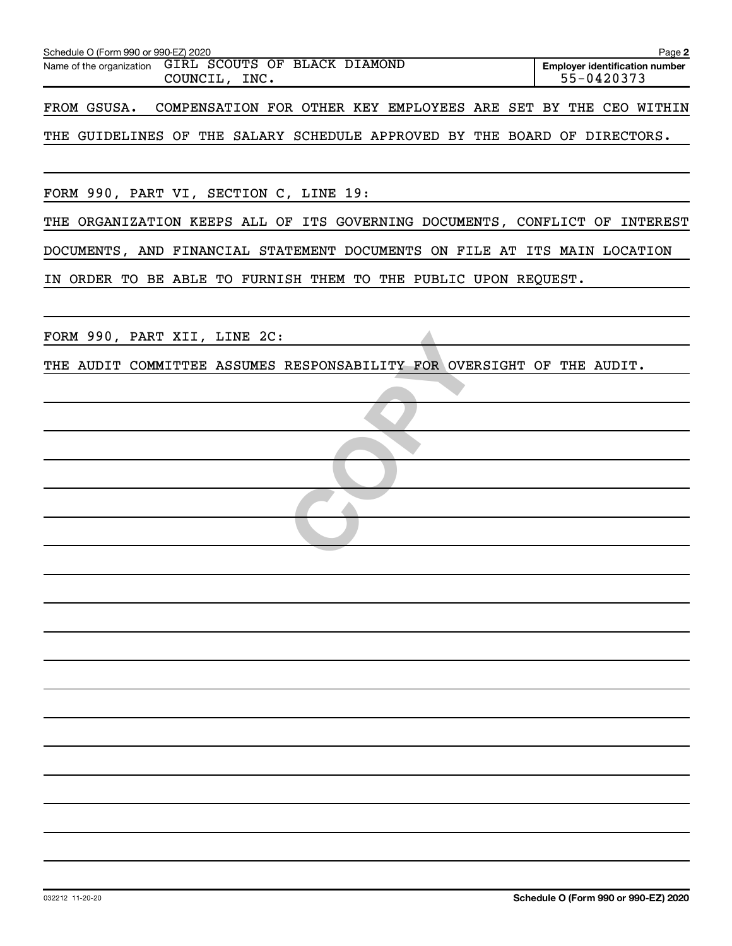| Schedule O (Form 990 or 990-EZ) 2020                                          | Page 2                                              |
|-------------------------------------------------------------------------------|-----------------------------------------------------|
| Name of the organization GIRL SCOUTS OF BLACK DIAMOND<br>COUNCIL, INC.        | <b>Employer identification number</b><br>55-0420373 |
| COMPENSATION FOR OTHER KEY EMPLOYEES ARE SET BY THE CEO WITHIN<br>FROM GSUSA. |                                                     |
| THE GUIDELINES OF THE SALARY SCHEDULE APPROVED BY THE BOARD OF DIRECTORS.     |                                                     |
|                                                                               |                                                     |
| FORM 990, PART VI, SECTION C, LINE 19:                                        |                                                     |
| THE ORGANIZATION KEEPS ALL OF ITS GOVERNING DOCUMENTS, CONFLICT OF INTEREST   |                                                     |
| DOCUMENTS, AND FINANCIAL STATEMENT DOCUMENTS ON FILE AT ITS MAIN LOCATION     |                                                     |
| IN ORDER TO BE ABLE TO FURNISH THEM TO THE PUBLIC UPON REQUEST.               |                                                     |
|                                                                               |                                                     |
| FORM 990, PART XII, LINE 2C:                                                  |                                                     |
| THE AUDIT COMMITTEE ASSUMES RESPONSABILITY FOR OVERSIGHT OF THE AUDIT.        |                                                     |
|                                                                               |                                                     |
|                                                                               |                                                     |
|                                                                               |                                                     |
|                                                                               |                                                     |
|                                                                               |                                                     |
|                                                                               |                                                     |
|                                                                               |                                                     |
|                                                                               |                                                     |
|                                                                               |                                                     |
|                                                                               |                                                     |
|                                                                               |                                                     |
|                                                                               |                                                     |
|                                                                               |                                                     |
|                                                                               |                                                     |
|                                                                               |                                                     |
|                                                                               |                                                     |
|                                                                               |                                                     |
|                                                                               |                                                     |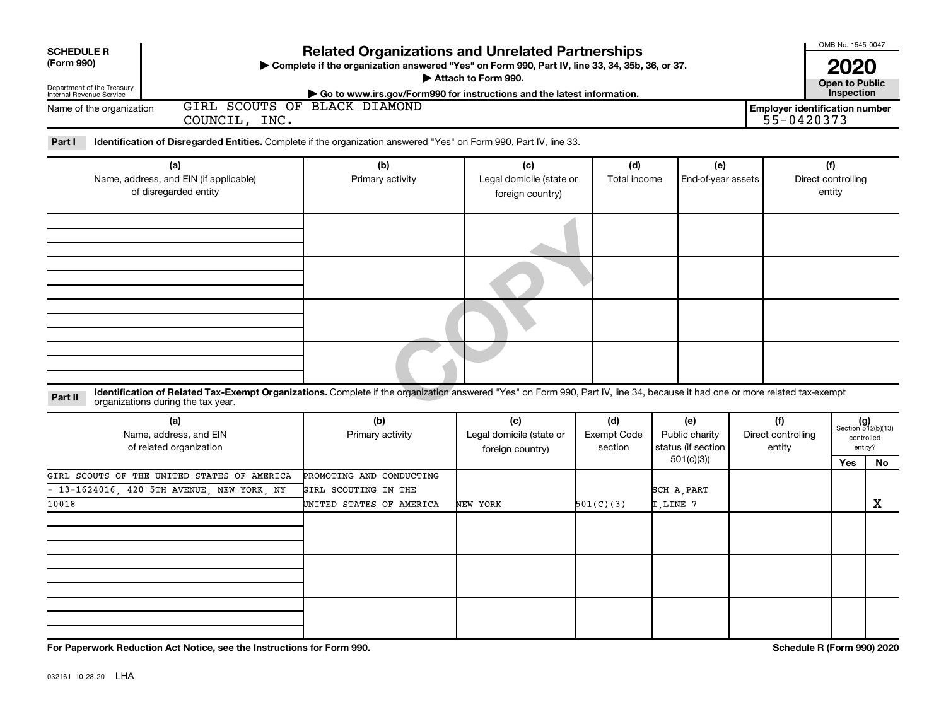| <b>SCHEDULE R</b><br>(Form 990)<br>Department of the Treasury<br>Internal Revenue Service | <b>Related Organizations and Unrelated Partnerships</b><br>> Complete if the organization answered "Yes" on Form 990, Part IV, line 33, 34, 35b, 36, or 37.<br>Attach to Form 990.<br>Go to www.irs.gov/Form990 for instructions and the latest information. |                                                                                                                                         |                                                     |                                      |  |                                                    |  |                                                     |     |                                                      |
|-------------------------------------------------------------------------------------------|--------------------------------------------------------------------------------------------------------------------------------------------------------------------------------------------------------------------------------------------------------------|-----------------------------------------------------------------------------------------------------------------------------------------|-----------------------------------------------------|--------------------------------------|--|----------------------------------------------------|--|-----------------------------------------------------|-----|------------------------------------------------------|
| Name of the organization                                                                  | COUNCIL, INC.                                                                                                                                                                                                                                                | GIRL SCOUTS OF BLACK DIAMOND                                                                                                            |                                                     |                                      |  |                                                    |  | <b>Employer identification number</b><br>55-0420373 |     |                                                      |
| Part I                                                                                    | Identification of Disregarded Entities. Complete if the organization answered "Yes" on Form 990, Part IV, line 33.                                                                                                                                           |                                                                                                                                         |                                                     |                                      |  |                                                    |  |                                                     |     |                                                      |
| (a)<br>Name, address, and EIN (if applicable)<br>of disregarded entity                    |                                                                                                                                                                                                                                                              | (b)<br>(c)<br>Legal domicile (state or<br>Primary activity<br>foreign country)                                                          |                                                     | (d)<br>Total income                  |  | (e)<br>End-of-year assets                          |  | (f)<br>Direct controlling<br>entity                 |     |                                                      |
|                                                                                           |                                                                                                                                                                                                                                                              |                                                                                                                                         |                                                     |                                      |  |                                                    |  |                                                     |     |                                                      |
|                                                                                           |                                                                                                                                                                                                                                                              |                                                                                                                                         |                                                     |                                      |  |                                                    |  |                                                     |     |                                                      |
|                                                                                           |                                                                                                                                                                                                                                                              |                                                                                                                                         |                                                     |                                      |  |                                                    |  |                                                     |     |                                                      |
|                                                                                           |                                                                                                                                                                                                                                                              |                                                                                                                                         |                                                     |                                      |  |                                                    |  |                                                     |     |                                                      |
| Part II                                                                                   | Identification of Related Tax-Exempt Organizations. Complete if the organization answered "Yes" on Form 990, Part IV, line 34, because it had one or more related tax-exempt<br>organizations during the tax year.                                           |                                                                                                                                         |                                                     |                                      |  |                                                    |  |                                                     |     |                                                      |
|                                                                                           | (a)<br>Name, address, and EIN<br>of related organization                                                                                                                                                                                                     | (b)<br>Primary activity                                                                                                                 | (c)<br>Legal domicile (state or<br>foreign country) | (d)<br><b>Exempt Code</b><br>section |  | (e)<br>(f)<br>Public charity<br>status (if section |  | Direct controlling<br>entity                        |     | $(g)$<br>Section 512(b)(13)<br>controlled<br>entity? |
|                                                                                           |                                                                                                                                                                                                                                                              |                                                                                                                                         |                                                     |                                      |  | 501(c)(3)                                          |  |                                                     | Yes | No.                                                  |
| 10018                                                                                     | - 13-1624016, 420 5TH AVENUE, NEW YORK, NY                                                                                                                                                                                                                   | GIRL SCOUTS OF THE UNITED STATES OF AMERICA<br>PROMOTING AND CONDUCTING<br>GIRL SCOUTING IN THE<br>UNITED STATES OF AMERICA<br>NEW YORK |                                                     | 501(C)(3)                            |  | SCH A, PART<br>I,LINE 7                            |  |                                                     |     | X                                                    |
|                                                                                           |                                                                                                                                                                                                                                                              |                                                                                                                                         |                                                     |                                      |  |                                                    |  |                                                     |     |                                                      |
|                                                                                           |                                                                                                                                                                                                                                                              |                                                                                                                                         |                                                     |                                      |  |                                                    |  |                                                     |     |                                                      |
|                                                                                           |                                                                                                                                                                                                                                                              |                                                                                                                                         |                                                     |                                      |  |                                                    |  |                                                     |     |                                                      |

**For Paperwork Reduction Act Notice, see the Instructions for Form 990. Schedule R (Form 990) 2020**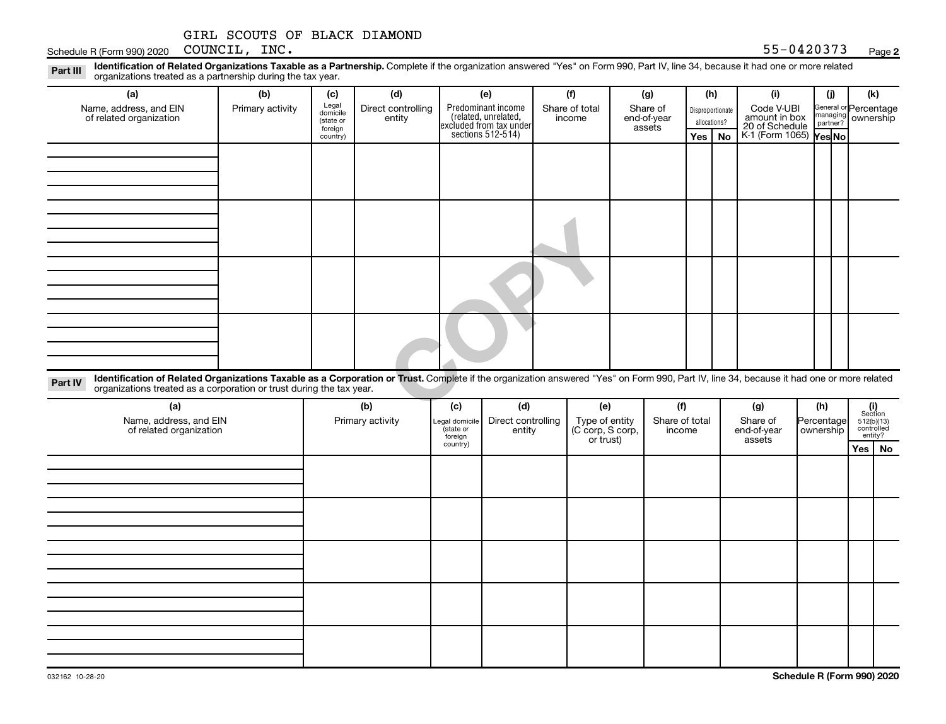### **2**

Disproportionate allocations? Legal domicile (state or foreign country) General or Percentage managing partner? Part III Identification of Related Organizations Taxable as a Partnership. Complete if the organization answered "Yes" on Form 990, Part IV, line 34, because it had one or more related<br>Read to the organizations tracted as **(a) (b) (c) (d) (e) (f) (g) (h) (i) (j) (k) Yes No Yes No** K-1 (Form 1065) Predominant income (related, unrelated, excluded from tax under sections 512-514) Schedule R (Form 990) 2020 Page COUNCIL, INC. 55-0420373organizations treated as a partnership during the tax year. Name, address, and EIN of related organization Primary activity  $\left| \begin{array}{c} \text{Legal} \\ \text{diamial} \end{array} \right|$  Direct controlling entity Share of total income Share of end-of-year assets Code V-UBI<br>amount in box 20 of Schedule ownership

**COPY COPY COPY COPY COPY COPY COPY COPY COPY COPY COPY COPY COPY COPY COPY COPY COPY COPY COPY COPY COPY COPY COPY COPY COPY COPY COPY COPY COPY COPY COPY COPY** Part IV Identification of Related Organizations Taxable as a Corporation or Trust. Complete if the organization answered "Yes" on Form 990, Part IV, line 34, because it had one or more related organizations treated as a corporation or trust during the tax year.

| (a)<br>Name, address, and EIN<br>of related organization | (b)<br>Primary activity | (d)<br>(c)<br>Direct controlling<br>Legal domicile<br>state or<br>entity<br>foreign |  | (e)<br>Type of entity<br>(C corp, S corp,<br>or trust) | (f)<br>Share of total<br>income | (g)<br>Share of<br>end-of-year<br>assets | (h)<br>Percentage<br>ownership | $\begin{array}{c} \textbf{(i)}\\ \text{Section}\\ 5\,12 \text{(b)} \text{(13)}\\ \text{controlled} \\ \text{entity?} \end{array}$ |
|----------------------------------------------------------|-------------------------|-------------------------------------------------------------------------------------|--|--------------------------------------------------------|---------------------------------|------------------------------------------|--------------------------------|-----------------------------------------------------------------------------------------------------------------------------------|
|                                                          |                         | country)                                                                            |  |                                                        |                                 |                                          |                                | Yes   No                                                                                                                          |
|                                                          |                         |                                                                                     |  |                                                        |                                 |                                          |                                |                                                                                                                                   |
|                                                          |                         |                                                                                     |  |                                                        |                                 |                                          |                                |                                                                                                                                   |
|                                                          |                         |                                                                                     |  |                                                        |                                 |                                          |                                |                                                                                                                                   |
|                                                          |                         |                                                                                     |  |                                                        |                                 |                                          |                                |                                                                                                                                   |
|                                                          |                         |                                                                                     |  |                                                        |                                 |                                          |                                |                                                                                                                                   |
|                                                          |                         |                                                                                     |  |                                                        |                                 |                                          |                                |                                                                                                                                   |
|                                                          |                         |                                                                                     |  |                                                        |                                 |                                          |                                |                                                                                                                                   |
|                                                          |                         |                                                                                     |  |                                                        |                                 |                                          |                                |                                                                                                                                   |
|                                                          |                         |                                                                                     |  |                                                        |                                 |                                          |                                |                                                                                                                                   |
|                                                          |                         |                                                                                     |  |                                                        |                                 |                                          |                                |                                                                                                                                   |
|                                                          |                         |                                                                                     |  |                                                        |                                 |                                          |                                |                                                                                                                                   |
|                                                          |                         |                                                                                     |  |                                                        |                                 |                                          |                                |                                                                                                                                   |
|                                                          |                         |                                                                                     |  |                                                        |                                 |                                          |                                |                                                                                                                                   |
|                                                          |                         |                                                                                     |  |                                                        |                                 |                                          |                                |                                                                                                                                   |
|                                                          |                         |                                                                                     |  |                                                        |                                 |                                          |                                |                                                                                                                                   |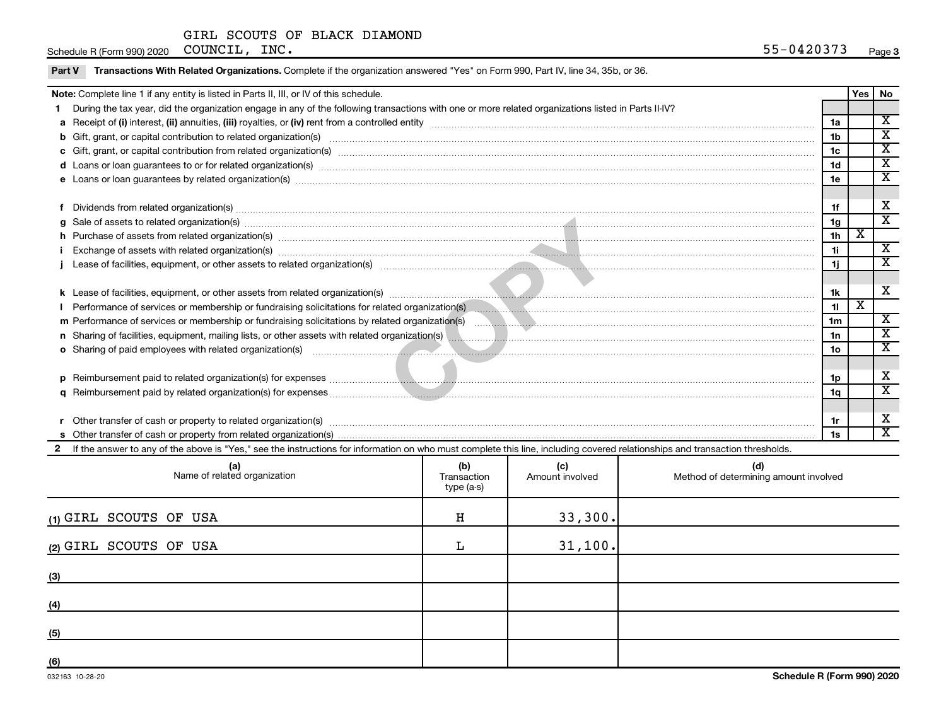Schedule R (Form 990) 2020 Page COUNCIL, INC. 55-0420373

| Note: Complete line 1 if any entity is listed in Parts II, III, or IV of this schedule. |                                                                                                                                                                                                                                |                 |                         |                             |
|-----------------------------------------------------------------------------------------|--------------------------------------------------------------------------------------------------------------------------------------------------------------------------------------------------------------------------------|-----------------|-------------------------|-----------------------------|
|                                                                                         | During the tax year, did the organization engage in any of the following transactions with one or more related organizations listed in Parts II-IV?                                                                            |                 |                         |                             |
|                                                                                         |                                                                                                                                                                                                                                |                 |                         | X                           |
|                                                                                         | b Gift, grant, or capital contribution to related organization(s) manufaction contribution to related organization(s)                                                                                                          | 1 <sub>b</sub>  |                         | $\mathbf x$                 |
|                                                                                         |                                                                                                                                                                                                                                | 1 <sub>c</sub>  |                         | $\overline{\textnormal{x}}$ |
|                                                                                         |                                                                                                                                                                                                                                | 1 <sub>d</sub>  |                         | $\overline{\textbf{x}}$     |
|                                                                                         |                                                                                                                                                                                                                                | 1e              |                         | X                           |
|                                                                                         |                                                                                                                                                                                                                                |                 |                         |                             |
|                                                                                         | Dividends from related organization(s) manufacture contraction and contract and contract of the contract of the contract of the contract of the contract of the contract of the contract of the contract of the contract of th | 1f              |                         | х                           |
|                                                                                         | g Sale of assets to related organization(s) www.assettion.com/www.assettion.com/www.assettion.com/www.assettion.com/www.assettion.com/www.assettion.com/www.assettion.com/www.assettion.com/www.assettion.com/www.assettion.co | 1g              |                         | $\mathbf x$                 |
|                                                                                         | A Purchase of assets from related organization(s) encourance contained and announced and all contained and announced assets with related organization(s) encourance in Exchange of assets with related organization(s) encoura | 1 <sub>h</sub>  | X                       |                             |
|                                                                                         |                                                                                                                                                                                                                                | 11              |                         | $\overline{\mathbf{X}}$     |
|                                                                                         |                                                                                                                                                                                                                                | 1j              |                         | X                           |
|                                                                                         |                                                                                                                                                                                                                                |                 |                         |                             |
|                                                                                         |                                                                                                                                                                                                                                | 1k              |                         | X                           |
|                                                                                         | Performance of services or membership or fundraising solicitations for related organization(s) manufactured manufactured manufactured manufactured manufactured manufactured manufactured manufactured manufactured manufactur | 11              | $\overline{\textbf{x}}$ |                             |
|                                                                                         |                                                                                                                                                                                                                                | 1 <sub>m</sub>  |                         | X                           |
|                                                                                         |                                                                                                                                                                                                                                | 1n              |                         | X                           |
|                                                                                         |                                                                                                                                                                                                                                | 10 <sub>o</sub> |                         | $\overline{\textnormal{x}}$ |
|                                                                                         |                                                                                                                                                                                                                                |                 |                         |                             |
|                                                                                         |                                                                                                                                                                                                                                | 1p              |                         | х                           |
|                                                                                         |                                                                                                                                                                                                                                | 1q              |                         | $\overline{\textbf{x}}$     |
|                                                                                         |                                                                                                                                                                                                                                |                 |                         |                             |
|                                                                                         |                                                                                                                                                                                                                                | 1r              |                         | х                           |
|                                                                                         |                                                                                                                                                                                                                                | 1s              |                         | X                           |
|                                                                                         | If the answer to any of the above is "Yes," see the instructions for information on who must complete this line, including covered relationships and transaction thresholds.                                                   |                 |                         |                             |

| (a)<br>Name of related organization | (b)<br>Transaction<br>type (a-s) | (c)<br>Amount involved | (d)<br>Method of determining amount involved |
|-------------------------------------|----------------------------------|------------------------|----------------------------------------------|
| (1) GIRL SCOUTS OF USA              | $\, {\rm H}$                     | 33,300.                |                                              |
| (2) GIRL SCOUTS OF USA              | L                                | 31, 100.               |                                              |
| (3)                                 |                                  |                        |                                              |
| (4)                                 |                                  |                        |                                              |
| (5)                                 |                                  |                        |                                              |
| (6)                                 |                                  |                        |                                              |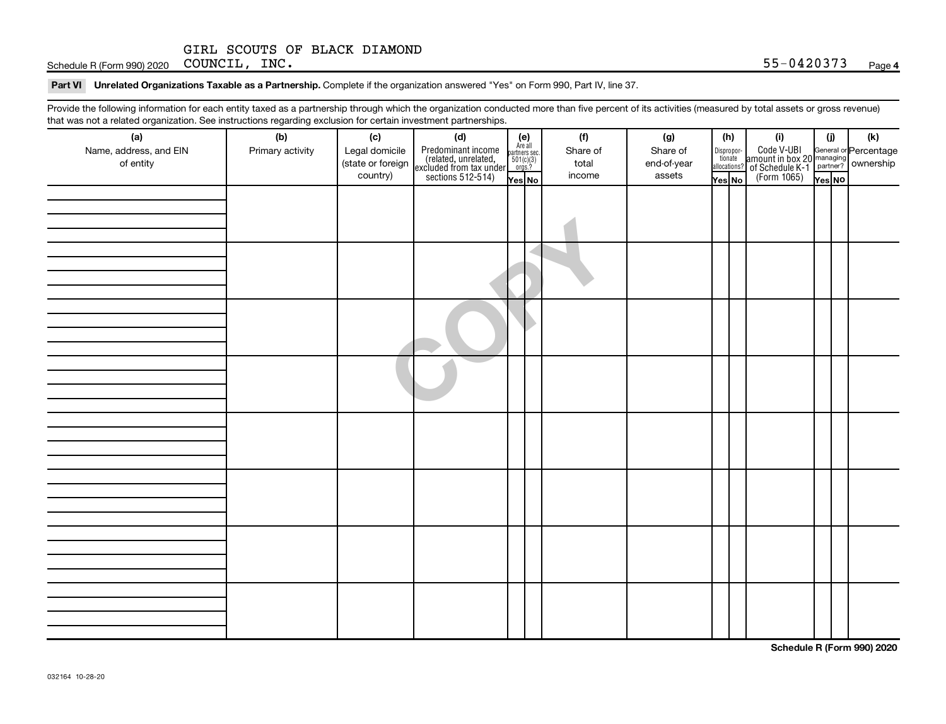Schedule R (Form 990) 2020 Page COUNCIL, INC. 55-0420373

#### Part VI Unrelated Organizations Taxable as a Partnership. Complete if the organization answered "Yes" on Form 990, Part IV, line 37.

Provide the following information for each entity taxed as a partnership through which the organization conducted more than five percent of its activities (measured by total assets or gross revenue) that was not a related organization. See instructions regarding exclusion for certain investment partnerships.

| that was not a related erganization. Occupations regarding exclusion for cortain investment partnerships.<br>(a) | (b)              | (c)               |                                                                                                                                                                                                                                                                                                                                                                                                                                        |  |  | (f)      | (g)         | (h)    |                       | (i)                                                                    | (i)    | (k)                                                     |
|------------------------------------------------------------------------------------------------------------------|------------------|-------------------|----------------------------------------------------------------------------------------------------------------------------------------------------------------------------------------------------------------------------------------------------------------------------------------------------------------------------------------------------------------------------------------------------------------------------------------|--|--|----------|-------------|--------|-----------------------|------------------------------------------------------------------------|--------|---------------------------------------------------------|
| Name, address, and EIN                                                                                           | Primary activity | Legal domicile    |                                                                                                                                                                                                                                                                                                                                                                                                                                        |  |  | Share of | Share of    |        | Dispropor-<br>tionate |                                                                        |        |                                                         |
| of entity                                                                                                        |                  | (state or foreign |                                                                                                                                                                                                                                                                                                                                                                                                                                        |  |  | total    | end-of-year |        | allocations?          | Code V-UBI<br>  amount in box 20<br>! of Schedule K-1<br>  (Form 1065) |        | General or Percentage<br>managing<br>partner? Ownership |
|                                                                                                                  |                  | country)          | (d)<br>Predominant income<br>(related, unrelated, $\begin{bmatrix} \mathbf{e} \\ \text{Areaall} \\ \text{sccluded from tax under} \\ \text{sections 512-514} \end{bmatrix}$<br>$\begin{bmatrix} \mathbf{e} \\ \mathbf{se} \\ \text{for } 10(1/3) \\ \text{mes } \mathbf{e} \end{bmatrix}$<br>$\begin{bmatrix} \mathbf{e} \\ \mathbf{e} \\ \mathbf{e} \end{bmatrix}$<br>$\begin{bmatrix} \mathbf{e} \\ \mathbf{e} \\ \mathbf{e} \end{b$ |  |  | income   | assets      | Yes No |                       |                                                                        | Yes NO |                                                         |
|                                                                                                                  |                  |                   |                                                                                                                                                                                                                                                                                                                                                                                                                                        |  |  |          |             |        |                       |                                                                        |        |                                                         |
|                                                                                                                  |                  |                   |                                                                                                                                                                                                                                                                                                                                                                                                                                        |  |  |          |             |        |                       |                                                                        |        |                                                         |
|                                                                                                                  |                  |                   |                                                                                                                                                                                                                                                                                                                                                                                                                                        |  |  |          |             |        |                       |                                                                        |        |                                                         |
|                                                                                                                  |                  |                   |                                                                                                                                                                                                                                                                                                                                                                                                                                        |  |  |          |             |        |                       |                                                                        |        |                                                         |
|                                                                                                                  |                  |                   |                                                                                                                                                                                                                                                                                                                                                                                                                                        |  |  |          |             |        |                       |                                                                        |        |                                                         |
|                                                                                                                  |                  |                   |                                                                                                                                                                                                                                                                                                                                                                                                                                        |  |  |          |             |        |                       |                                                                        |        |                                                         |
|                                                                                                                  |                  |                   |                                                                                                                                                                                                                                                                                                                                                                                                                                        |  |  |          |             |        |                       |                                                                        |        |                                                         |
|                                                                                                                  |                  |                   |                                                                                                                                                                                                                                                                                                                                                                                                                                        |  |  |          |             |        |                       |                                                                        |        |                                                         |
|                                                                                                                  |                  |                   |                                                                                                                                                                                                                                                                                                                                                                                                                                        |  |  |          |             |        |                       |                                                                        |        |                                                         |
|                                                                                                                  |                  |                   |                                                                                                                                                                                                                                                                                                                                                                                                                                        |  |  |          |             |        |                       |                                                                        |        |                                                         |
|                                                                                                                  |                  |                   |                                                                                                                                                                                                                                                                                                                                                                                                                                        |  |  |          |             |        |                       |                                                                        |        |                                                         |
|                                                                                                                  |                  |                   |                                                                                                                                                                                                                                                                                                                                                                                                                                        |  |  |          |             |        |                       |                                                                        |        |                                                         |
|                                                                                                                  |                  |                   |                                                                                                                                                                                                                                                                                                                                                                                                                                        |  |  |          |             |        |                       |                                                                        |        |                                                         |
|                                                                                                                  |                  |                   |                                                                                                                                                                                                                                                                                                                                                                                                                                        |  |  |          |             |        |                       |                                                                        |        |                                                         |
|                                                                                                                  |                  |                   |                                                                                                                                                                                                                                                                                                                                                                                                                                        |  |  |          |             |        |                       |                                                                        |        |                                                         |
|                                                                                                                  |                  |                   |                                                                                                                                                                                                                                                                                                                                                                                                                                        |  |  |          |             |        |                       |                                                                        |        |                                                         |
|                                                                                                                  |                  |                   |                                                                                                                                                                                                                                                                                                                                                                                                                                        |  |  |          |             |        |                       |                                                                        |        |                                                         |
|                                                                                                                  |                  |                   |                                                                                                                                                                                                                                                                                                                                                                                                                                        |  |  |          |             |        |                       |                                                                        |        |                                                         |
|                                                                                                                  |                  |                   |                                                                                                                                                                                                                                                                                                                                                                                                                                        |  |  |          |             |        |                       |                                                                        |        |                                                         |
|                                                                                                                  |                  |                   |                                                                                                                                                                                                                                                                                                                                                                                                                                        |  |  |          |             |        |                       |                                                                        |        |                                                         |
|                                                                                                                  |                  |                   |                                                                                                                                                                                                                                                                                                                                                                                                                                        |  |  |          |             |        |                       |                                                                        |        |                                                         |
|                                                                                                                  |                  |                   |                                                                                                                                                                                                                                                                                                                                                                                                                                        |  |  |          |             |        |                       |                                                                        |        |                                                         |
|                                                                                                                  |                  |                   |                                                                                                                                                                                                                                                                                                                                                                                                                                        |  |  |          |             |        |                       |                                                                        |        |                                                         |
|                                                                                                                  |                  |                   |                                                                                                                                                                                                                                                                                                                                                                                                                                        |  |  |          |             |        |                       |                                                                        |        |                                                         |
|                                                                                                                  |                  |                   |                                                                                                                                                                                                                                                                                                                                                                                                                                        |  |  |          |             |        |                       |                                                                        |        |                                                         |
|                                                                                                                  |                  |                   |                                                                                                                                                                                                                                                                                                                                                                                                                                        |  |  |          |             |        |                       |                                                                        |        |                                                         |
|                                                                                                                  |                  |                   |                                                                                                                                                                                                                                                                                                                                                                                                                                        |  |  |          |             |        |                       |                                                                        |        |                                                         |
|                                                                                                                  |                  |                   |                                                                                                                                                                                                                                                                                                                                                                                                                                        |  |  |          |             |        |                       |                                                                        |        |                                                         |
|                                                                                                                  |                  |                   |                                                                                                                                                                                                                                                                                                                                                                                                                                        |  |  |          |             |        |                       |                                                                        |        |                                                         |
|                                                                                                                  |                  |                   |                                                                                                                                                                                                                                                                                                                                                                                                                                        |  |  |          |             |        |                       |                                                                        |        |                                                         |
|                                                                                                                  |                  |                   |                                                                                                                                                                                                                                                                                                                                                                                                                                        |  |  |          |             |        |                       |                                                                        |        |                                                         |

**Schedule R (Form 990) 2020**